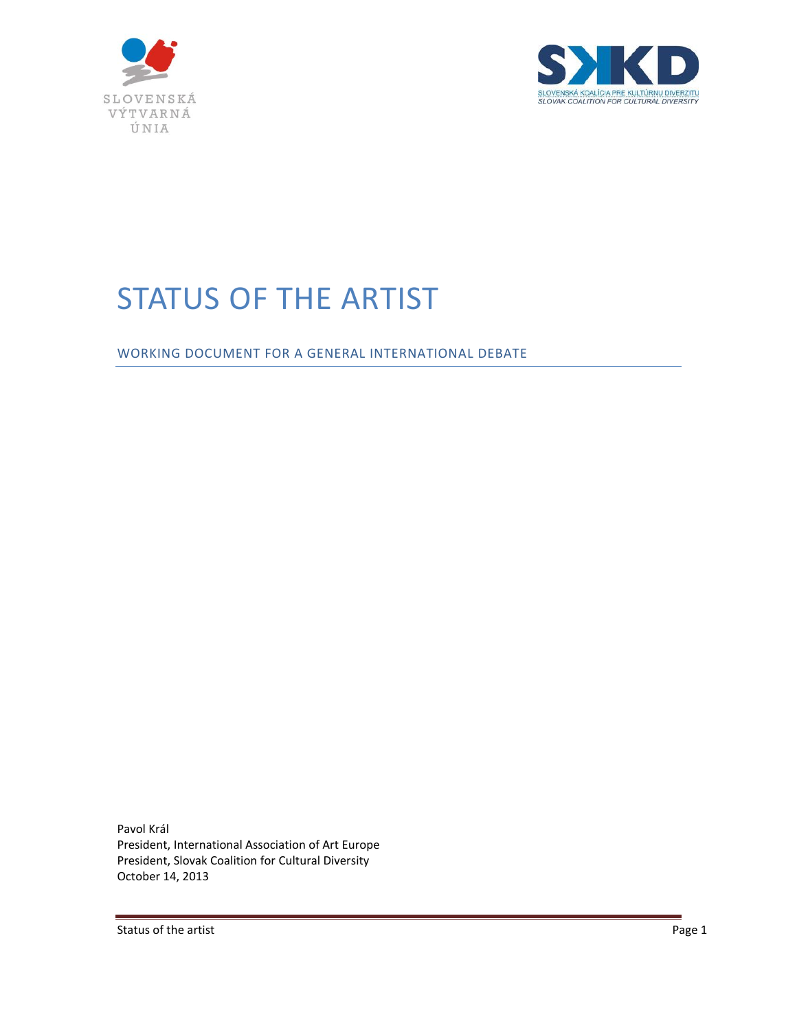



# STATUS OF THE ARTIST

WORKING DOCUMENT FOR A GENERAL INTERNATIONAL DEBATE

Pavol Král President, International Association of Art Europe President, Slovak Coalition for Cultural Diversity October 14, 2013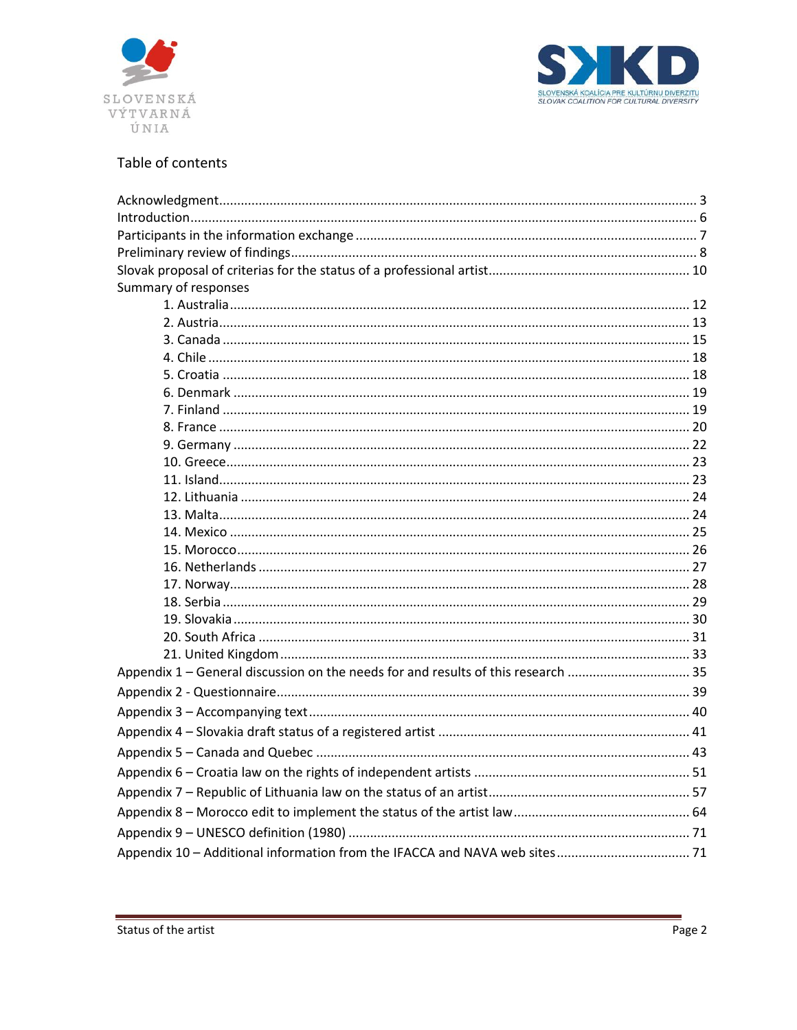



# Table of contents

| Summary of responses                                                              |  |  |
|-----------------------------------------------------------------------------------|--|--|
|                                                                                   |  |  |
|                                                                                   |  |  |
|                                                                                   |  |  |
|                                                                                   |  |  |
|                                                                                   |  |  |
|                                                                                   |  |  |
|                                                                                   |  |  |
|                                                                                   |  |  |
|                                                                                   |  |  |
|                                                                                   |  |  |
|                                                                                   |  |  |
|                                                                                   |  |  |
|                                                                                   |  |  |
|                                                                                   |  |  |
|                                                                                   |  |  |
|                                                                                   |  |  |
|                                                                                   |  |  |
|                                                                                   |  |  |
|                                                                                   |  |  |
|                                                                                   |  |  |
|                                                                                   |  |  |
| Appendix 1 - General discussion on the needs for and results of this research  35 |  |  |
|                                                                                   |  |  |
|                                                                                   |  |  |
|                                                                                   |  |  |
|                                                                                   |  |  |
|                                                                                   |  |  |
|                                                                                   |  |  |
|                                                                                   |  |  |
|                                                                                   |  |  |
|                                                                                   |  |  |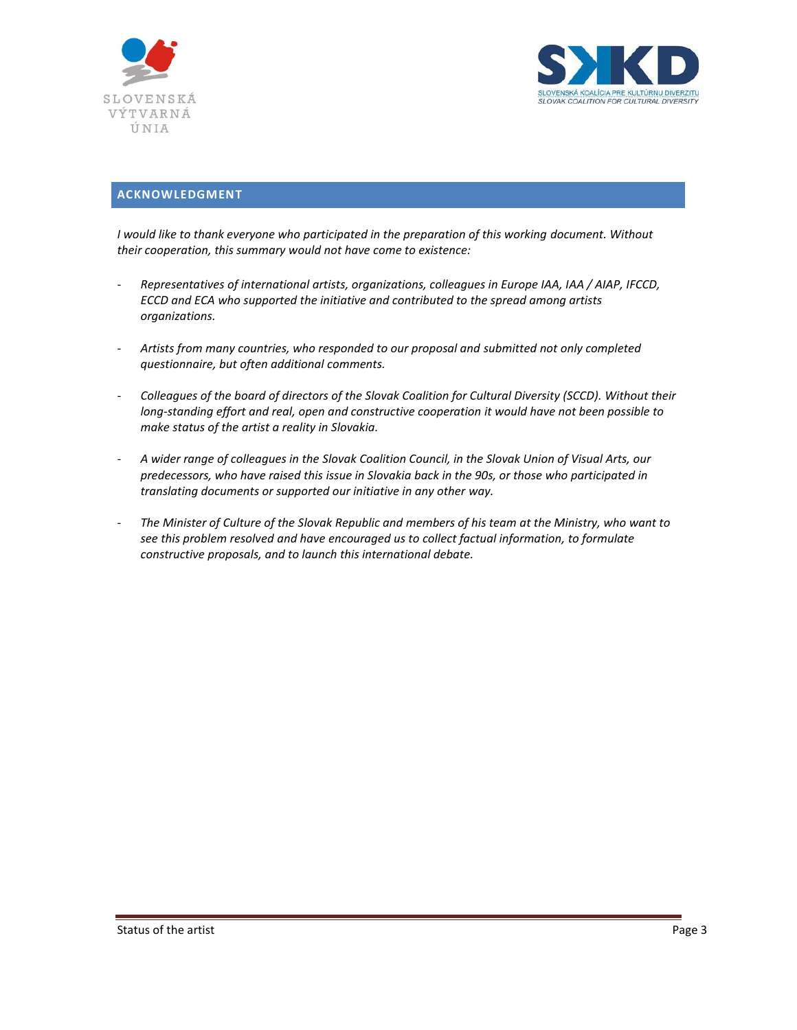



## <span id="page-2-0"></span>**ACKNOWLEDGMENT**

*I would like to thank everyone who participated in the preparation of this working document. Without their cooperation, this summary would not have come to existence:*

- *Representatives of international artists, organizations, colleagues in Europe IAA, IAA / AIAP, IFCCD, ECCD and ECA who supported the initiative and contributed to the spread among artists organizations.*
- *Artists from many countries, who responded to our proposal and submitted not only completed questionnaire, but often additional comments.*
- *Colleagues of the board of directors of the Slovak Coalition for Cultural Diversity (SCCD). Without their long-standing effort and real, open and constructive cooperation it would have not been possible to make status of the artist a reality in Slovakia.*
- *A wider range of colleagues in the Slovak Coalition Council, in the Slovak Union of Visual Arts, our predecessors, who have raised this issue in Slovakia back in the 90s, or those who participated in translating documents or supported our initiative in any other way.*
- *The Minister of Culture of the Slovak Republic and members of his team at the Ministry, who want to see this problem resolved and have encouraged us to collect factual information, to formulate constructive proposals, and to launch this international debate.*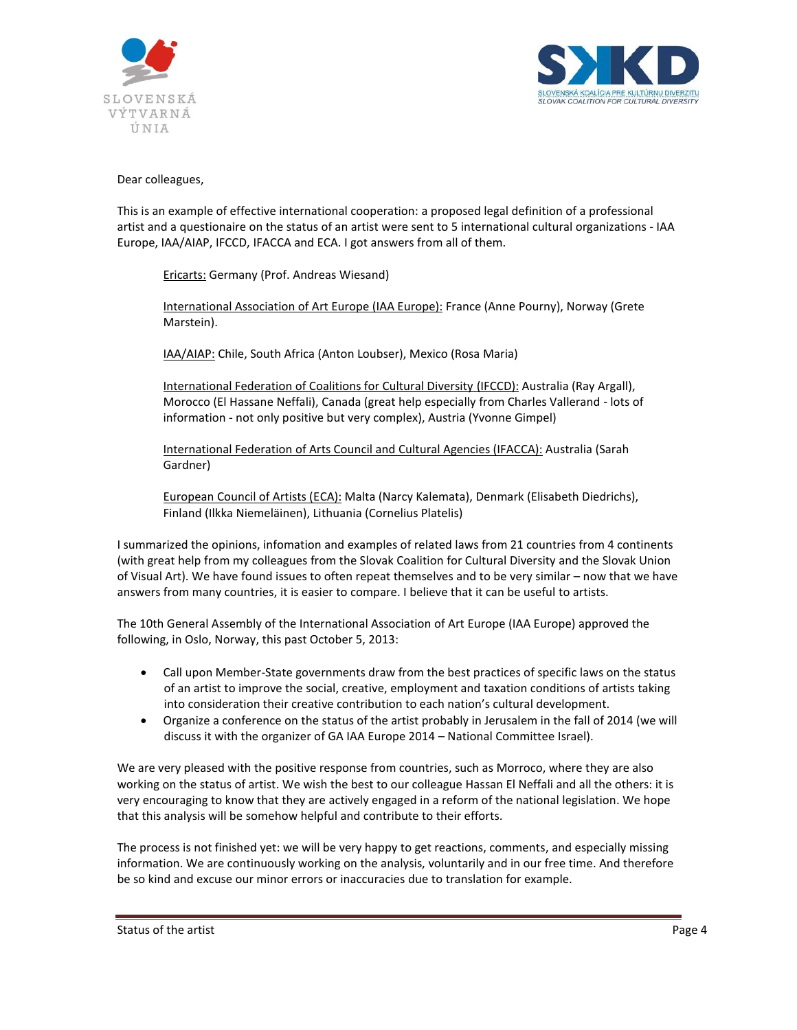



### Dear colleagues,

This is an example of effective international cooperation: a proposed legal definition of a professional artist and a questionaire on the status of an artist were sent to 5 international cultural organizations - IAA Europe, IAA/AIAP, IFCCD, IFACCA and ECA. I got answers from all of them.

Ericarts: Germany (Prof. Andreas Wiesand)

International Association of Art Europe (IAA Europe): France (Anne Pourny), Norway (Grete Marstein).

IAA/AIAP: Chile, South Africa (Anton Loubser), Mexico (Rosa Maria)

International Federation of Coalitions for Cultural Diversity (IFCCD): Australia (Ray Argall), Morocco (El Hassane Neffali), Canada (great help especially from Charles Vallerand - lots of information - not only positive but very complex), Austria (Yvonne Gimpel)

International Federation of Arts Council and Cultural Agencies (IFACCA): Australia (Sarah Gardner)

European Council of Artists (ECA): Malta (Narcy Kalemata), Denmark (Elisabeth Diedrichs), Finland (Ilkka Niemeläinen), Lithuania (Cornelius Platelis)

I summarized the opinions, infomation and examples of related laws from 21 countries from 4 continents (with great help from my colleagues from the Slovak Coalition for Cultural Diversity and the Slovak Union of Visual Art). We have found issues to often repeat themselves and to be very similar – now that we have answers from many countries, it is easier to compare. I believe that it can be useful to artists.

The 10th General Assembly of the International Association of Art Europe (IAA Europe) approved the following, in Oslo, Norway, this past October 5, 2013:

- Call upon Member-State governments draw from the best practices of specific laws on the status of an artist to improve the social, creative, employment and taxation conditions of artists taking into consideration their creative contribution to each nation's cultural development.
- Organize a conference on the status of the artist probably in Jerusalem in the fall of 2014 (we will discuss it with the organizer of GA IAA Europe 2014 – National Committee Israel).

We are very pleased with the positive response from countries, such as Morroco, where they are also working on the status of artist. We wish the best to our colleague Hassan El Neffali and all the others: it is very encouraging to know that they are actively engaged in a reform of the national legislation. We hope that this analysis will be somehow helpful and contribute to their efforts.

The process is not finished yet: we will be very happy to get reactions, comments, and especially missing information. We are continuously working on the analysis, voluntarily and in our free time. And therefore be so kind and excuse our minor errors or inaccuracies due to translation for example.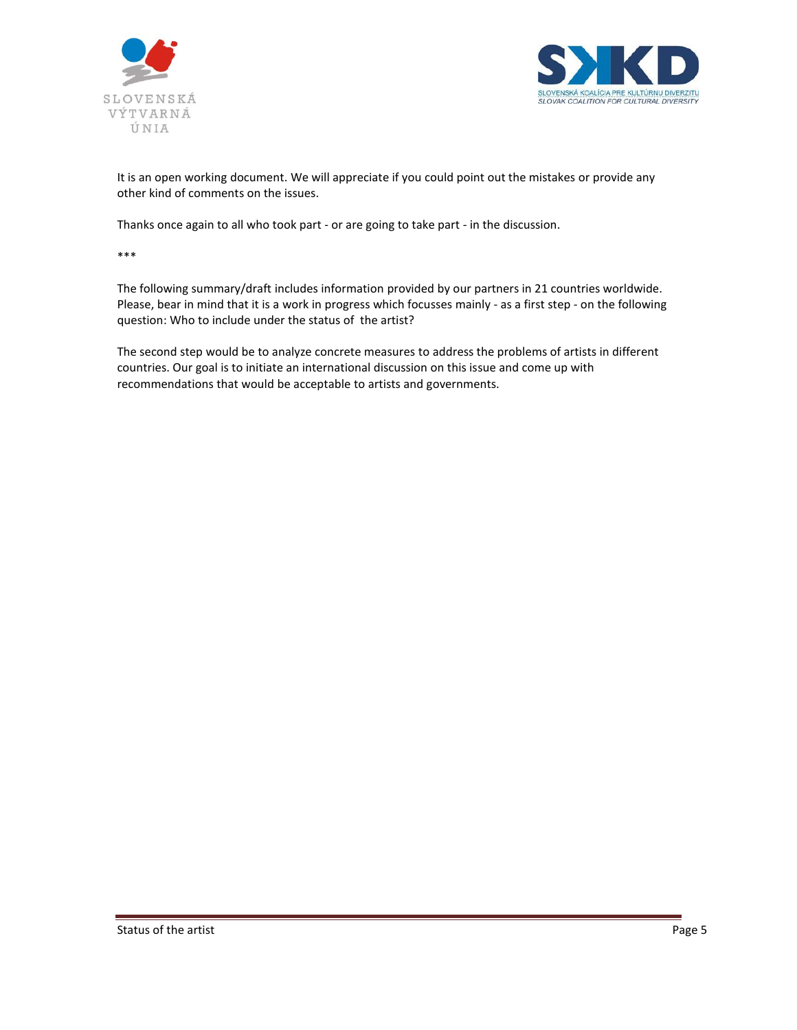



It is an open working document. We will appreciate if you could point out the mistakes or provide any other kind of comments on the issues.

Thanks once again to all who took part - or are going to take part - in the discussion.

\*\*\*

The following summary/draft includes information provided by our partners in 21 countries worldwide. Please, bear in mind that it is a work in progress which focusses mainly - as a first step - on the following question: Who to include under the status of the artist?

The second step would be to analyze concrete measures to address the problems of artists in different countries. Our goal is to initiate an international discussion on this issue and come up with recommendations that would be acceptable to artists and governments.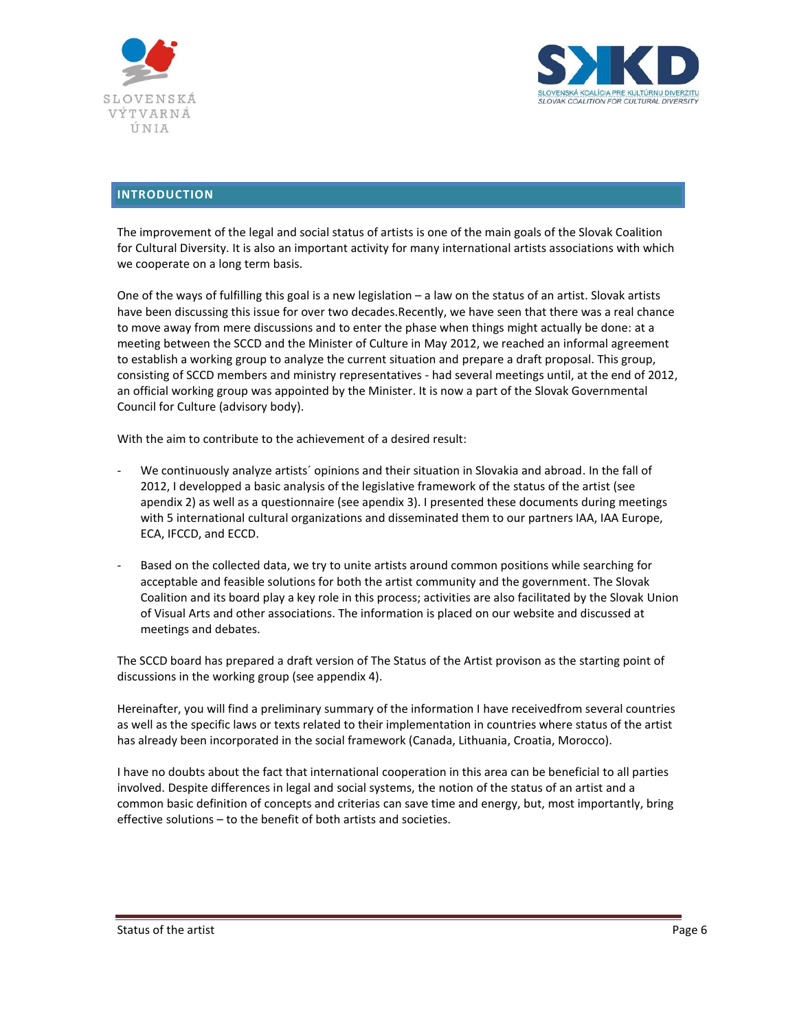



# <span id="page-5-0"></span>**INTRODUCTION**

The improvement of the legal and social status of artists is one of the main goals of the Slovak Coalition for Cultural Diversity. It is also an important activity for many international artists associations with which we cooperate on a long term basis.

One of the ways of fulfilling this goal is a new legislation – a law on the status of an artist. Slovak artists have been discussing this issue for over two decades.Recently, we have seen that there was a real chance to move away from mere discussions and to enter the phase when things might actually be done: at a meeting between the SCCD and the Minister of Culture in May 2012, we reached an informal agreement to establish a working group to analyze the current situation and prepare a draft proposal. This group, consisting of SCCD members and ministry representatives - had several meetings until, at the end of 2012, an official working group was appointed by the Minister. It is now a part of the Slovak Governmental Council for Culture (advisory body).

With the aim to contribute to the achievement of a desired result:

- We continuously analyze artists' opinions and their situation in Slovakia and abroad. In the fall of 2012, I developped a basic analysis of the legislative framework of the status of the artist (see apendix 2) as well as a questionnaire (see apendix 3). I presented these documents during meetings with 5 international cultural organizations and disseminated them to our partners IAA, IAA Europe, ECA, IFCCD, and ECCD.
- Based on the collected data, we try to unite artists around common positions while searching for acceptable and feasible solutions for both the artist community and the government. The Slovak Coalition and its board play a key role in this process; activities are also facilitated by the Slovak Union of Visual Arts and other associations. The information is placed on our website and discussed at meetings and debates.

The SCCD board has prepared a draft version of The Status of the Artist provison as the starting point of discussions in the working group (see appendix 4).

Hereinafter, you will find a preliminary summary of the information I have receivedfrom several countries as well as the specific laws or texts related to their implementation in countries where status of the artist has already been incorporated in the social framework (Canada, Lithuania, Croatia, Morocco).

I have no doubts about the fact that international cooperation in this area can be beneficial to all parties involved. Despite differences in legal and social systems, the notion of the status of an artist and a common basic definition of concepts and criterias can save time and energy, but, most importantly, bring effective solutions – to the benefit of both artists and societies.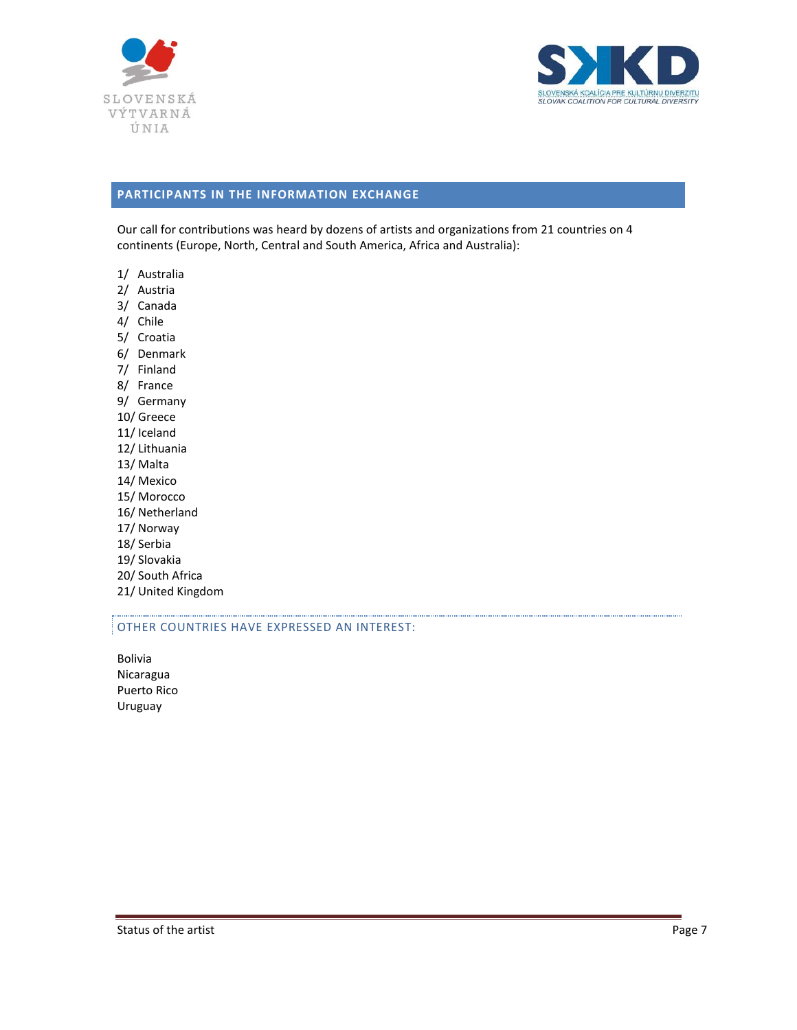



# <span id="page-6-0"></span>**PARTICIPANTS IN THE INFORMATION EXCHANGE**

Our call for contributions was heard by dozens of artists and organizations from 21 countries on 4 continents (Europe, North, Central and South America, Africa and Australia):

- 1/ Australia
- 2/ Austria
- 3/ Canada
- 4/ Chile
- 5/ Croatia
- 6/ Denmark
- 7/ Finland
- 8/ France
- 9/ Germany
- 10/ Greece
- 11/ Iceland
- 12/ Lithuania
- 13/ Malta
- 14/ Mexico
- 15/ Morocco
- 16/ Netherland
- 17/ Norway
- 18/ Serbia
- 19/ Slovakia
- 20/ South Africa
- 21/ United Kingdom

#### OTHER COUNTRIES HAVE EXPRESSED AN INTEREST:

Bolivia Nicaragua Puerto Rico Uruguay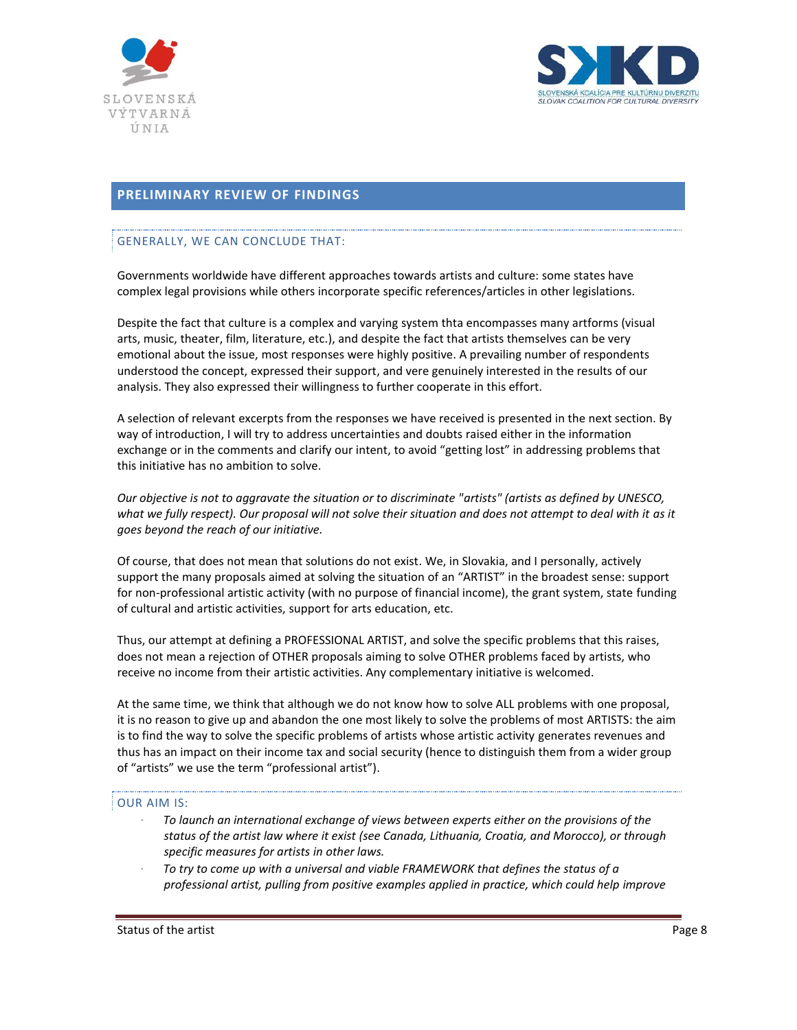



# <span id="page-7-0"></span>**PRELIMINARY REVIEW OF FINDINGS**

## GENERALLY, WE CAN CONCLUDE THAT:

Governments worldwide have different approaches towards artists and culture: some states have complex legal provisions while others incorporate specific references/articles in other legislations.

Despite the fact that culture is a complex and varying system thta encompasses many artforms (visual arts, music, theater, film, literature, etc.), and despite the fact that artists themselves can be very emotional about the issue, most responses were highly positive. A prevailing number of respondents understood the concept, expressed their support, and vere genuinely interested in the results of our analysis. They also expressed their willingness to further cooperate in this effort.

A selection of relevant excerpts from the responses we have received is presented in the next section. By way of introduction, I will try to address uncertainties and doubts raised either in the information exchange or in the comments and clarify our intent, to avoid "getting lost" in addressing problems that this initiative has no ambition to solve.

*Our objective is not to aggravate the situation or to discriminate "artists" (artists as defined by UNESCO, what we fully respect). Our proposal will not solve their situation and does not attempt to deal with it as it goes beyond the reach of our initiative.* 

Of course, that does not mean that solutions do not exist. We, in Slovakia, and I personally, actively support the many proposals aimed at solving the situation of an "ARTIST" in the broadest sense: support for non-professional artistic activity (with no purpose of financial income), the grant system, state funding of cultural and artistic activities, support for arts education, etc.

Thus, our attempt at defining a PROFESSIONAL ARTIST, and solve the specific problems that this raises, does not mean a rejection of OTHER proposals aiming to solve OTHER problems faced by artists, who receive no income from their artistic activities. Any complementary initiative is welcomed.

At the same time, we think that although we do not know how to solve ALL problems with one proposal, it is no reason to give up and abandon the one most likely to solve the problems of most ARTISTS: the aim is to find the way to solve the specific problems of artists whose artistic activity generates revenues and thus has an impact on their income tax and social security (hence to distinguish them from a wider group of "artists" we use the term "professional artist").

### OUR AIM IS:

- ∙ *To launch an international exchange of views between experts either on the provisions of the status of the artist law where it exist (see Canada, Lithuania, Croatia, and Morocco), or through specific measures for artists in other laws.*
- ∙ *To try to come up with a universal and viable FRAMEWORK that defines the status of a professional artist, pulling from positive examples applied in practice, which could help improve*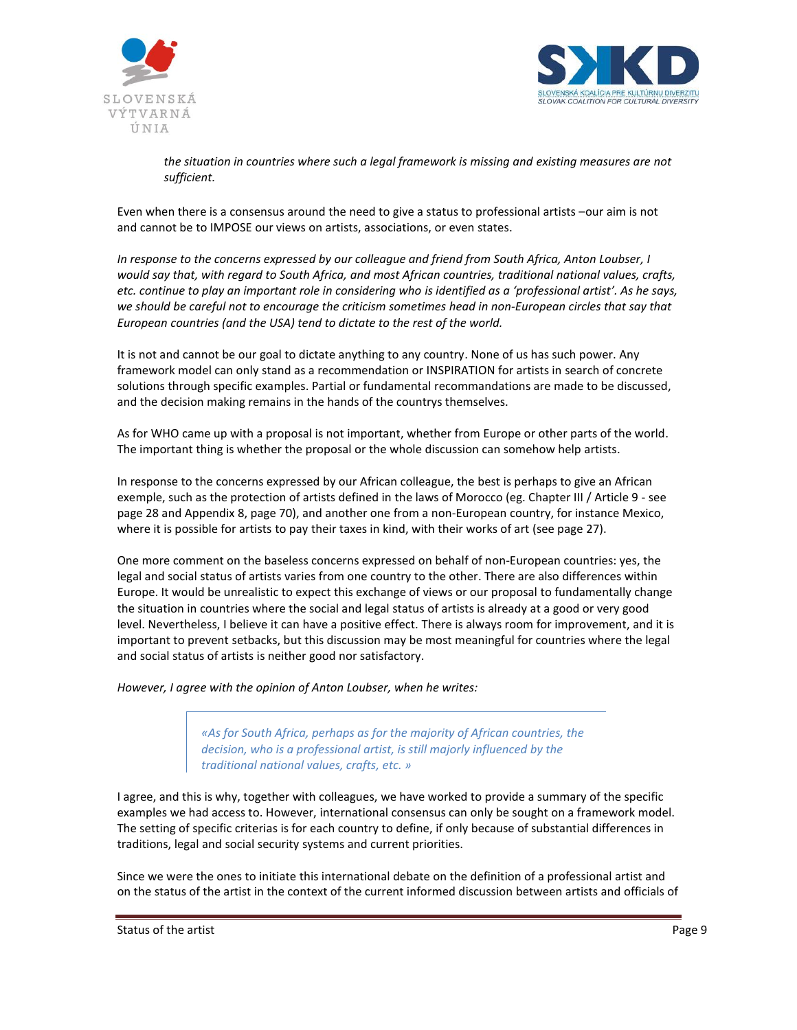



*the situation in countries where such a legal framework is missing and existing measures are not sufficient.*

Even when there is a consensus around the need to give a status to professional artists –our aim is not and cannot be to IMPOSE our views on artists, associations, or even states.

*In response to the concerns expressed by our colleague and friend from South Africa, Anton Loubser, I would say that, with regard to South Africa, and most African countries, traditional national values, crafts, etc. continue to play an important role in considering who is identified as a 'professional artist'. As he says, we should be careful not to encourage the criticism sometimes head in non-European circles that say that European countries (and the USA) tend to dictate to the rest of the world.*

It is not and cannot be our goal to dictate anything to any country. None of us has such power. Any framework model can only stand as a recommendation or INSPIRATION for artists in search of concrete solutions through specific examples. Partial or fundamental recommandations are made to be discussed, and the decision making remains in the hands of the countrys themselves.

As for WHO came up with a proposal is not important, whether from Europe or other parts of the world. The important thing is whether the proposal or the whole discussion can somehow help artists.

In response to the concerns expressed by our African colleague, the best is perhaps to give an African exemple, such as the protection of artists defined in the laws of Morocco (eg. Chapter III / Article 9 - see page 28 and Appendix 8, page 70), and another one from a non-European country, for instance Mexico, where it is possible for artists to pay their taxes in kind, with their works of art (see page 27).

One more comment on the baseless concerns expressed on behalf of non-European countries: yes, the legal and social status of artists varies from one country to the other. There are also differences within Europe. It would be unrealistic to expect this exchange of views or our proposal to fundamentally change the situation in countries where the social and legal status of artists is already at a good or very good level. Nevertheless, I believe it can have a positive effect. There is always room for improvement, and it is important to prevent setbacks, but this discussion may be most meaningful for countries where the legal and social status of artists is neither good nor satisfactory.

*However, I agree with the opinion of Anton Loubser, when he writes:* 

*«As for South Africa, perhaps as for the majority of African countries, the decision, who is a professional artist, is still majorly influenced by the traditional national values, crafts, etc. »*

I agree, and this is why, together with colleagues, we have worked to provide a summary of the specific examples we had access to. However, international consensus can only be sought on a framework model. The setting of specific criterias is for each country to define, if only because of substantial differences in traditions, legal and social security systems and current priorities.

Since we were the ones to initiate this international debate on the definition of a professional artist and on the status of the artist in the context of the current informed discussion between artists and officials of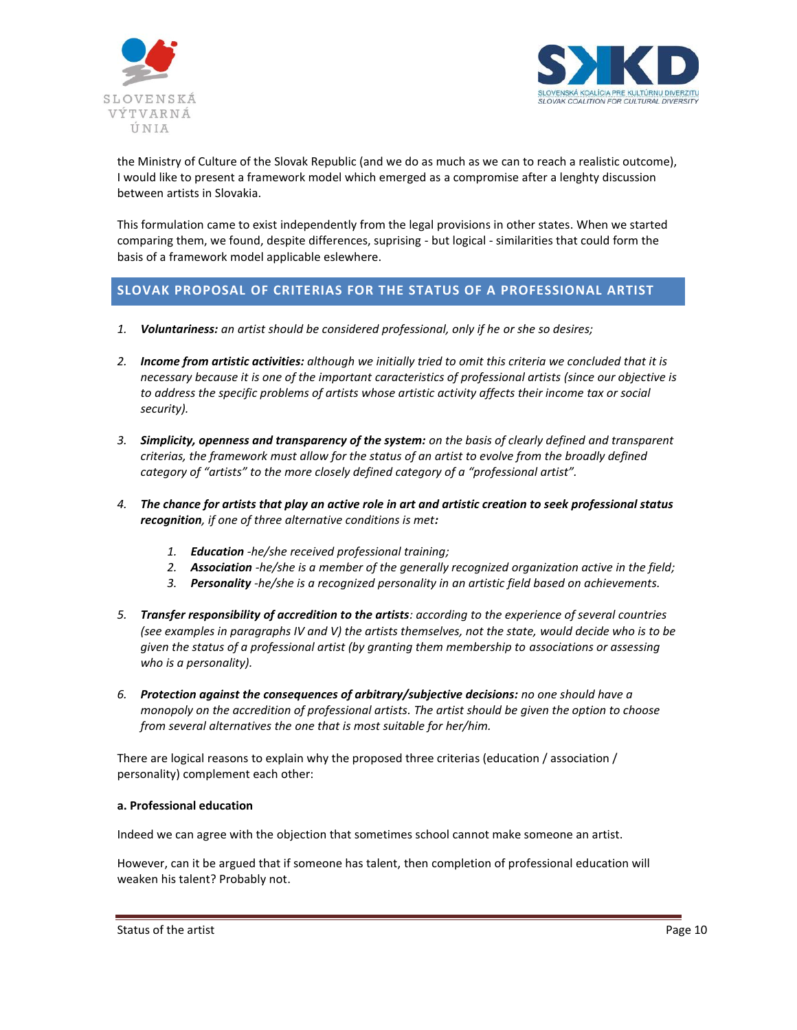



the Ministry of Culture of the Slovak Republic (and we do as much as we can to reach a realistic outcome), I would like to present a framework model which emerged as a compromise after a lenghty discussion between artists in Slovakia.

This formulation came to exist independently from the legal provisions in other states. When we started comparing them, we found, despite differences, suprising - but logical - similarities that could form the basis of a framework model applicable eslewhere.

# <span id="page-9-0"></span>**SLOVAK PROPOSAL OF CRITERIAS FOR THE STATUS OF A PROFESSIONAL ARTIST**

- *1. Voluntariness: an artist should be considered professional, only if he or she so desires;*
- *2. Income from artistic activities: although we initially tried to omit this criteria we concluded that it is necessary because it is one of the important caracteristics of professional artists (since our objective is to address the specific problems of artists whose artistic activity affects their income tax or social security).*
- *3. Simplicity, openness and transparency of the system: on the basis of clearly defined and transparent criterias, the framework must allow for the status of an artist to evolve from the broadly defined category of "artists" to the more closely defined category of a "professional artist".*
- *4. The chance for artists that play an active role in art and artistic creation to seek professional status recognition, if one of three alternative conditions is met:*
	- *1. Education -he/she received professional training;*
	- *2. Association -he/she is a member of the generally recognized organization active in the field;*
	- *3. Personality -he/she is a recognized personality in an artistic field based on achievements.*
- *5. Transfer responsibility of accredition to the artists: according to the experience of several countries (see examples in paragraphs IV and V) the artists themselves, not the state, would decide who is to be given the status of a professional artist (by granting them membership to associations or assessing who is a personality).*
- *6. Protection against the consequences of arbitrary/subjective decisions: no one should have a monopoly on the accredition of professional artists. The artist should be given the option to choose from several alternatives the one that is most suitable for her/him.*

There are logical reasons to explain why the proposed three criterias (education / association / personality) complement each other:

### **a. Professional education**

Indeed we can agree with the objection that sometimes school cannot make someone an artist.

However, can it be argued that if someone has talent, then completion of professional education will weaken his talent? Probably not.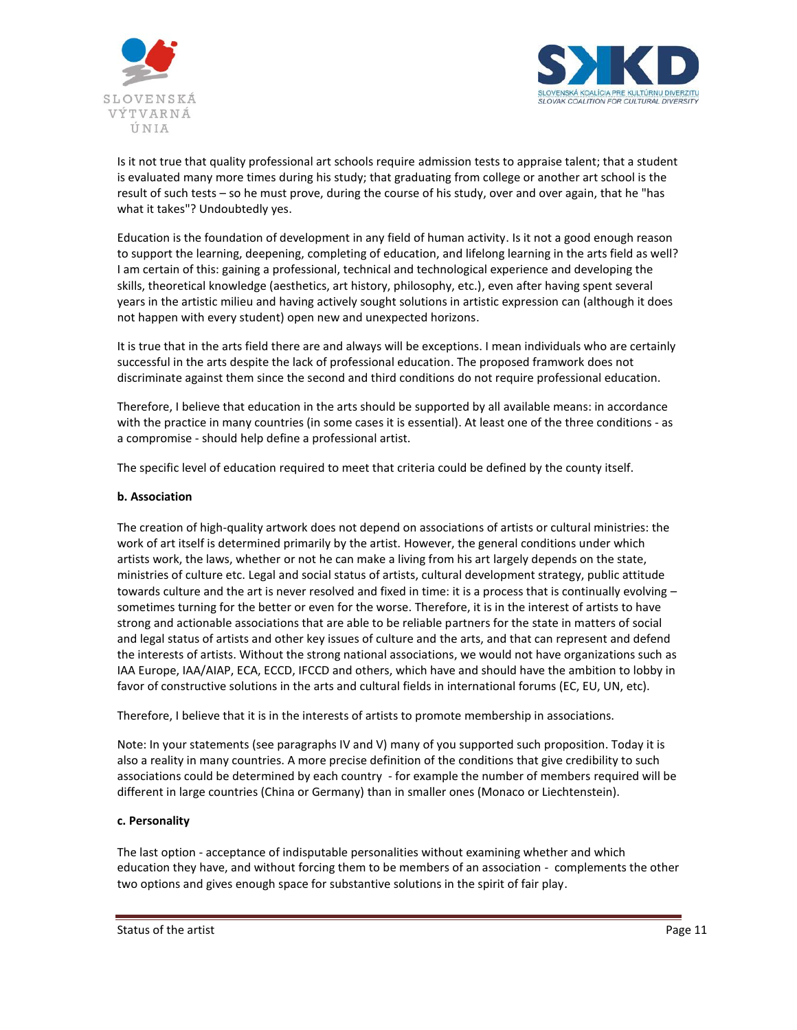



Is it not true that quality professional art schools require admission tests to appraise talent; that a student is evaluated many more times during his study; that graduating from college or another art school is the result of such tests – so he must prove, during the course of his study, over and over again, that he "has what it takes"? Undoubtedly yes.

Education is the foundation of development in any field of human activity. Is it not a good enough reason to support the learning, deepening, completing of education, and lifelong learning in the arts field as well? I am certain of this: gaining a professional, technical and technological experience and developing the skills, theoretical knowledge (aesthetics, art history, philosophy, etc.), even after having spent several years in the artistic milieu and having actively sought solutions in artistic expression can (although it does not happen with every student) open new and unexpected horizons.

It is true that in the arts field there are and always will be exceptions. I mean individuals who are certainly successful in the arts despite the lack of professional education. The proposed framwork does not discriminate against them since the second and third conditions do not require professional education.

Therefore, I believe that education in the arts should be supported by all available means: in accordance with the practice in many countries (in some cases it is essential). At least one of the three conditions - as a compromise - should help define a professional artist.

The specific level of education required to meet that criteria could be defined by the county itself.

#### **b. Association**

The creation of high-quality artwork does not depend on associations of artists or cultural ministries: the work of art itself is determined primarily by the artist. However, the general conditions under which artists work, the laws, whether or not he can make a living from his art largely depends on the state, ministries of culture etc. Legal and social status of artists, cultural development strategy, public attitude towards culture and the art is never resolved and fixed in time: it is a process that is continually evolving – sometimes turning for the better or even for the worse. Therefore, it is in the interest of artists to have strong and actionable associations that are able to be reliable partners for the state in matters of social and legal status of artists and other key issues of culture and the arts, and that can represent and defend the interests of artists. Without the strong national associations, we would not have organizations such as IAA Europe, IAA/AIAP, ECA, ECCD, IFCCD and others, which have and should have the ambition to lobby in favor of constructive solutions in the arts and cultural fields in international forums (EC, EU, UN, etc).

Therefore, I believe that it is in the interests of artists to promote membership in associations.

Note: In your statements (see paragraphs IV and V) many of you supported such proposition. Today it is also a reality in many countries. A more precise definition of the conditions that give credibility to such associations could be determined by each country - for example the number of members required will be different in large countries (China or Germany) than in smaller ones (Monaco or Liechtenstein).

#### **c. Personality**

The last option - acceptance of indisputable personalities without examining whether and which education they have, and without forcing them to be members of an association - complements the other two options and gives enough space for substantive solutions in the spirit of fair play.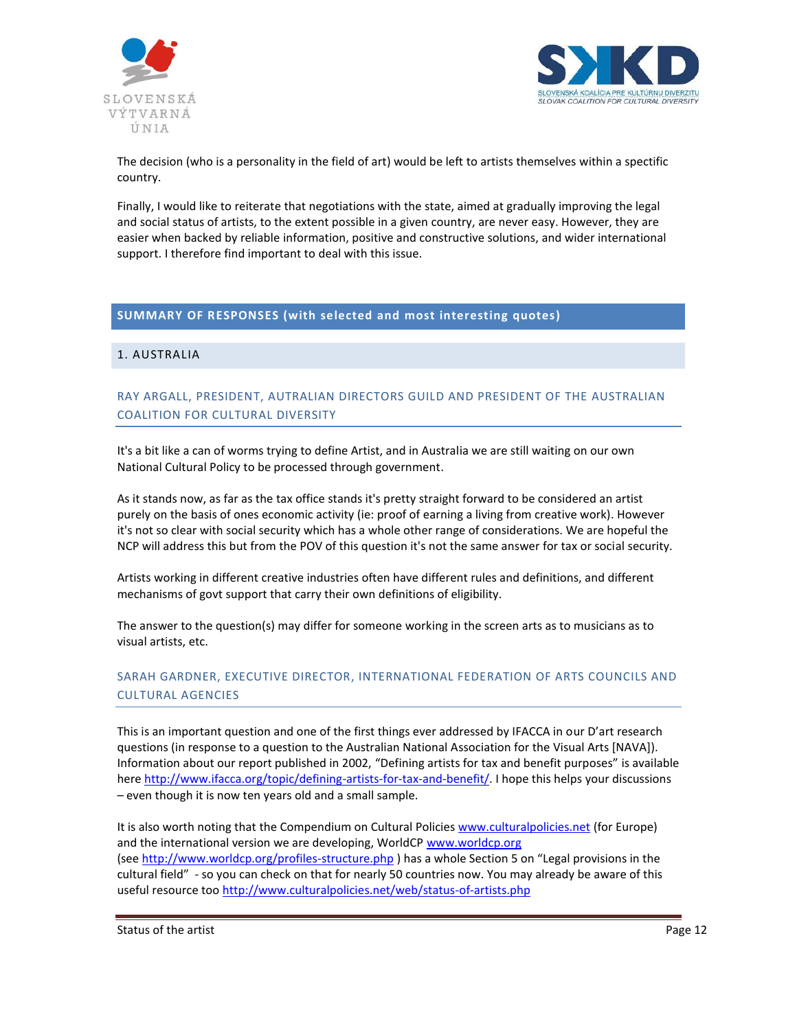



The decision (who is a personality in the field of art) would be left to artists themselves within a spectific country.

Finally, I would like to reiterate that negotiations with the state, aimed at gradually improving the legal and social status of artists, to the extent possible in a given country, are never easy. However, they are easier when backed by reliable information, positive and constructive solutions, and wider international support. I therefore find important to deal with this issue.

# <span id="page-11-0"></span>**SUMMARY OF RESPONSES (with selected and most interesting quotes)**

# <span id="page-11-1"></span>1. AUSTRALIA

# RAY ARGALL, PRESIDENT, AUTRALIAN DIRECTORS GUILD AND PRESIDENT OF THE AUSTRALIAN COALITION FOR CULTURAL DIVERSITY

It's a bit like a can of worms trying to define Artist, and in Australia we are still waiting on our own National Cultural Policy to be processed through government.

As it stands now, as far as the tax office stands it's pretty straight forward to be considered an artist purely on the basis of ones economic activity (ie: proof of earning a living from creative work). However it's not so clear with social security which has a whole other range of considerations. We are hopeful the NCP will address this but from the POV of this question it's not the same answer for tax or social security.

Artists working in different creative industries often have different rules and definitions, and different mechanisms of govt support that carry their own definitions of eligibility.

The answer to the question(s) may differ for someone working in the screen arts as to musicians as to visual artists, etc.

# SARAH GARDNER, EXECUTIVE DIRECTOR, INTERNATIONAL FEDERATION OF ARTS COUNCILS AND CULTURAL AGENCIES

This is an important question and one of the first things ever addressed by IFACCA in our D'art research questions (in response to a question to the Australian National Association for the Visual Arts [NAVA]). Information about our report published in 2002, "Defining artists for tax and benefit purposes" is available here [http://www.ifacca.org/topic/defining-artists-for-tax-and-benefit/.](http://www.ifacca.org/topic/defining-artists-for-tax-and-benefit/) I hope this helps your discussions – even though it is now ten years old and a small sample.

It is also worth noting that the Compendium on Cultural Policies [www.culturalpolicies.net](http://www.culturalpolicies.net/) (for Europe) and the international version we are developing, WorldC[P www.worldcp.org](http://www.worldcp.org/) (see <http://www.worldcp.org/profiles-structure.php>) has a whole Section 5 on "Legal provisions in the cultural field" - so you can check on that for nearly 50 countries now. You may already be aware of this useful resource too<http://www.culturalpolicies.net/web/status-of-artists.php>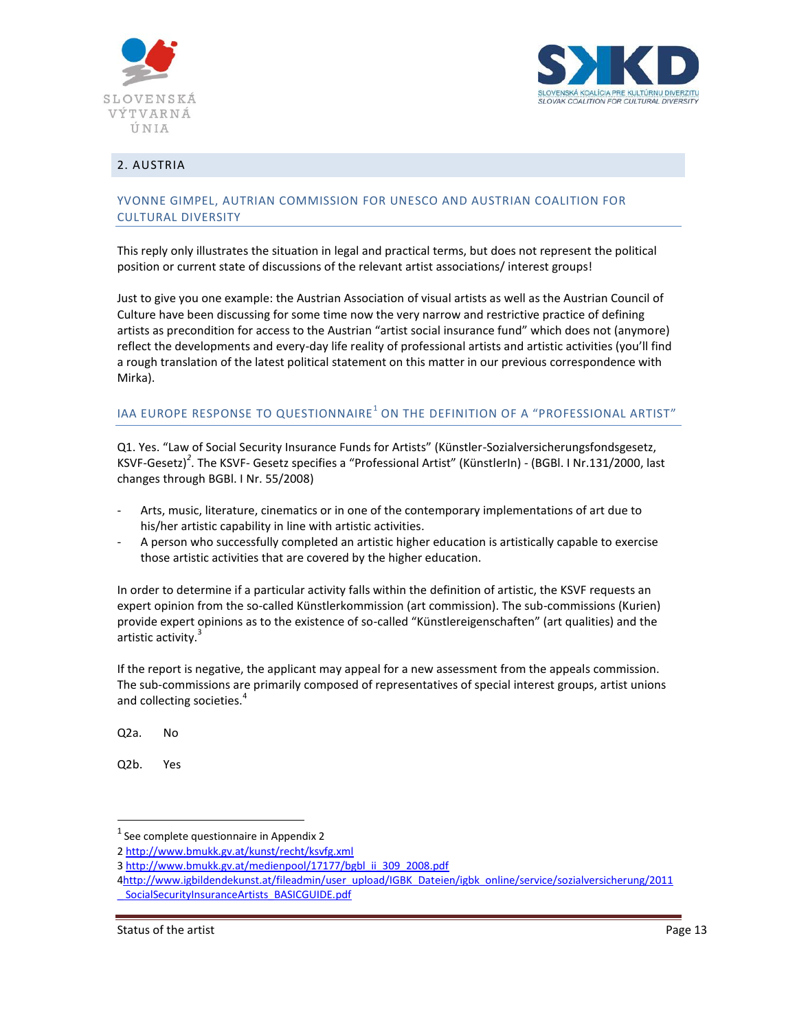



## <span id="page-12-0"></span>2. AUSTRIA

## YVONNE GIMPEL, AUTRIAN COMMISSION FOR UNESCO AND AUSTRIAN COALITION FOR CULTURAL DIVERSITY

This reply only illustrates the situation in legal and practical terms, but does not represent the political position or current state of discussions of the relevant artist associations/ interest groups!

Just to give you one example: the Austrian Association of visual artists as well as the Austrian Council of Culture have been discussing for some time now the very narrow and restrictive practice of defining artists as precondition for access to the Austrian "artist social insurance fund" which does not (anymore) reflect the developments and every-day life reality of professional artists and artistic activities (you'll find a rough translation of the latest political statement on this matter in our previous correspondence with Mirka).

# IAA EUROPE RESPONSE TO QUESTIONNAIRE $^{\rm 1}$  ON THE DEFINITION OF A "PROFESSIONAL ARTIST"

Q1. Yes. "Law of Social Security Insurance Funds for Artists" (Künstler-Sozialversicherungsfondsgesetz, KSVF-Gesetz)*<sup>2</sup>* . The KSVF- Gesetz specifies a "Professional Artist" (KünstlerIn) - (BGBl. I Nr.131/2000, last changes through BGBl. I Nr. 55/2008)

- Arts, music, literature, cinematics or in one of the contemporary implementations of art due to his/her artistic capability in line with artistic activities.
- A person who successfully completed an artistic higher education is artistically capable to exercise those artistic activities that are covered by the higher education.

In order to determine if a particular activity falls within the definition of artistic, the KSVF requests an expert opinion from the so-called Künstlerkommission (art commission). The sub-commissions (Kurien) provide expert opinions as to the existence of so-called "Künstlereigenschaften" (art qualities) and the artistic activity.<sup>3</sup>

If the report is negative, the applicant may appeal for a new assessment from the appeals commission. The sub-commissions are primarily composed of representatives of special interest groups, artist unions and collecting societies.<sup>4</sup>

Q2a. No

Q2b. Yes

 $\overline{a}$ 

 $<sup>1</sup>$  See complete questionnaire in Appendix 2</sup>

<sup>2</sup> <http://www.bmukk.gv.at/kunst/recht/ksvfg.xml>

<sup>3</sup> [http://www.bmukk.gv.at/medienpool/17177/bgbl\\_ii\\_309\\_2008.pdf](http://www.bmukk.gv.at/medienpool/17177/bgbl_ii_309_2008.pdf)

[<sup>4</sup>http://www.igbildendekunst.at/fileadmin/user\\_upload/IGBK\\_Dateien/igbk\\_online/service/sozialversicherung/2011](http://www.igbildendekunst.at/fileadmin/user_upload/IGBK_Dateien/igbk_online/service/sozialversicherung/2011_%20SocialSecurityInsuranceArtists_BASICGUIDE.pdf) [\\_ SocialSecurityInsuranceArtists\\_BASICGUIDE.pdf](http://www.igbildendekunst.at/fileadmin/user_upload/IGBK_Dateien/igbk_online/service/sozialversicherung/2011_%20SocialSecurityInsuranceArtists_BASICGUIDE.pdf)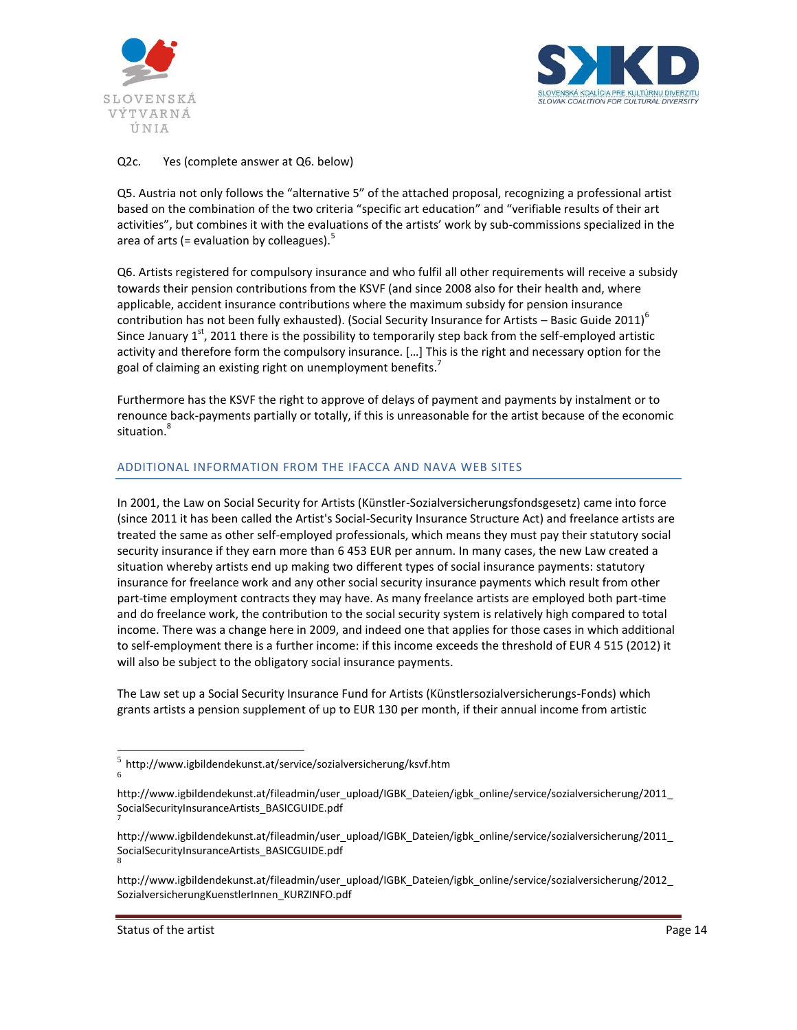



## Q2c. Yes (complete answer at Q6. below)

Q5. Austria not only follows the "alternative 5" of the attached proposal, recognizing a professional artist based on the combination of the two criteria "specific art education" and "verifiable results of their art activities", but combines it with the evaluations of the artists' work by sub-commissions specialized in the area of arts (= evaluation by colleagues).<sup>5</sup>

Q6. Artists registered for compulsory insurance and who fulfil all other requirements will receive a subsidy towards their pension contributions from the KSVF (and since 2008 also for their health and, where applicable, accident insurance contributions where the maximum subsidy for pension insurance contribution has not been fully exhausted). (Social Security Insurance for Artists – Basic Guide 2011)<sup>6</sup> Since January  $1^{st}$ , 2011 there is the possibility to temporarily step back from the self-employed artistic activity and therefore form the compulsory insurance. […] This is the right and necessary option for the goal of claiming an existing right on unemployment benefits.<sup>7</sup>

Furthermore has the KSVF the right to approve of delays of payment and payments by instalment or to renounce back-payments partially or totally, if this is unreasonable for the artist because of the economic situation.<sup>8</sup>

## ADDITIONAL INFORMATION FROM THE IFACCA AND NAVA WEB SITES

In 2001, the Law on Social Security for Artists (Künstler-Sozialversicherungsfondsgesetz) came into force (since 2011 it has been called the Artist's Social-Security Insurance Structure Act) and freelance artists are treated the same as other self-employed professionals, which means they must pay their statutory social security insurance if they earn more than 6 453 EUR per annum. In many cases, the new Law created a situation whereby artists end up making two different types of social insurance payments: statutory insurance for freelance work and any other social security insurance payments which result from other part-time employment contracts they may have. As many freelance artists are employed both part-time and do freelance work, the contribution to the social security system is relatively high compared to total income. There was a change here in 2009, and indeed one that applies for those cases in which additional to self-employment there is a further income: if this income exceeds the threshold of EUR 4 515 (2012) it will also be subject to the obligatory social insurance payments.

The Law set up a Social Security Insurance Fund for Artists (Künstlersozialversicherungs-Fonds) which grants artists a pension supplement of up to EUR 130 per month, if their annual income from artistic

 $\overline{a}$ 

7

 $^5$  http://www.igbildendekunst.at/service/sozialversicherung/ksvf.htm<br>6

[http://www.igbildendekunst.at/fileadmin/user\\_upload/IGBK\\_Dateien/igbk\\_online/service/sozialversicherung/2011\\_](http://www.igbildendekunst.at/fileadmin/user_upload/IGBK_Dateien/igbk_online/service/sozialversicherung/2011_%20SocialSecurityInsuranceArtists_BASICGUIDE.pdf)  [SocialSecurityInsuranceArtists\\_BASICGUIDE.pdf](http://www.igbildendekunst.at/fileadmin/user_upload/IGBK_Dateien/igbk_online/service/sozialversicherung/2011_%20SocialSecurityInsuranceArtists_BASICGUIDE.pdf)

[http://www.igbildendekunst.at/fileadmin/user\\_upload/IGBK\\_Dateien/igbk\\_online/service/sozialversicherung/2011\\_](http://www.igbildendekunst.at/fileadmin/user_upload/IGBK_Dateien/igbk_online/service/sozialversicherung/2011_%20SocialSecurityInsuranceArtists_BASICGUIDE.pdf)  [SocialSecurityInsuranceArtists\\_BASICGUIDE.pdf](http://www.igbildendekunst.at/fileadmin/user_upload/IGBK_Dateien/igbk_online/service/sozialversicherung/2011_%20SocialSecurityInsuranceArtists_BASICGUIDE.pdf) 8

[http://www.igbildendekunst.at/fileadmin/user\\_upload/IGBK\\_Dateien/igbk\\_online/service/sozialversicherung/2012\\_](http://www.igbildendekunst.at/fileadmin/user_upload/IGBK_Dateien/igbk_online/service/sozialversicherung/2012_) SozialversicherungKuenstlerInnen\_KURZINFO.pdf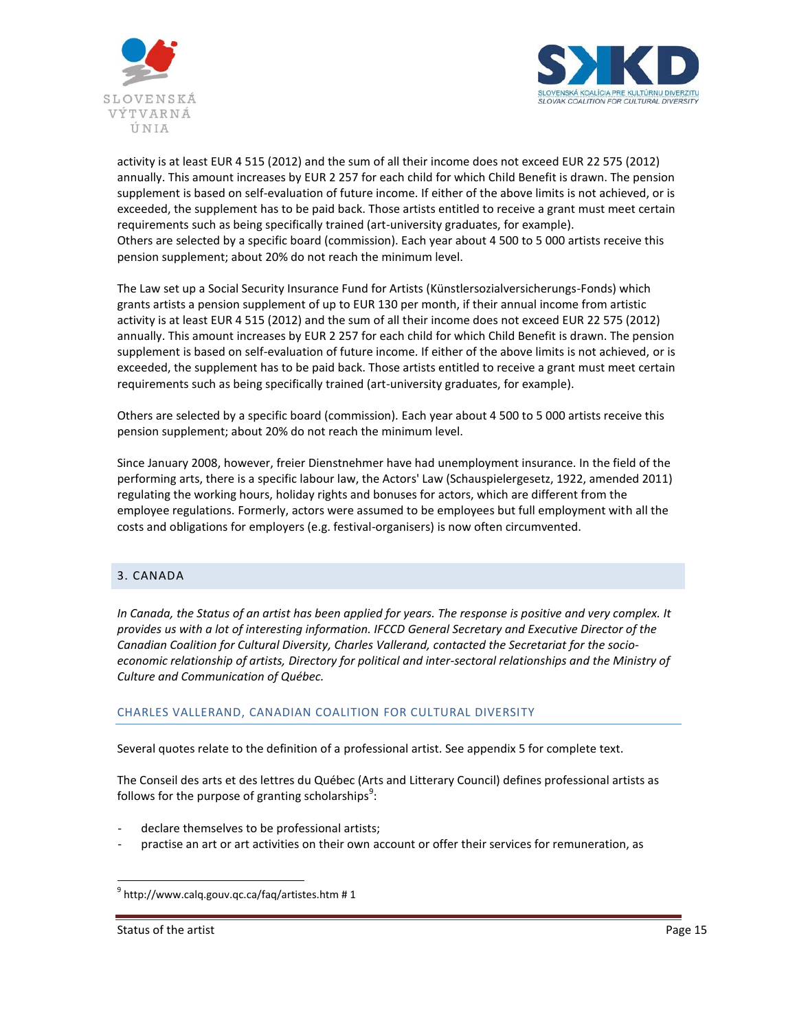



activity is at least EUR 4 515 (2012) and the sum of all their income does not exceed EUR 22 575 (2012) annually. This amount increases by EUR 2 257 for each child for which Child Benefit is drawn. The pension supplement is based on self-evaluation of future income. If either of the above limits is not achieved, or is exceeded, the supplement has to be paid back. Those artists entitled to receive a grant must meet certain requirements such as being specifically trained (art-university graduates, for example). Others are selected by a specific board (commission). Each year about 4 500 to 5 000 artists receive this pension supplement; about 20% do not reach the minimum level.

The Law set up a Social Security Insurance Fund for Artists (Künstlersozialversicherungs-Fonds) which grants artists a pension supplement of up to EUR 130 per month, if their annual income from artistic activity is at least EUR 4 515 (2012) and the sum of all their income does not exceed EUR 22 575 (2012) annually. This amount increases by EUR 2 257 for each child for which Child Benefit is drawn. The pension supplement is based on self-evaluation of future income. If either of the above limits is not achieved, or is exceeded, the supplement has to be paid back. Those artists entitled to receive a grant must meet certain requirements such as being specifically trained (art-university graduates, for example).

Others are selected by a specific board (commission). Each year about 4 500 to 5 000 artists receive this pension supplement; about 20% do not reach the minimum level.

Since January 2008, however, freier Dienstnehmer have had unemployment insurance. In the field of the performing arts, there is a specific labour law, the Actors' Law (Schauspielergesetz, 1922, amended 2011) regulating the working hours, holiday rights and bonuses for actors, which are different from the employee regulations. Formerly, actors were assumed to be employees but full employment with all the costs and obligations for employers (e.g. festival-organisers) is now often circumvented.

## <span id="page-14-0"></span>3. CANADA

*In Canada, the Status of an artist has been applied for years. The response is positive and very complex. It provides us with a lot of interesting information. IFCCD General Secretary and Executive Director of the Canadian Coalition for Cultural Diversity, Charles Vallerand, contacted the Secretariat for the socioeconomic relationship of artists, Directory for political and inter-sectoral relationships and the Ministry of Culture and Communication of Québec.* 

### CHARLES VALLERAND, CANADIAN COALITION FOR CULTURAL DIVERSITY

Several quotes relate to the definition of a professional artist. See appendix 5 for complete text.

The Conseil des arts et des lettres du Québec (Arts and Litterary Council) defines professional artists as follows for the purpose of granting scholarships $^3$ :

- declare themselves to be professional artists;
- practise an art or art activities on their own account or offer their services for remuneration, as

Status of the artist **Page 15** and the artist **Page 15** and the artist **Page 15** and the artist **Page 15** and the artist **Page 15** and the artist **Page 15** and the artist **Page 15** and the artist **Page 15** and the artist

g<br><sup>9</sup> http://www.calq.gouv.qc.ca/faq/artistes.htm # 1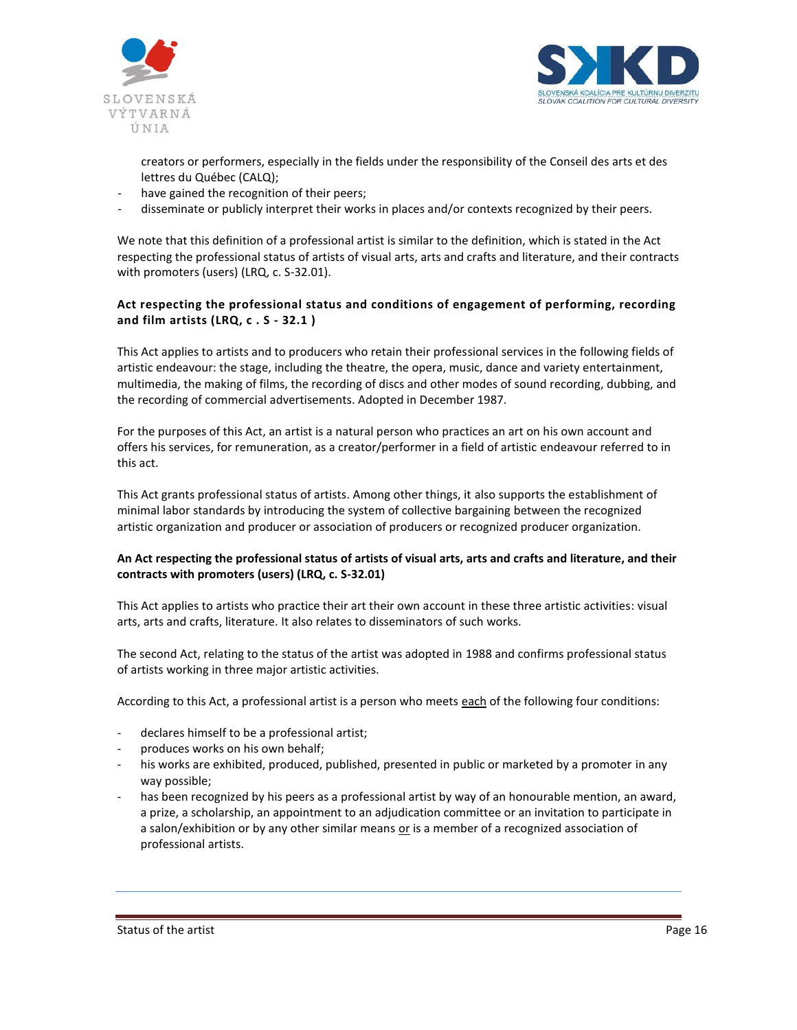



creators or performers, especially in the fields under the responsibility of the Conseil des arts et des lettres du Québec (CALQ);

- have gained the recognition of their peers;
- disseminate or publicly interpret their works in places and/or contexts recognized by their peers.

We note that this definition of a professional artist is similar to the definition, which is stated in the Act respecting the professional status of artists of visual arts, arts and crafts and literature, and their contracts with promoters (users) (LRQ, c. S-32.01).

## **Act respecting the professional status and conditions of engagement of performing, recording and film artists (LRQ, c . S - 32.1 )**

This Act applies to artists and to producers who retain their professional services in the following fields of artistic endeavour: the stage, including the theatre, the opera, music, dance and variety entertainment, multimedia, the making of films, the recording of discs and other modes of sound recording, dubbing, and the recording of commercial advertisements. Adopted in December 1987.

For the purposes of this Act, an artist is a natural person who practices an art on his own account and offers his services, for remuneration, as a creator/performer in a field of artistic endeavour referred to in this act.

This Act grants professional status of artists. Among other things, it also supports the establishment of minimal labor standards by introducing the system of collective bargaining between the recognized artistic organization and producer or association of producers or recognized producer organization.

## **An Act respecting the professional status of artists of visual arts, arts and crafts and literature, and their contracts with promoters (users) (LRQ, c. S-32.01)**

This Act applies to artists who practice their art their own account in these three artistic activities: visual arts, arts and crafts, literature. It also relates to disseminators of such works.

The second Act, relating to the status of the artist was adopted in 1988 and confirms professional status of artists working in three major artistic activities.

According to this Act, a professional artist is a person who meets each of the following four conditions:

- declares himself to be a professional artist;
- produces works on his own behalf;
- his works are exhibited, produced, published, presented in public or marketed by a promoter in any way possible;
- has been recognized by his peers as a professional artist by way of an honourable mention, an award, a prize, a scholarship, an appointment to an adjudication committee or an invitation to participate in a salon/exhibition or by any other similar means or is a member of a recognized association of professional artists.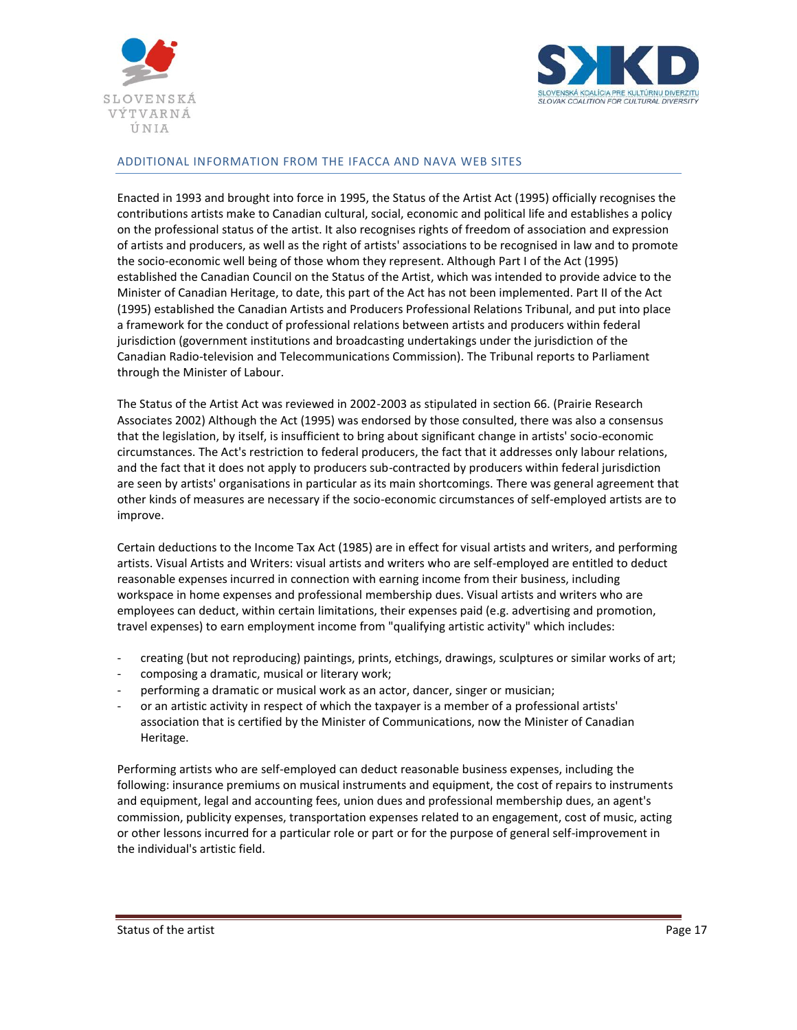



## ADDITIONAL INFORMATION FROM THE IFACCA AND NAVA WEB SITES

Enacted in 1993 and brought into force in 1995, the Status of the Artist Act (1995) officially recognises the contributions artists make to Canadian cultural, social, economic and political life and establishes a policy on the professional status of the artist. It also recognises rights of freedom of association and expression of artists and producers, as well as the right of artists' associations to be recognised in law and to promote the socio-economic well being of those whom they represent. Although Part I of the Act (1995) established the Canadian Council on the Status of the Artist, which was intended to provide advice to the Minister of Canadian Heritage, to date, this part of the Act has not been implemented. Part II of the Act (1995) established the Canadian Artists and Producers Professional Relations Tribunal, and put into place a framework for the conduct of professional relations between artists and producers within federal jurisdiction (government institutions and broadcasting undertakings under the jurisdiction of the Canadian Radio-television and Telecommunications Commission). The Tribunal reports to Parliament through the Minister of Labour.

The Status of the Artist Act was reviewed in 2002-2003 as stipulated in section 66. (Prairie Research Associates 2002) Although the Act (1995) was endorsed by those consulted, there was also a consensus that the legislation, by itself, is insufficient to bring about significant change in artists' socio-economic circumstances. The Act's restriction to federal producers, the fact that it addresses only labour relations, and the fact that it does not apply to producers sub-contracted by producers within federal jurisdiction are seen by artists' organisations in particular as its main shortcomings. There was general agreement that other kinds of measures are necessary if the socio-economic circumstances of self-employed artists are to improve.

Certain deductions to the Income Tax Act (1985) are in effect for visual artists and writers, and performing artists. Visual Artists and Writers: visual artists and writers who are self-employed are entitled to deduct reasonable expenses incurred in connection with earning income from their business, including workspace in home expenses and professional membership dues. Visual artists and writers who are employees can deduct, within certain limitations, their expenses paid (e.g. advertising and promotion, travel expenses) to earn employment income from "qualifying artistic activity" which includes:

- creating (but not reproducing) paintings, prints, etchings, drawings, sculptures or similar works of art;
- composing a dramatic, musical or literary work;
- performing a dramatic or musical work as an actor, dancer, singer or musician;
- or an artistic activity in respect of which the taxpayer is a member of a professional artists' association that is certified by the Minister of Communications, now the Minister of Canadian Heritage.

Performing artists who are self-employed can deduct reasonable business expenses, including the following: insurance premiums on musical instruments and equipment, the cost of repairs to instruments and equipment, legal and accounting fees, union dues and professional membership dues, an agent's commission, publicity expenses, transportation expenses related to an engagement, cost of music, acting or other lessons incurred for a particular role or part or for the purpose of general self-improvement in the individual's artistic field.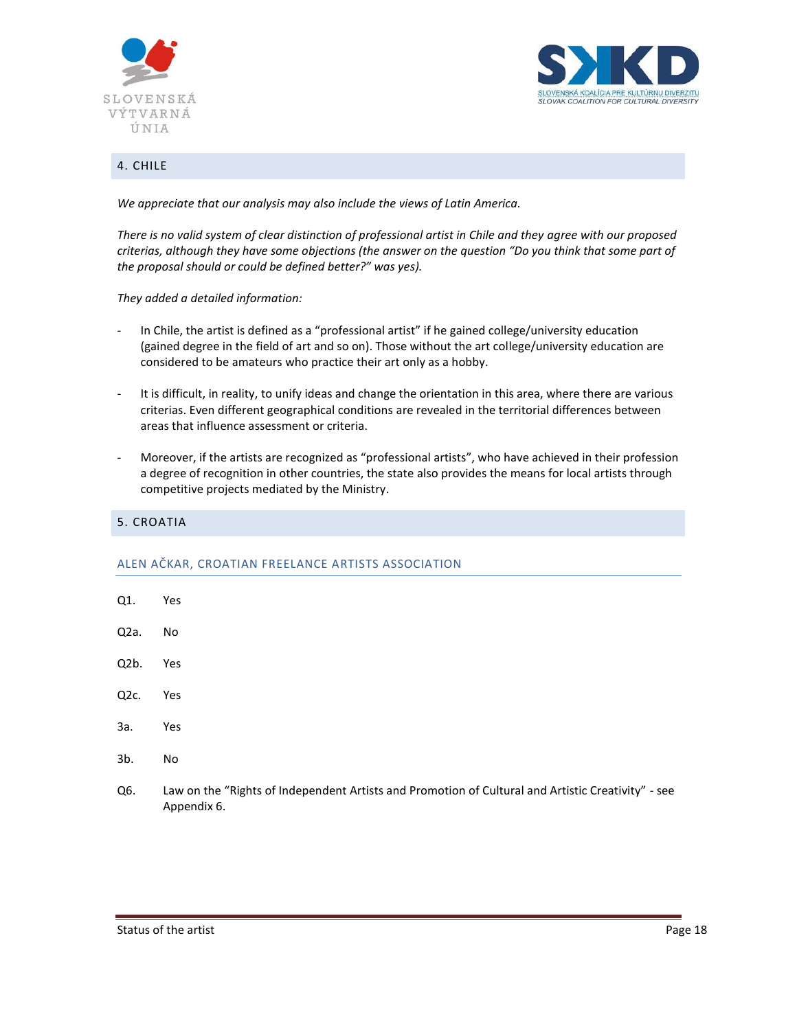



## <span id="page-17-0"></span>4. CHILE

*We appreciate that our analysis may also include the views of Latin America.* 

*There is no valid system of clear distinction of professional artist in Chile and they agree with our proposed criterias, although they have some objections (the answer on the question "Do you think that some part of the proposal should or could be defined better?" was yes).*

*They added a detailed information:*

- In Chile, the artist is defined as a "professional artist" if he gained college/university education (gained degree in the field of art and so on). Those without the art college/university education are considered to be amateurs who practice their art only as a hobby.
- It is difficult, in reality, to unify ideas and change the orientation in this area, where there are various criterias. Even different geographical conditions are revealed in the territorial differences between areas that influence assessment or criteria.
- Moreover, if the artists are recognized as "professional artists", who have achieved in their profession a degree of recognition in other countries, the state also provides the means for local artists through competitive projects mediated by the Ministry.

## <span id="page-17-1"></span>5. CROATIA

### ALEN AČKAR, CROATIAN FREELANCE ARTISTS ASSOCIATION

- Q1. Yes
- Q2a. No
- Q2b. Yes
- Q2c. Yes
- 3a. Yes
- 3b. No
- Q6. Law on the "Rights of Independent Artists and Promotion of Cultural and Artistic Creativity" see Appendix 6.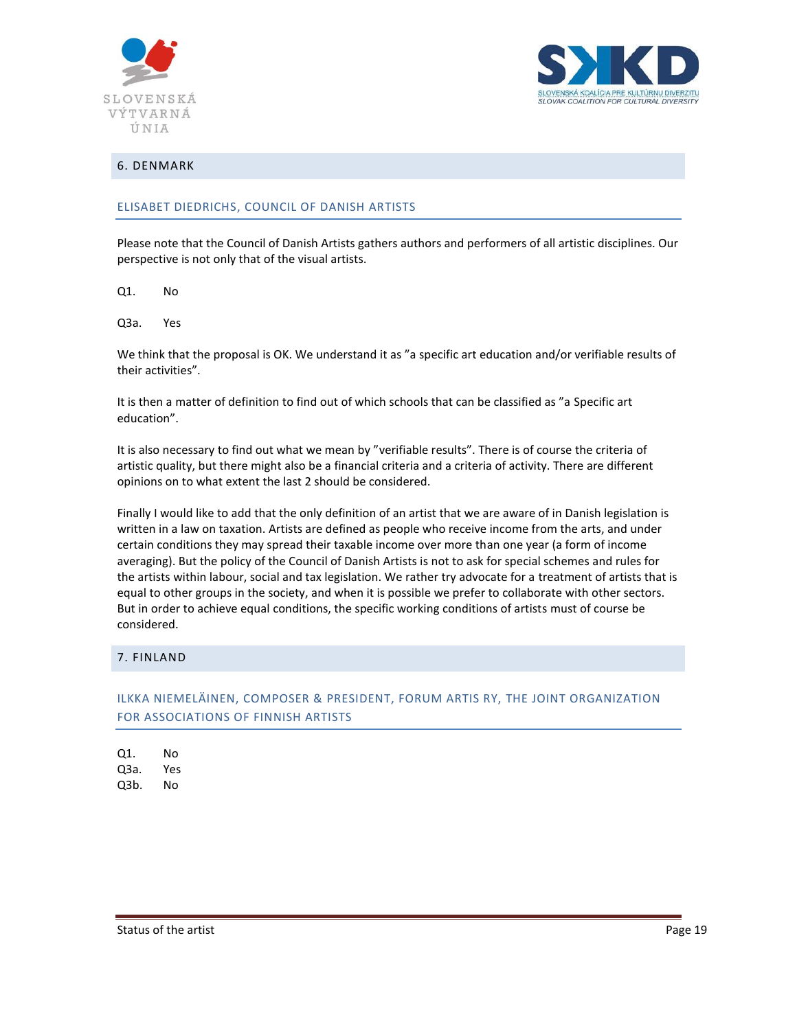



## <span id="page-18-0"></span>6. DENMARK

## ELISABET DIEDRICHS, COUNCIL OF DANISH ARTISTS

Please note that the Council of Danish Artists gathers authors and performers of all artistic disciplines. Our perspective is not only that of the visual artists.

Q1. No

Q3a. Yes

We think that the proposal is OK. We understand it as "a specific art education and/or verifiable results of their activities".

It is then a matter of definition to find out of which schools that can be classified as "a Specific art education".

It is also necessary to find out what we mean by "verifiable results". There is of course the criteria of artistic quality, but there might also be a financial criteria and a criteria of activity. There are different opinions on to what extent the last 2 should be considered.

Finally I would like to add that the only definition of an artist that we are aware of in Danish legislation is written in a law on taxation. Artists are defined as people who receive income from the arts, and under certain conditions they may spread their taxable income over more than one year (a form of income averaging). But the policy of the Council of Danish Artists is not to ask for special schemes and rules for the artists within labour, social and tax legislation. We rather try advocate for a treatment of artists that is equal to other groups in the society, and when it is possible we prefer to collaborate with other sectors. But in order to achieve equal conditions, the specific working conditions of artists must of course be considered.

### <span id="page-18-1"></span>7. FINLAND

# ILKKA NIEMELÄINEN, COMPOSER & PRESIDENT, FORUM ARTIS RY, THE JOINT ORGANIZATION FOR ASSOCIATIONS OF FINNISH ARTISTS

Q1. No Q3a. Yes Q3b. No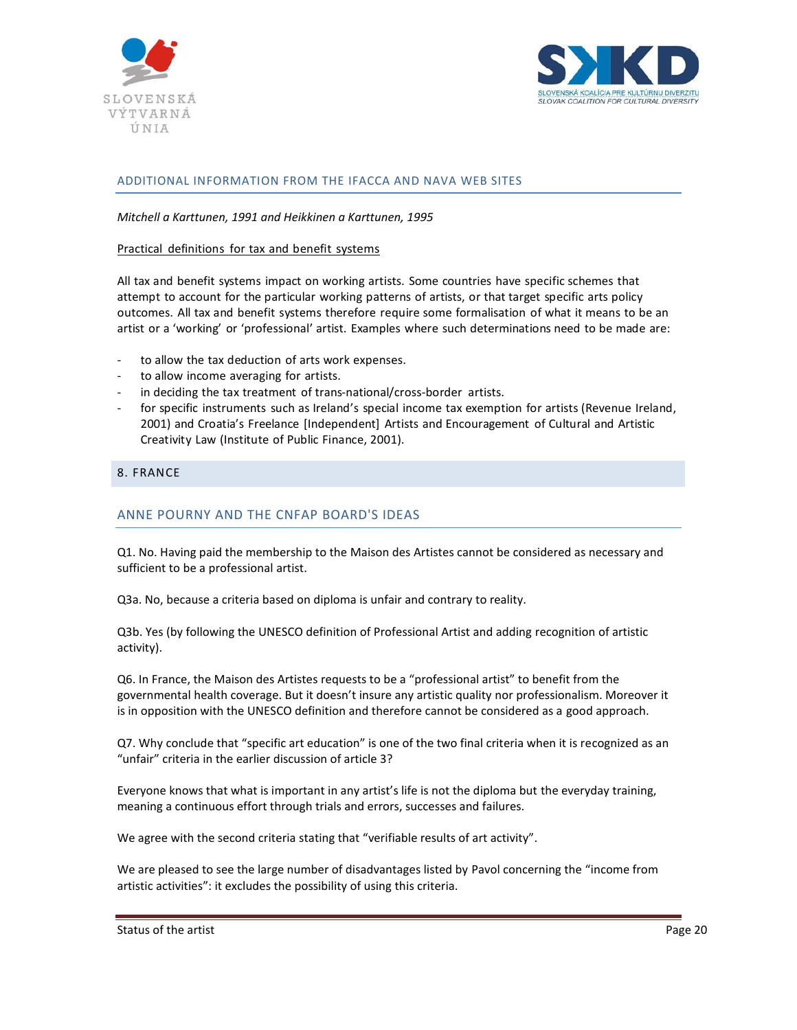



## ADDITIONAL INFORMATION FROM THE IFACCA AND NAVA WEB SITES

*Mitchell a Karttunen, 1991 and Heikkinen a Karttunen, 1995* 

#### Practical definitions for tax and benefit systems

All tax and benefit systems impact on working artists. Some countries have specific schemes that attempt to account for the particular working patterns of artists, or that target specific arts policy outcomes. All tax and benefit systems therefore require some formalisation of what it means to be an artist or a 'working' or 'professional' artist. Examples where such determinations need to be made are:

- to allow the tax deduction of arts work expenses.
- to allow income averaging for artists.
- in deciding the tax treatment of trans-national/cross-border artists.
- for specific instruments such as Ireland's special income tax exemption for artists (Revenue Ireland, 2001) and Croatia's Freelance [Independent] Artists and Encouragement of Cultural and Artistic Creativity Law (Institute of Public Finance, 2001).

#### <span id="page-19-0"></span>8. FRANCE

## ANNE POURNY AND THE CNFAP BOARD'S IDEAS

Q1. No. Having paid the membership to the Maison des Artistes cannot be considered as necessary and sufficient to be a professional artist.

Q3a. No, because a criteria based on diploma is unfair and contrary to reality.

Q3b. Yes (by following the UNESCO definition of Professional Artist and adding recognition of artistic activity).

Q6. In France, the Maison des Artistes requests to be a "professional artist" to benefit from the governmental health coverage. But it doesn't insure any artistic quality nor professionalism. Moreover it is in opposition with the UNESCO definition and therefore cannot be considered as a good approach.

Q7. Why conclude that "specific art education" is one of the two final criteria when it is recognized as an "unfair" criteria in the earlier discussion of article 3?

Everyone knows that what is important in any artist's life is not the diploma but the everyday training, meaning a continuous effort through trials and errors, successes and failures.

We agree with the second criteria stating that "verifiable results of art activity".

We are pleased to see the large number of disadvantages listed by Pavol concerning the "income from artistic activities": it excludes the possibility of using this criteria.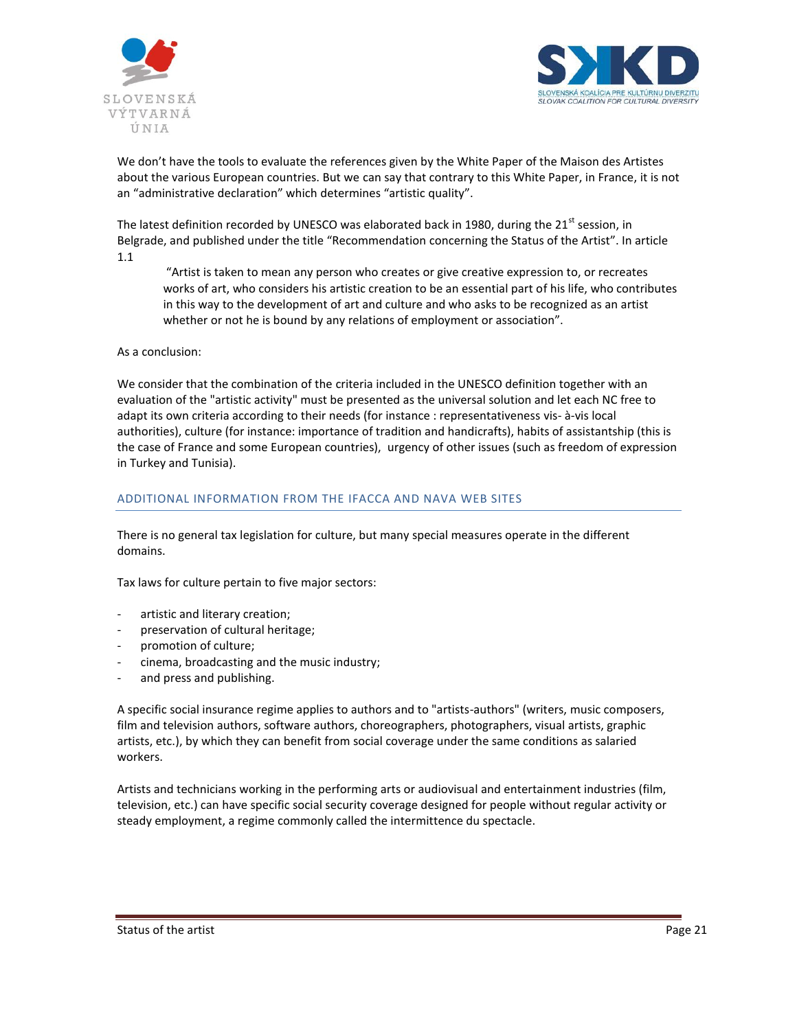



We don't have the tools to evaluate the references given by the White Paper of the Maison des Artistes about the various European countries. But we can say that contrary to this White Paper, in France, it is not an "administrative declaration" which determines "artistic quality".

The latest definition recorded by UNESCO was elaborated back in 1980, during the 21<sup>st</sup> session, in Belgrade, and published under the title "Recommendation concerning the Status of the Artist". In article 1.1

"Artist is taken to mean any person who creates or give creative expression to, or recreates works of art, who considers his artistic creation to be an essential part of his life, who contributes in this way to the development of art and culture and who asks to be recognized as an artist whether or not he is bound by any relations of employment or association".

As a conclusion:

We consider that the combination of the criteria included in the UNESCO definition together with an evaluation of the "artistic activity" must be presented as the universal solution and let each NC free to adapt its own criteria according to their needs (for instance : representativeness vis- à-vis local authorities), culture (for instance: importance of tradition and handicrafts), habits of assistantship (this is the case of France and some European countries), urgency of other issues (such as freedom of expression in Turkey and Tunisia).

### ADDITIONAL INFORMATION FROM THE IFACCA AND NAVA WEB SITES

There is no general tax legislation for culture, but many special measures operate in the different domains.

Tax laws for culture pertain to five major sectors:

- artistic and literary creation;
- preservation of cultural heritage;
- promotion of culture;
- cinema, broadcasting and the music industry;
- and press and publishing.

A specific social insurance regime applies to authors and to "artists-authors" (writers, music composers, film and television authors, software authors, choreographers, photographers, visual artists, graphic artists, etc.), by which they can benefit from social coverage under the same conditions as salaried workers.

Artists and technicians working in the performing arts or audiovisual and entertainment industries (film, television, etc.) can have specific social security coverage designed for people without regular activity or steady employment, a regime commonly called the intermittence du spectacle.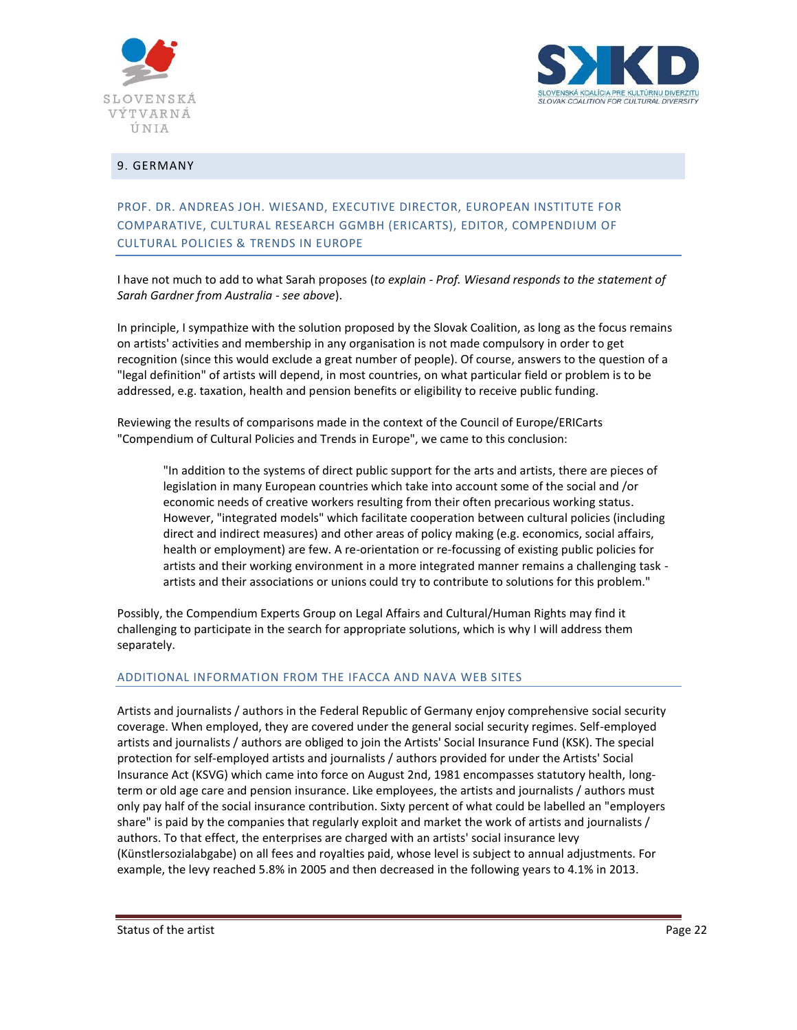



## <span id="page-21-0"></span>9. GERMANY

# PROF. DR. ANDREAS JOH. WIESAND, EXECUTIVE DIRECTOR, EUROPEAN INSTITUTE FOR COMPARATIVE, CULTURAL RESEARCH GGMBH (ERICARTS), EDITOR, COMPENDIUM OF CULTURAL POLICIES & TRENDS IN EUROPE

I have not much to add to what Sarah proposes (*to explain - Prof. Wiesand responds to the statement of Sarah Gardner from Australia - see above*).

In principle, I sympathize with the solution proposed by the Slovak Coalition, as long as the focus remains on artists' activities and membership in any organisation is not made compulsory in order to get recognition (since this would exclude a great number of people). Of course, answers to the question of a "legal definition" of artists will depend, in most countries, on what particular field or problem is to be addressed, e.g. taxation, health and pension benefits or eligibility to receive public funding.

Reviewing the results of comparisons made in the context of the Council of Europe/ERICarts "Compendium of Cultural Policies and Trends in Europe", we came to this conclusion:

"In addition to the systems of direct public support for the arts and artists, there are pieces of legislation in many European countries which take into account some of the social and /or economic needs of creative workers resulting from their often precarious working status. However, "integrated models" which facilitate cooperation between cultural policies (including direct and indirect measures) and other areas of policy making (e.g. economics, social affairs, health or employment) are few. A re-orientation or re-focussing of existing public policies for artists and their working environment in a more integrated manner remains a challenging task artists and their associations or unions could try to contribute to solutions for this problem."

Possibly, the Compendium Experts Group on Legal Affairs and Cultural/Human Rights may find it challenging to participate in the search for appropriate solutions, which is why I will address them separately.

#### ADDITIONAL INFORMATION FROM THE IFACCA AND NAVA WEB SITES

Artists and journalists / authors in the Federal Republic of Germany enjoy comprehensive social security coverage. When employed, they are covered under the general social security regimes. Self-employed artists and journalists / authors are obliged to join the Artists' Social Insurance Fund (KSK). The special protection for self-employed artists and journalists / authors provided for under the Artists' Social Insurance Act (KSVG) which came into force on August 2nd, 1981 encompasses statutory health, longterm or old age care and pension insurance. Like employees, the artists and journalists / authors must only pay half of the social insurance contribution. Sixty percent of what could be labelled an "employers share" is paid by the companies that regularly exploit and market the work of artists and journalists / authors. To that effect, the enterprises are charged with an artists' social insurance levy (Künstlersozialabgabe) on all fees and royalties paid, whose level is subject to annual adjustments. For example, the levy reached 5.8% in 2005 and then decreased in the following years to 4.1% in 2013.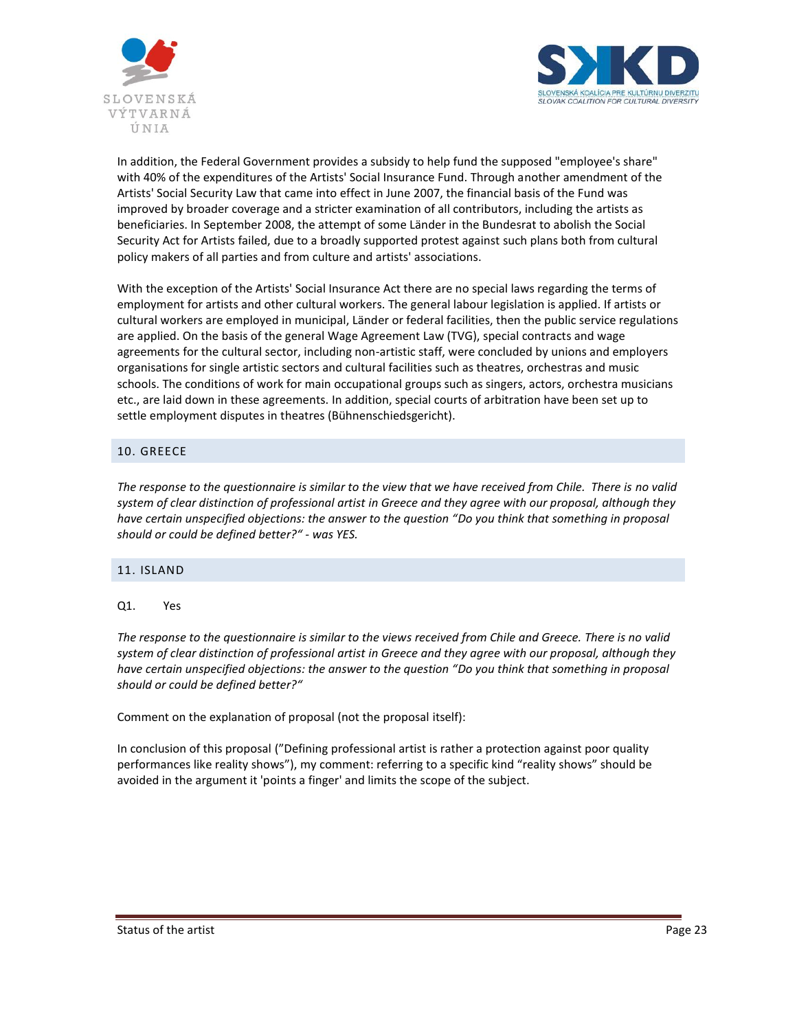



In addition, the Federal Government provides a subsidy to help fund the supposed "employee's share" with 40% of the expenditures of the Artists' Social Insurance Fund. Through another amendment of the Artists' Social Security Law that came into effect in June 2007, the financial basis of the Fund was improved by broader coverage and a stricter examination of all contributors, including the artists as beneficiaries. In September 2008, the attempt of some Länder in the Bundesrat to abolish the Social Security Act for Artists failed, due to a broadly supported protest against such plans both from cultural policy makers of all parties and from culture and artists' associations.

With the exception of the Artists' Social Insurance Act there are no special laws regarding the terms of employment for artists and other cultural workers. The general labour legislation is applied. If artists or cultural workers are employed in municipal, Länder or federal facilities, then the public service regulations are applied. On the basis of the general Wage Agreement Law (TVG), special contracts and wage agreements for the cultural sector, including non-artistic staff, were concluded by unions and employers organisations for single artistic sectors and cultural facilities such as theatres, orchestras and music schools. The conditions of work for main occupational groups such as singers, actors, orchestra musicians etc., are laid down in these agreements. In addition, special courts of arbitration have been set up to settle employment disputes in theatres (Bühnenschiedsgericht).

# <span id="page-22-0"></span>10. GREECE

*The response to the questionnaire is similar to the view that we have received from Chile. There is no valid system of clear distinction of professional artist in Greece and they agree with our proposal, although they have certain unspecified objections: the answer to the question "Do you think that something in proposal should or could be defined better?" - was YES.*

### <span id="page-22-1"></span>11. ISLAND

### Q1. Yes

*The response to the questionnaire is similar to the views received from Chile and Greece. There is no valid system of clear distinction of professional artist in Greece and they agree with our proposal, although they have certain unspecified objections: the answer to the question "Do you think that something in proposal should or could be defined better?"* 

Comment on the explanation of proposal (not the proposal itself):

In conclusion of this proposal ("Defining professional artist is rather a protection against poor quality performances like reality shows"), my comment: referring to a specific kind "reality shows" should be avoided in the argument it 'points a finger' and limits the scope of the subject.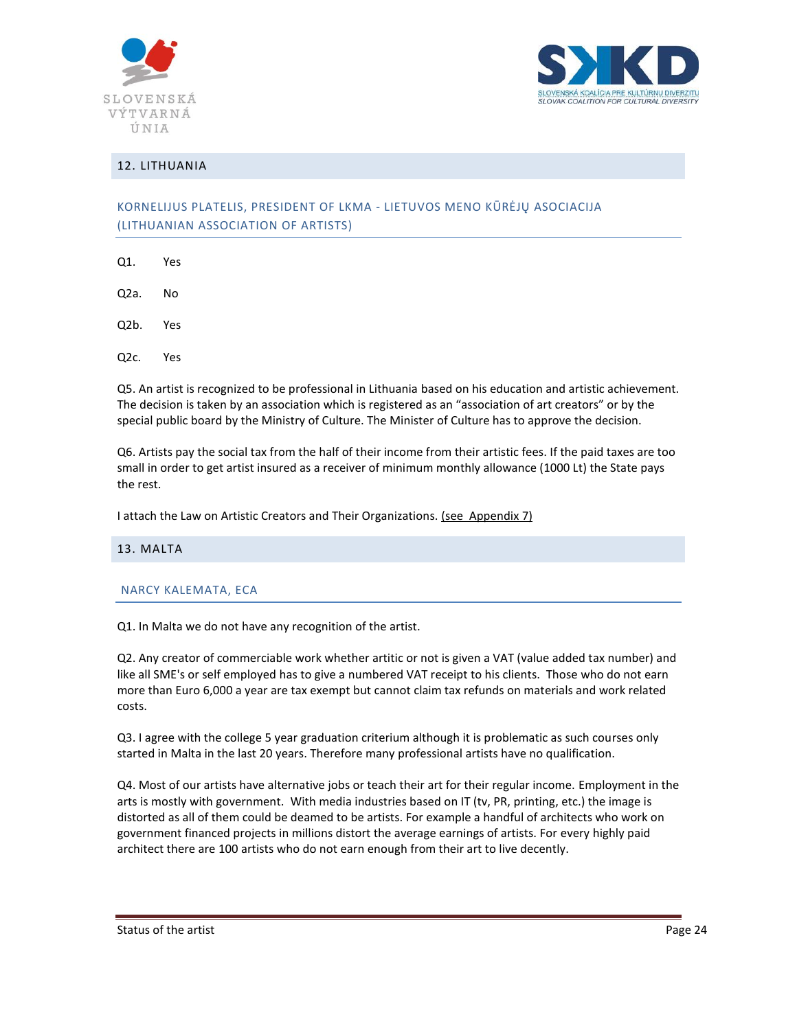



## <span id="page-23-0"></span>12. LITHUANIA

# KORNELIJUS PLATELIS, PRESIDENT OF LKMA - LIETUVOS MENO KŪRĖJŲ ASOCIACIJA (LITHUANIAN ASSOCIATION OF ARTISTS)

- Q1. Yes
- Q2a. No
- Q2b. Yes
- Q2c. Yes

Q5. An artist is recognized to be professional in Lithuania based on his education and artistic achievement. The decision is taken by an association which is registered as an "association of art creators" or by the special public board by the Ministry of Culture. The Minister of Culture has to approve the decision.

Q6. Artists pay the social tax from the half of their income from their artistic fees. If the paid taxes are too small in order to get artist insured as a receiver of minimum monthly allowance (1000 Lt) the State pays the rest.

<span id="page-23-1"></span>I attach the Law on Artistic Creators and Their Organizations. (see Appendix 7)

#### 13. MALTA

#### NARCY KALEMATA, ECA

Q1. In Malta we do not have any recognition of the artist.

Q2. Any creator of commerciable work whether artitic or not is given a VAT (value added tax number) and like all SME's or self employed has to give a numbered VAT receipt to his clients. Those who do not earn more than Euro 6,000 a year are tax exempt but cannot claim tax refunds on materials and work related costs.

Q3. I agree with the college 5 year graduation criterium although it is problematic as such courses only started in Malta in the last 20 years. Therefore many professional artists have no qualification.

Q4. Most of our artists have alternative jobs or teach their art for their regular income. Employment in the arts is mostly with government. With media industries based on IT (tv, PR, printing, etc.) the image is distorted as all of them could be deamed to be artists. For example a handful of architects who work on government financed projects in millions distort the average earnings of artists. For every highly paid architect there are 100 artists who do not earn enough from their art to live decently.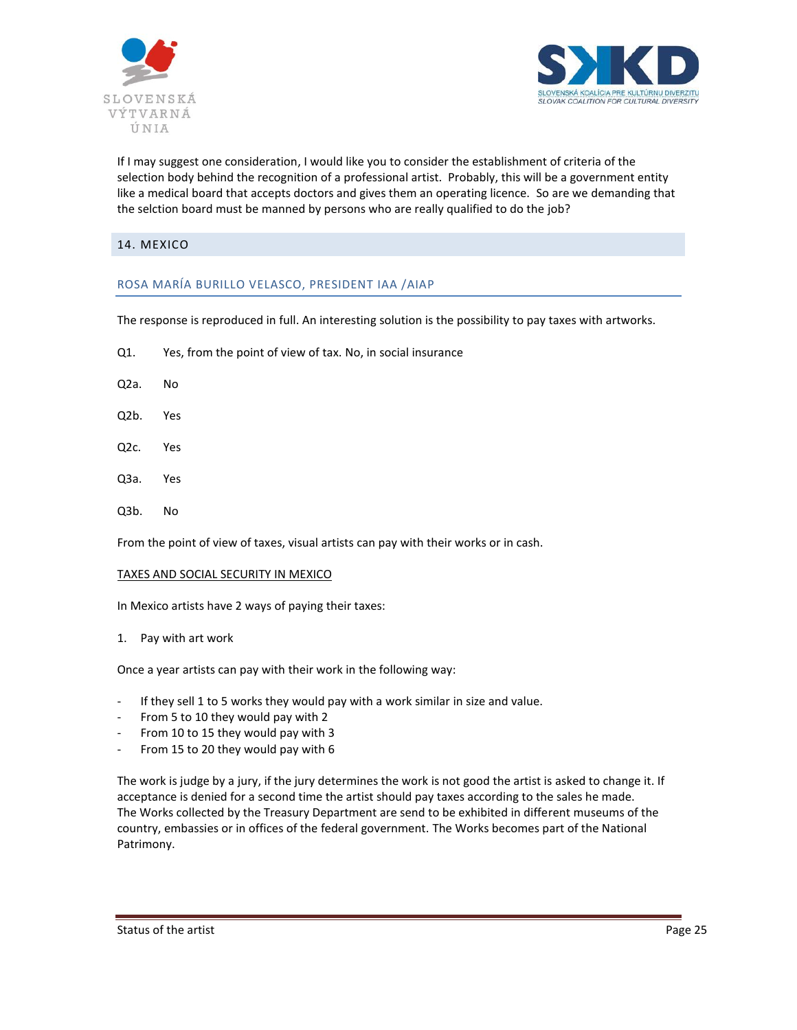



If I may suggest one consideration, I would like you to consider the establishment of criteria of the selection body behind the recognition of a professional artist. Probably, this will be a government entity like a medical board that accepts doctors and gives them an operating licence. So are we demanding that the selction board must be manned by persons who are really qualified to do the job?

## <span id="page-24-0"></span>14. MEXICO

### ROSA MARÍA BURILLO VELASCO, PRESIDENT IAA /AIAP

The response is reproduced in full. An interesting solution is the possibility to pay taxes with artworks.

- Q1. Yes, from the point of view of tax. No, in social insurance
- Q2a. No
- Q2b. Yes
- Q2c. Yes
- Q3a. Yes
- Q3b. No

From the point of view of taxes, visual artists can pay with their works or in cash.

#### TAXES AND SOCIAL SECURITY IN MEXICO

In Mexico artists have 2 ways of paying their taxes:

1. Pay with art work

Once a year artists can pay with their work in the following way:

- If they sell 1 to 5 works they would pay with a work similar in size and value.
- From 5 to 10 they would pay with 2
- From 10 to 15 they would pay with 3
- From 15 to 20 they would pay with 6

The work is judge by a jury, if the jury determines the work is not good the artist is asked to change it. If acceptance is denied for a second time the artist should pay taxes according to the sales he made. The Works collected by the Treasury Department are send to be exhibited in different museums of the country, embassies or in offices of the federal government. The Works becomes part of the National Patrimony.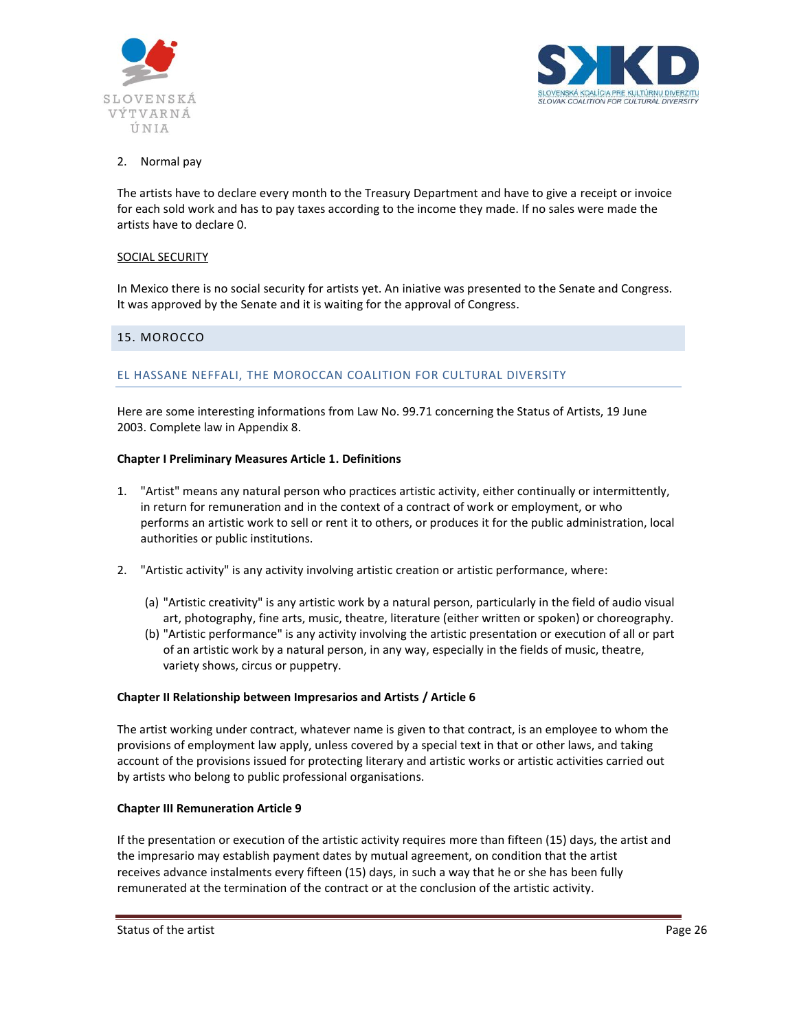



## 2. Normal pay

The artists have to declare every month to the Treasury Department and have to give a receipt or invoice for each sold work and has to pay taxes according to the income they made. If no sales were made the artists have to declare 0.

### SOCIAL SECURITY

In Mexico there is no social security for artists yet. An iniative was presented to the Senate and Congress. It was approved by the Senate and it is waiting for the approval of Congress.

### <span id="page-25-0"></span>15. MOROCCO

### EL HASSANE NEFFALI, THE MOROCCAN COALITION FOR CULTURAL DIVERSITY

Here are some interesting informations from Law No. 99.71 concerning the Status of Artists, 19 June 2003. Complete law in Appendix 8.

#### **Chapter I Preliminary Measures Article 1. Definitions**

- 1. "Artist" means any natural person who practices artistic activity, either continually or intermittently, in return for remuneration and in the context of a contract of work or employment, or who performs an artistic work to sell or rent it to others, or produces it for the public administration, local authorities or public institutions.
- 2. "Artistic activity" is any activity involving artistic creation or artistic performance, where:
	- (a) "Artistic creativity" is any artistic work by a natural person, particularly in the field of audio visual art, photography, fine arts, music, theatre, literature (either written or spoken) or choreography.
	- (b) "Artistic performance" is any activity involving the artistic presentation or execution of all or part of an artistic work by a natural person, in any way, especially in the fields of music, theatre, variety shows, circus or puppetry.

#### **Chapter II Relationship between Impresarios and Artists / Article 6**

The artist working under contract, whatever name is given to that contract, is an employee to whom the provisions of employment law apply, unless covered by a special text in that or other laws, and taking account of the provisions issued for protecting literary and artistic works or artistic activities carried out by artists who belong to public professional organisations.

#### **Chapter III Remuneration Article 9**

If the presentation or execution of the artistic activity requires more than fifteen (15) days, the artist and the impresario may establish payment dates by mutual agreement, on condition that the artist receives advance instalments every fifteen (15) days, in such a way that he or she has been fully remunerated at the termination of the contract or at the conclusion of the artistic activity.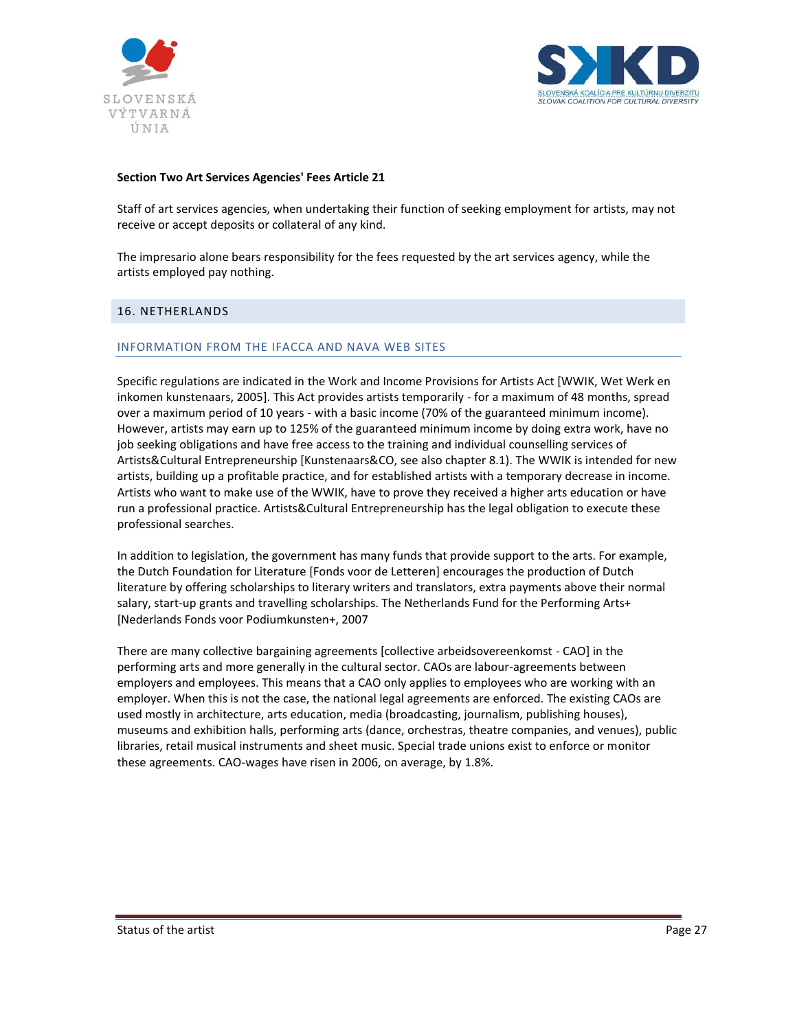



#### **Section Two Art Services Agencies' Fees Article 21**

Staff of art services agencies, when undertaking their function of seeking employment for artists, may not receive or accept deposits or collateral of any kind.

The impresario alone bears responsibility for the fees requested by the art services agency, while the artists employed pay nothing.

### <span id="page-26-0"></span>16. NETHERLANDS

### INFORMATION FROM THE IFACCA AND NAVA WEB SITES

Specific regulations are indicated in the Work and Income Provisions for Artists Act [WWIK, Wet Werk en inkomen kunstenaars, 2005]. This Act provides artists temporarily - for a maximum of 48 months, spread over a maximum period of 10 years - with a basic income (70% of the guaranteed minimum income). However, artists may earn up to 125% of the guaranteed minimum income by doing extra work, have no job seeking obligations and have free access to the training and individual counselling services of Artists&Cultural Entrepreneurship [Kunstenaars&CO, see also chapter 8.1). The WWIK is intended for new artists, building up a profitable practice, and for established artists with a temporary decrease in income. Artists who want to make use of the WWIK, have to prove they received a higher arts education or have run a professional practice. Artists&Cultural Entrepreneurship has the legal obligation to execute these professional searches.

In addition to legislation, the government has many funds that provide support to the arts. For example, the Dutch Foundation for Literature [Fonds voor de Letteren] encourages the production of Dutch literature by offering scholarships to literary writers and translators, extra payments above their normal salary, start-up grants and travelling scholarships. The Netherlands Fund for the Performing Arts+ [Nederlands Fonds voor Podiumkunsten+, 2007

There are many collective bargaining agreements [collective arbeidsovereenkomst - CAO] in the performing arts and more generally in the cultural sector. CAOs are labour-agreements between employers and employees. This means that a CAO only applies to employees who are working with an employer. When this is not the case, the national legal agreements are enforced. The existing CAOs are used mostly in architecture, arts education, media (broadcasting, journalism, publishing houses), museums and exhibition halls, performing arts (dance, orchestras, theatre companies, and venues), public libraries, retail musical instruments and sheet music. Special trade unions exist to enforce or monitor these agreements. CAO-wages have risen in 2006, on average, by 1.8%.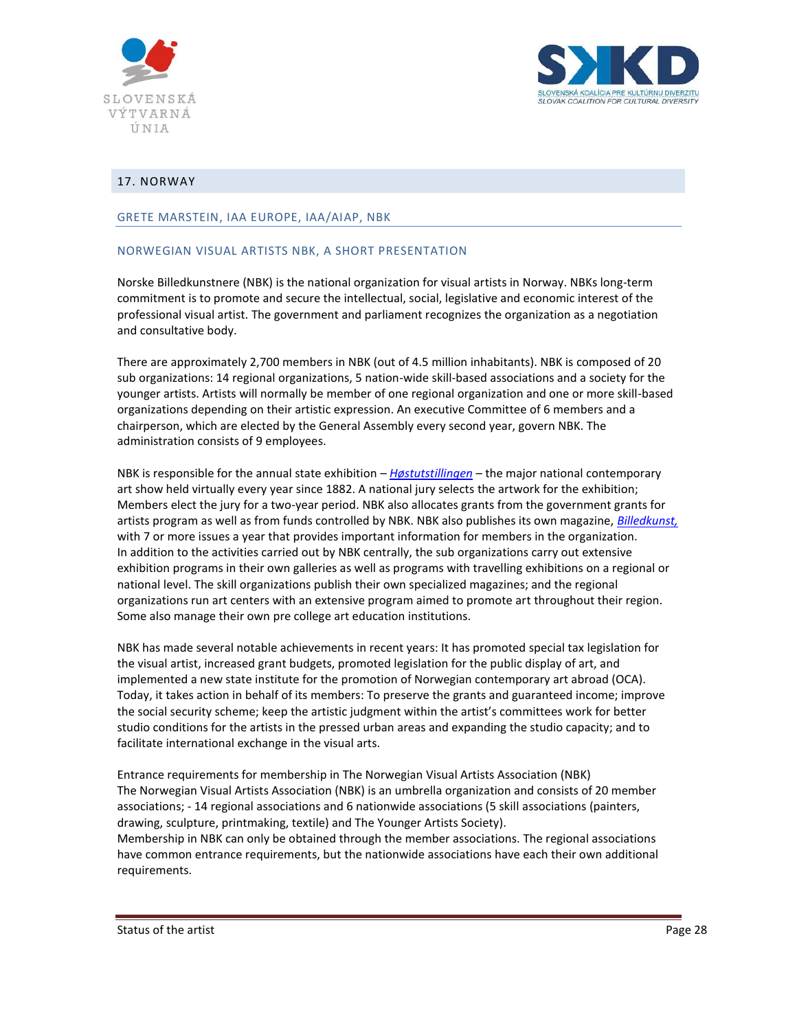



## <span id="page-27-0"></span>17. NORWAY

#### GRETE MARSTEIN, IAA EUROPE, IAA/AIAP, NBK

### NORWEGIAN VISUAL ARTISTS NBK, A SHORT PRESENTATION

Norske Billedkunstnere (NBK) is the national organization for visual artists in Norway. NBKs long-term commitment is to promote and secure the intellectual, social, legislative and economic interest of the professional visual artist. The government and parliament recognizes the organization as a negotiation and consultative body.

There are approximately 2,700 members in NBK (out of 4.5 million inhabitants). NBK is composed of 20 sub organizations: 14 regional organizations, 5 nation-wide skill-based associations and a society for the younger artists. Artists will normally be member of one regional organization and one or more skill-based organizations depending on their artistic expression. An executive Committee of 6 members and a chairperson, which are elected by the General Assembly every second year, govern NBK. The administration consists of 9 employees.

NBK is responsible for the annual state exhibition – *[Høstutstillingen](http://www.hostutstillingen.no/)* – the major national contemporary art show held virtually every year since 1882. A national jury selects the artwork for the exhibition; Members elect the jury for a two-year period. NBK also allocates grants from the government grants for artists program as well as from funds controlled by NBK. NBK also publishes its own magazine, *[Billedkunst,](http://www.billedkunstmag.no/)* with 7 or more issues a year that provides important information for members in the organization. In addition to the activities carried out by NBK centrally, the sub organizations carry out extensive exhibition programs in their own galleries as well as programs with travelling exhibitions on a regional or national level. The skill organizations publish their own specialized magazines; and the regional organizations run art centers with an extensive program aimed to promote art throughout their region. Some also manage their own pre college art education institutions.

NBK has made several notable achievements in recent years: It has promoted special tax legislation for the visual artist, increased grant budgets, promoted legislation for the public display of art, and implemented a new state institute for the promotion of Norwegian contemporary art abroad (OCA). Today, it takes action in behalf of its members: To preserve the grants and guaranteed income; improve the social security scheme; keep the artistic judgment within the artist's committees work for better studio conditions for the artists in the pressed urban areas and expanding the studio capacity; and to facilitate international exchange in the visual arts.

Entrance requirements for membership in The Norwegian Visual Artists Association (NBK) The Norwegian Visual Artists Association (NBK) is an umbrella organization and consists of 20 member associations; - 14 regional associations and 6 nationwide associations (5 skill associations (painters, drawing, sculpture, printmaking, textile) and The Younger Artists Society). Membership in NBK can only be obtained through the member associations. The regional associations have common entrance requirements, but the nationwide associations have each their own additional requirements.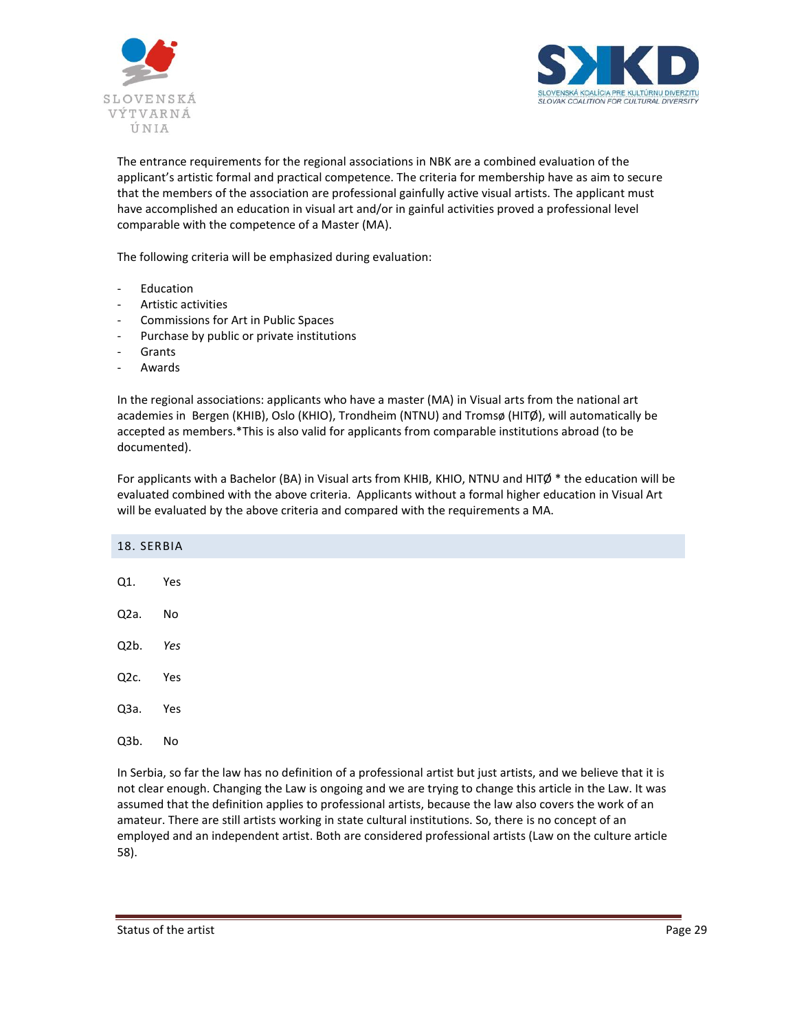



The entrance requirements for the regional associations in NBK are a combined evaluation of the applicant's artistic formal and practical competence. The criteria for membership have as aim to secure that the members of the association are professional gainfully active visual artists. The applicant must have accomplished an education in visual art and/or in gainful activities proved a professional level comparable with the competence of a Master (MA).

The following criteria will be emphasized during evaluation:

- **Education**
- Artistic activities
- Commissions for Art in Public Spaces
- Purchase by public or private institutions
- **Grants**
- **Awards**

In the regional associations: applicants who have a master (MA) in Visual arts from the national art academies in Bergen (KHIB), Oslo (KHIO), Trondheim (NTNU) and Tromsø (HITØ), will automatically be accepted as members.\*This is also valid for applicants from comparable institutions abroad (to be documented).

For applicants with a Bachelor (BA) in Visual arts from KHIB, KHIO, NTNU and HITØ  $*$  the education will be evaluated combined with the above criteria. Applicants without a formal higher education in Visual Art will be evaluated by the above criteria and compared with the requirements a MA.

<span id="page-28-0"></span>

| 18. SERBIA        |                                                                                                               |
|-------------------|---------------------------------------------------------------------------------------------------------------|
| Q1.               | Yes                                                                                                           |
|                   |                                                                                                               |
| Q <sub>2</sub> a. | No                                                                                                            |
| Q <sub>2</sub> b. | Yes                                                                                                           |
| Q <sub>2</sub> c. | Yes                                                                                                           |
| Q3a.              | Yes                                                                                                           |
| Q3b.              | No                                                                                                            |
|                   | In Serbia, so far the law has no definition of a professional artist but just artists, and we believe that it |

In Serbia, so far the law has no definition of a professional artist but just artists, and we believe that it is not clear enough. Changing the Law is ongoing and we are trying to change this article in the Law. It was assumed that the definition applies to professional artists, because the law also covers the work of an amateur. There are still artists working in state cultural institutions. So, there is no concept of an employed and an independent artist. Both are considered professional artists (Law on the culture article 58).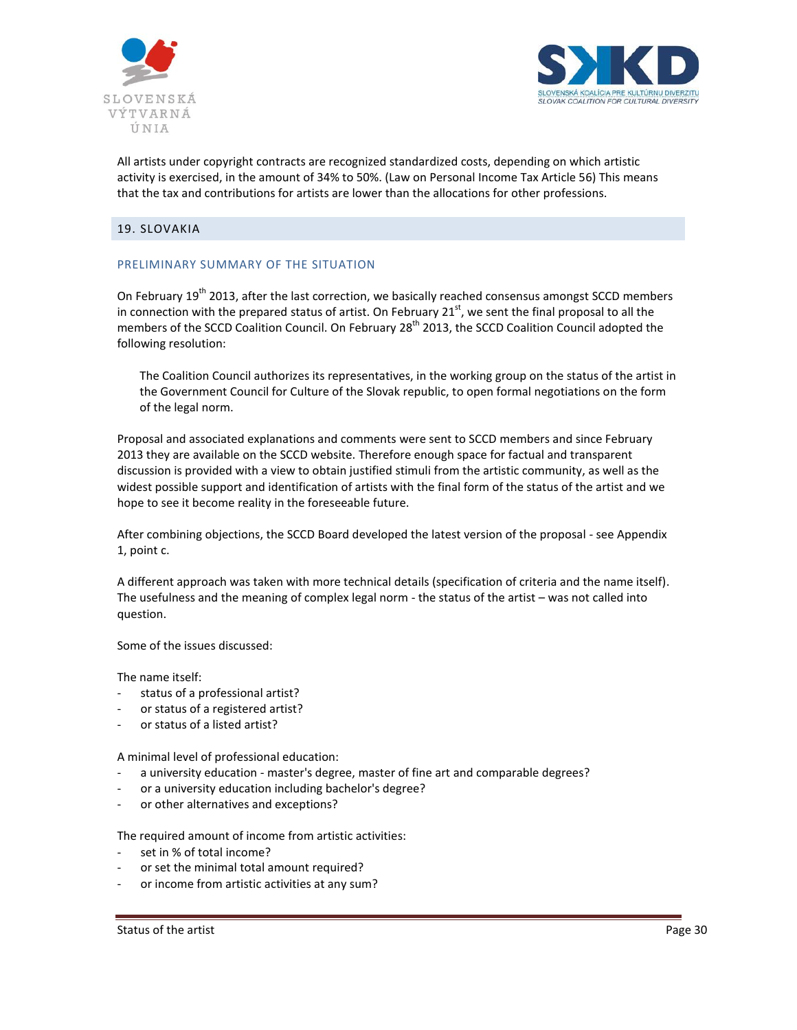



All artists under copyright contracts are recognized standardized costs, depending on which artistic activity is exercised, in the amount of 34% to 50%. (Law on Personal Income Tax Article 56) This means that the tax and contributions for artists are lower than the allocations for other professions.

## <span id="page-29-0"></span>19. SLOVAKIA

## PRELIMINARY SUMMARY OF THE SITUATION

On February 19<sup>th</sup> 2013, after the last correction, we basically reached consensus amongst SCCD members in connection with the prepared status of artist. On February 21<sup>st</sup>, we sent the final proposal to all the members of the SCCD Coalition Council. On February 28<sup>th</sup> 2013, the SCCD Coalition Council adopted the following resolution:

The Coalition Council authorizes its representatives, in the working group on the status of the artist in the Government Council for Culture of the Slovak republic, to open formal negotiations on the form of the legal norm.

Proposal and associated explanations and comments were sent to SCCD members and since February 2013 they are available on the SCCD website. Therefore enough space for factual and transparent discussion is provided with a view to obtain justified stimuli from the artistic community, as well as the widest possible support and identification of artists with the final form of the status of the artist and we hope to see it become reality in the foreseeable future.

After combining objections, the SCCD Board developed the latest version of the proposal - see Appendix 1, point c.

A different approach was taken with more technical details (specification of criteria and the name itself). The usefulness and the meaning of complex legal norm - the status of the artist – was not called into question.

Some of the issues discussed:

The name itself:

- status of a professional artist?
- or status of a registered artist?
- or status of a listed artist?

A minimal level of professional education:

- a university education master's degree, master of fine art and comparable degrees?
- or a university education including bachelor's degree?
- or other alternatives and exceptions?

The required amount of income from artistic activities:

- set in % of total income?
- or set the minimal total amount required?
- or income from artistic activities at any sum?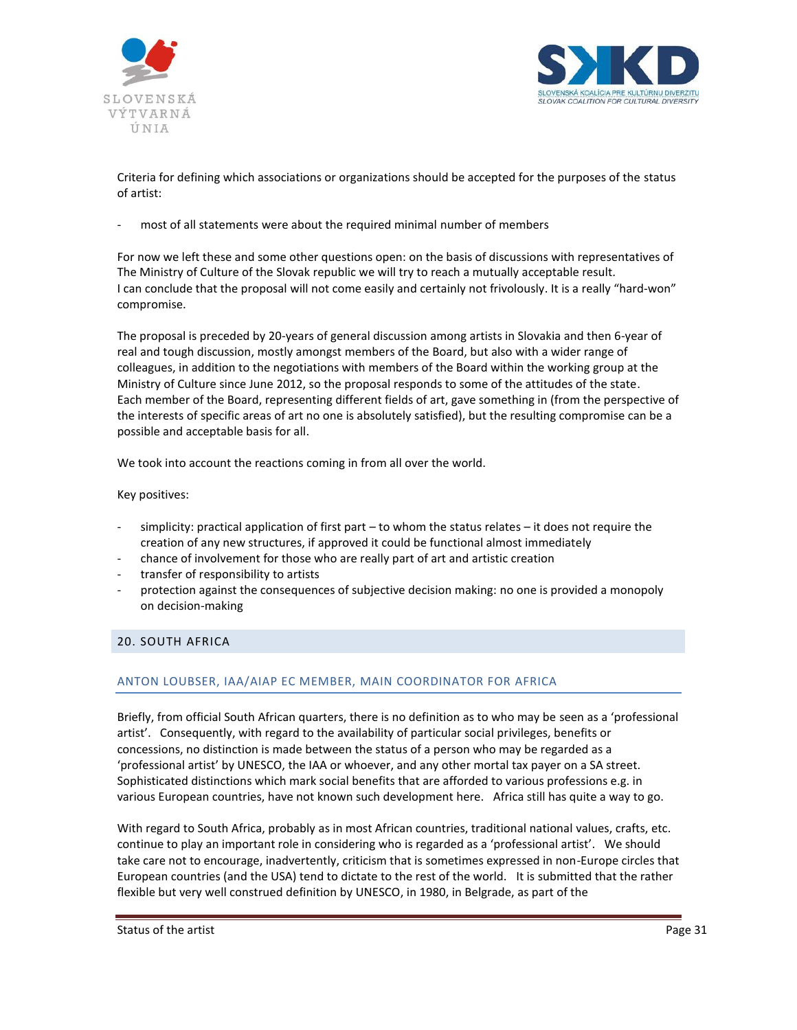



Criteria for defining which associations or organizations should be accepted for the purposes of the status of artist:

most of all statements were about the required minimal number of members

For now we left these and some other questions open: on the basis of discussions with representatives of The Ministry of Culture of the Slovak republic we will try to reach a mutually acceptable result. I can conclude that the proposal will not come easily and certainly not frivolously. It is a really "hard-won" compromise.

The proposal is preceded by 20-years of general discussion among artists in Slovakia and then 6-year of real and tough discussion, mostly amongst members of the Board, but also with a wider range of colleagues, in addition to the negotiations with members of the Board within the working group at the Ministry of Culture since June 2012, so the proposal responds to some of the attitudes of the state. Each member of the Board, representing different fields of art, gave something in (from the perspective of the interests of specific areas of art no one is absolutely satisfied), but the resulting compromise can be a possible and acceptable basis for all.

We took into account the reactions coming in from all over the world.

Key positives:

- $s$ implicity: practical application of first part to whom the status relates it does not require the creation of any new structures, if approved it could be functional almost immediately
- chance of involvement for those who are really part of art and artistic creation
- transfer of responsibility to artists
- protection against the consequences of subjective decision making: no one is provided a monopoly on decision-making

# <span id="page-30-0"></span>20. SOUTH AFRICA

# ANTON LOUBSER, IAA/AIAP EC MEMBER, MAIN COORDINATOR FOR AFRICA

Briefly, from official South African quarters, there is no definition as to who may be seen as a 'professional artist'. Consequently, with regard to the availability of particular social privileges, benefits or concessions, no distinction is made between the status of a person who may be regarded as a 'professional artist' by UNESCO, the IAA or whoever, and any other mortal tax payer on a SA street. Sophisticated distinctions which mark social benefits that are afforded to various professions e.g. in various European countries, have not known such development here. Africa still has quite a way to go.

With regard to South Africa, probably as in most African countries, traditional national values, crafts, etc. continue to play an important role in considering who is regarded as a 'professional artist'. We should take care not to encourage, inadvertently, criticism that is sometimes expressed in non-Europe circles that European countries (and the USA) tend to dictate to the rest of the world. It is submitted that the rather flexible but very well construed definition by UNESCO, in 1980, in Belgrade, as part of the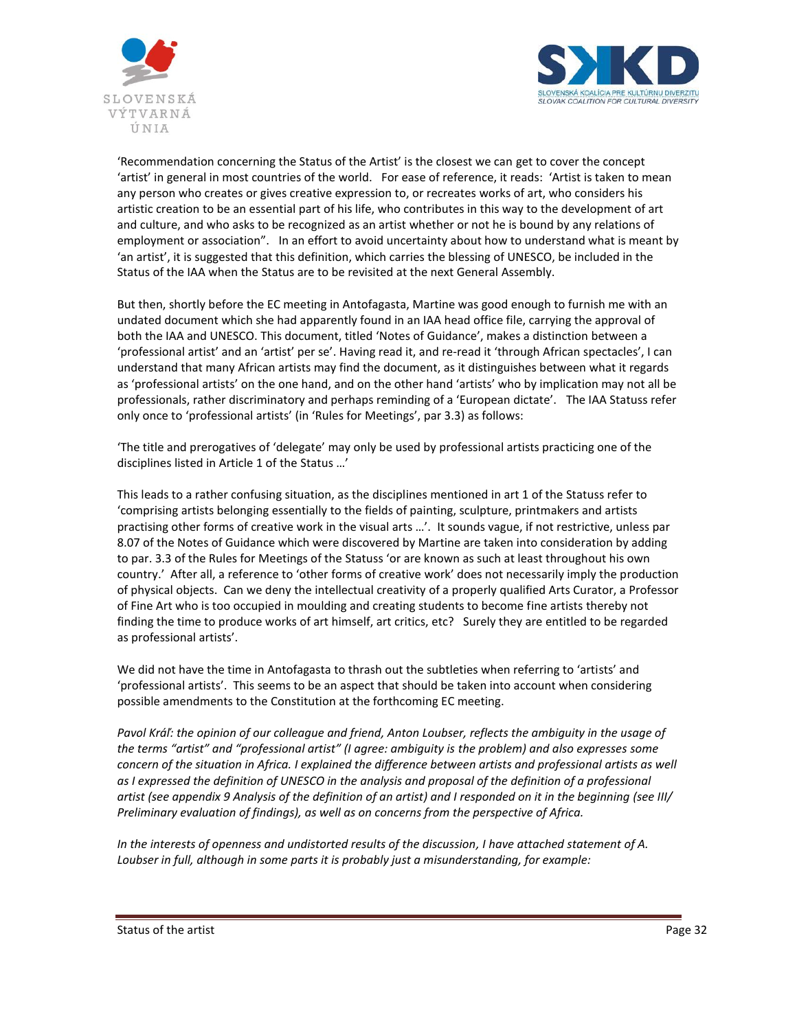



'Recommendation concerning the Status of the Artist' is the closest we can get to cover the concept 'artist' in general in most countries of the world. For ease of reference, it reads: 'Artist is taken to mean any person who creates or gives creative expression to, or recreates works of art, who considers his artistic creation to be an essential part of his life, who contributes in this way to the development of art and culture, and who asks to be recognized as an artist whether or not he is bound by any relations of employment or association". In an effort to avoid uncertainty about how to understand what is meant by 'an artist', it is suggested that this definition, which carries the blessing of UNESCO, be included in the Status of the IAA when the Status are to be revisited at the next General Assembly.

But then, shortly before the EC meeting in Antofagasta, Martine was good enough to furnish me with an undated document which she had apparently found in an IAA head office file, carrying the approval of both the IAA and UNESCO. This document, titled 'Notes of Guidance', makes a distinction between a 'professional artist' and an 'artist' per se'. Having read it, and re-read it 'through African spectacles', I can understand that many African artists may find the document, as it distinguishes between what it regards as 'professional artists' on the one hand, and on the other hand 'artists' who by implication may not all be professionals, rather discriminatory and perhaps reminding of a 'European dictate'. The IAA Statuss refer only once to 'professional artists' (in 'Rules for Meetings', par 3.3) as follows:

'The title and prerogatives of 'delegate' may only be used by professional artists practicing one of the disciplines listed in Article 1 of the Status …'

This leads to a rather confusing situation, as the disciplines mentioned in art 1 of the Statuss refer to 'comprising artists belonging essentially to the fields of painting, sculpture, printmakers and artists practising other forms of creative work in the visual arts …'. It sounds vague, if not restrictive, unless par 8.07 of the Notes of Guidance which were discovered by Martine are taken into consideration by adding to par. 3.3 of the Rules for Meetings of the Statuss 'or are known as such at least throughout his own country.' After all, a reference to 'other forms of creative work' does not necessarily imply the production of physical objects. Can we deny the intellectual creativity of a properly qualified Arts Curator, a Professor of Fine Art who is too occupied in moulding and creating students to become fine artists thereby not finding the time to produce works of art himself, art critics, etc? Surely they are entitled to be regarded as professional artists'.

We did not have the time in Antofagasta to thrash out the subtleties when referring to 'artists' and 'professional artists'. This seems to be an aspect that should be taken into account when considering possible amendments to the Constitution at the forthcoming EC meeting.

*Pavol Kráľ: the opinion of our colleague and friend, Anton Loubser, reflects the ambiguity in the usage of the terms "artist" and "professional artist" (I agree: ambiguity is the problem) and also expresses some concern of the situation in Africa. I explained the difference between artists and professional artists as well as I expressed the definition of UNESCO in the analysis and proposal of the definition of a professional artist (see appendix 9 Analysis of the definition of an artist) and I responded on it in the beginning (see III/ Preliminary evaluation of findings), as well as on concerns from the perspective of Africa.*

*In the interests of openness and undistorted results of the discussion, I have attached statement of A. Loubser in full, although in some parts it is probably just a misunderstanding, for example:*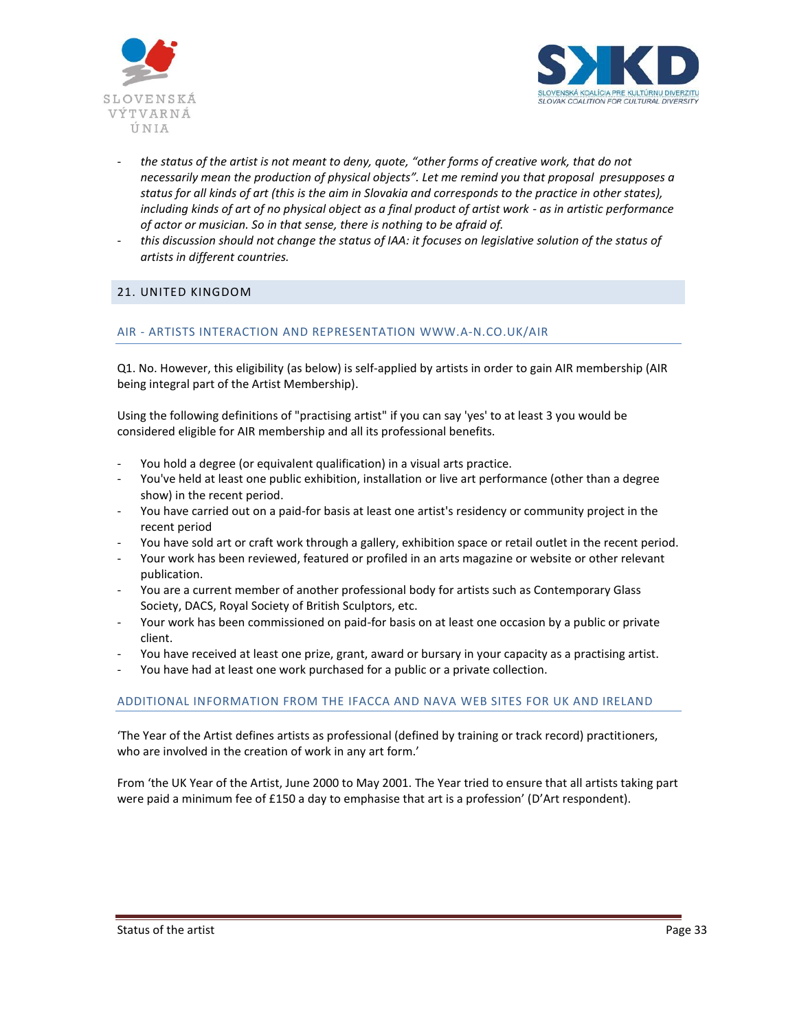



- *the status of the artist is not meant to deny, quote, "other forms of creative work, that do not necessarily mean the production of physical objects". Let me remind you that proposal presupposes a status for all kinds of art (this is the aim in Slovakia and corresponds to the practice in other states), including kinds of art of no physical object as a final product of artist work - as in artistic performance of actor or musician. So in that sense, there is nothing to be afraid of.*
- *this discussion should not change the status of IAA: it focuses on legislative solution of the status of artists in different countries.*

## <span id="page-32-0"></span>21. UNITED KINGDOM

### AIR - ARTISTS INTERACTION AND REPRESENTATION [WWW.A-N.CO.UK/AIR](http://www.a-n.co.uk/air)

Q1. No. However, this eligibility (as below) is self-applied by artists in order to gain AIR membership (AIR being integral part of the Artist Membership).

Using the following definitions of "practising artist" if you can say 'yes' to at least 3 you would be considered eligible for AIR membership and all its professional benefits.

- You hold a degree (or equivalent qualification) in a visual arts practice.
- You've held at least one public exhibition, installation or live art performance (other than a degree show) in the recent period.
- You have carried out on a paid-for basis at least one artist's residency or community project in the recent period
- You have sold art or craft work through a gallery, exhibition space or retail outlet in the recent period.
- Your work has been reviewed, featured or profiled in an arts magazine or website or other relevant publication.
- You are a current member of another professional body for artists such as Contemporary Glass Society, DACS, Royal Society of British Sculptors, etc.
- Your work has been commissioned on paid-for basis on at least one occasion by a public or private client.
- You have received at least one prize, grant, award or bursary in your capacity as a practising artist.
- You have had at least one work purchased for a public or a private collection.

### ADDITIONAL INFORMATION FROM THE IFACCA AND NAVA WEB SITES FOR UK AND IRELAND

'The Year of the Artist defines artists as professional (defined by training or track record) practitioners, who are involved in the creation of work in any art form.'

From 'the UK Year of the Artist, June 2000 to May 2001. The Year tried to ensure that all artists taking part were paid a minimum fee of £150 a day to emphasise that art is a profession' (D'Art respondent).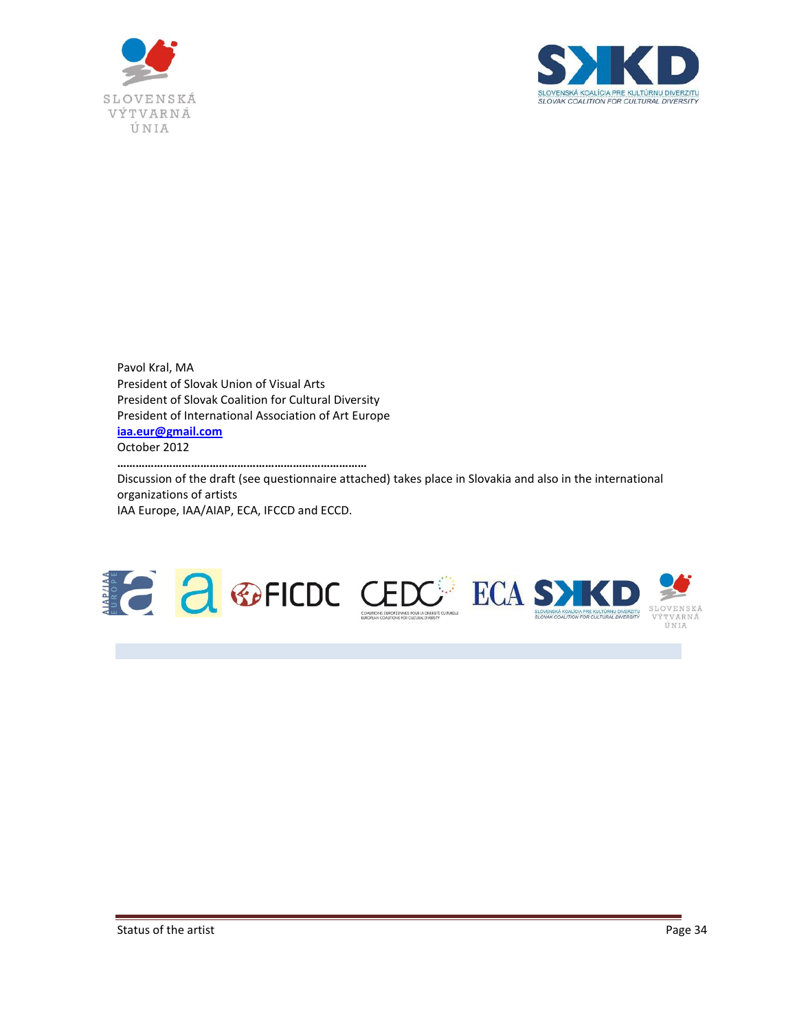



Pavol Kral, MA President of Slovak Union of Visual Arts President of Slovak Coalition for Cultural Diversity President of International Association of Art Europe **[iaa.eur@gmail.com](mailto:iaa.eur@gmail.com)** October 2012

**………………………………………………………………………**

Discussion of the draft (see questionnaire attached) takes place in Slovakia and also in the international organizations of artists IAA Europe, IAA/AIAP, ECA, IFCCD and ECCD.

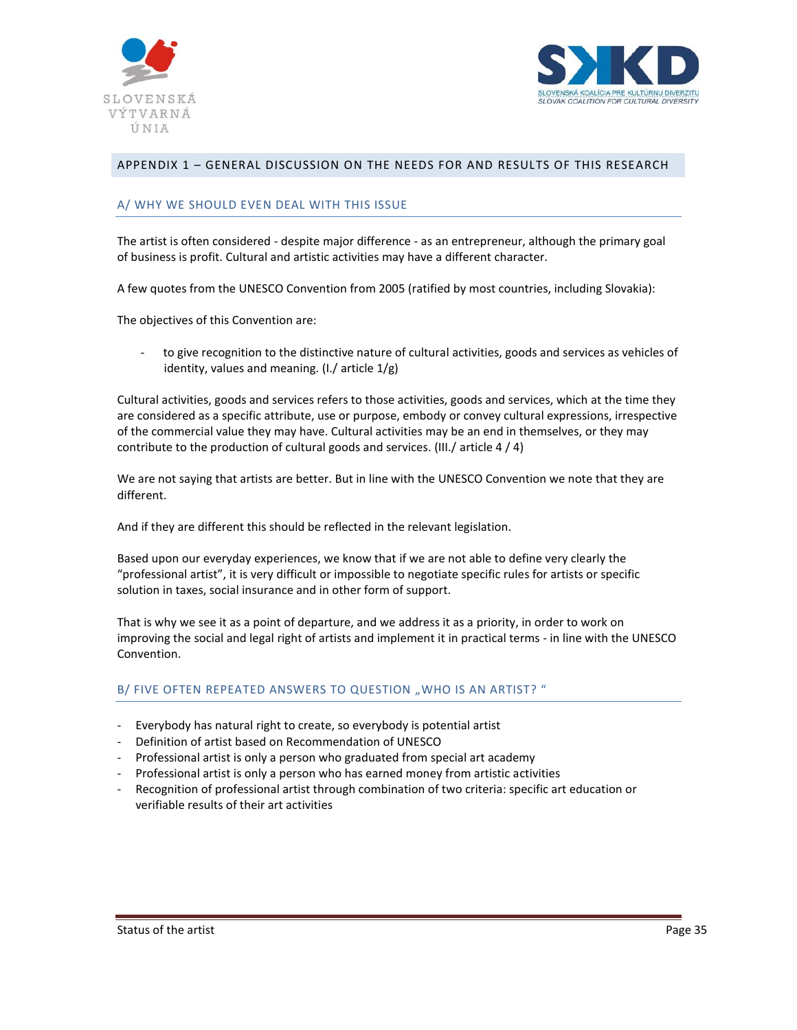



## <span id="page-34-0"></span>APPENDIX 1 – GENERAL DISCUSSION ON THE NEEDS FOR AND RESULTS OF THIS RESEARCH

#### A/ WHY WE SHOULD EVEN DEAL WITH THIS ISSUE

The artist is often considered - despite major difference - as an entrepreneur, although the primary goal of business is profit. Cultural and artistic activities may have a different character.

A few quotes from the UNESCO Convention from 2005 (ratified by most countries, including Slovakia):

The objectives of this Convention are:

to give recognition to the distinctive nature of cultural activities, goods and services as vehicles of identity, values and meaning. (I./ article 1/g)

Cultural activities, goods and services refers to those activities, goods and services, which at the time they are considered as a specific attribute, use or purpose, embody or convey cultural expressions, irrespective of the commercial value they may have. Cultural activities may be an end in themselves, or they may contribute to the production of cultural goods and services. (III./ article 4 / 4)

We are not saying that artists are better. But in line with the UNESCO Convention we note that they are different.

And if they are different this should be reflected in the relevant legislation.

Based upon our everyday experiences, we know that if we are not able to define very clearly the "professional artist", it is very difficult or impossible to negotiate specific rules for artists or specific solution in taxes, social insurance and in other form of support.

That is why we see it as a point of departure, and we address it as a priority, in order to work on improving the social and legal right of artists and implement it in practical terms - in line with the UNESCO Convention.

### B/ FIVE OFTEN REPEATED ANSWERS TO QUESTION "WHO IS AN ARTIST? "

- Everybody has natural right to create, so everybody is potential artist
- Definition of artist based on Recommendation of UNESCO
- Professional artist is only a person who graduated from special art academy
- Professional artist is only a person who has earned money from artistic activities
- Recognition of professional artist through combination of two criteria: specific art education or verifiable results of their art activities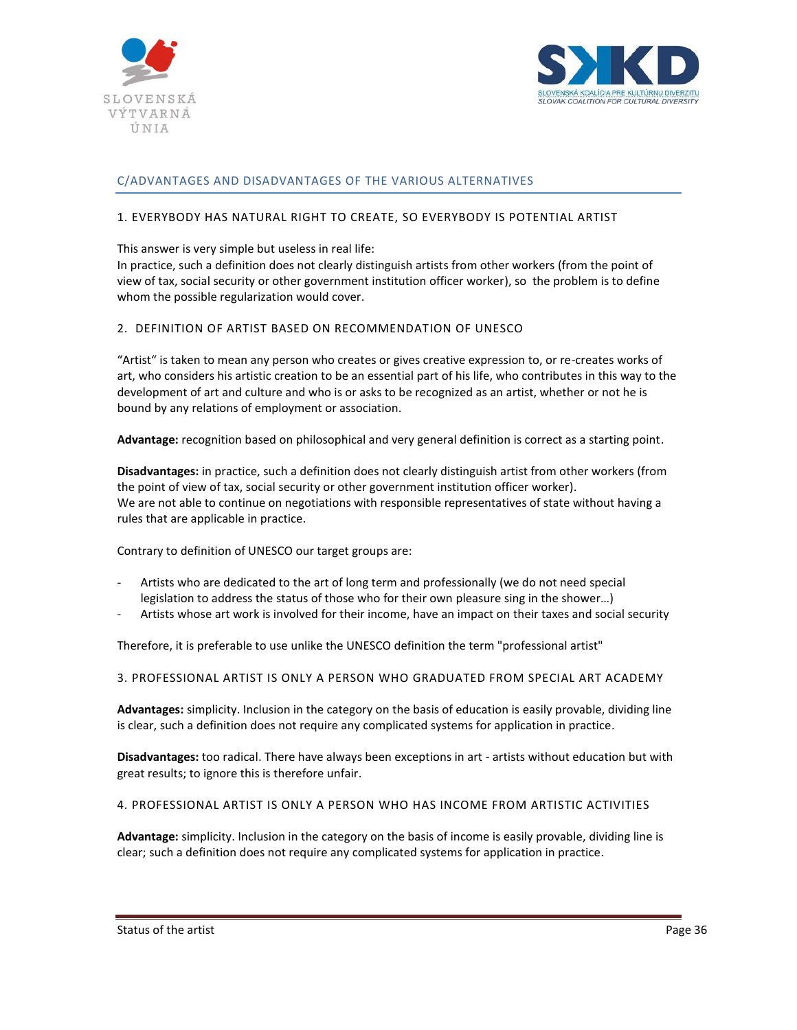



## C/ADVANTAGES AND DISADVANTAGES OF THE VARIOUS ALTERNATIVES

### 1. EVERYBODY HAS NATURAL RIGHT TO CREATE, SO EVERYBODY IS POTENTIAL ARTIST

#### This answer is very simple but useless in real life:

In practice, such a definition does not clearly distinguish artists from other workers (from the point of view of tax, social security or other government institution officer worker), so the problem is to define whom the possible regularization would cover.

#### 2. DEFINITION OF ARTIST BASED ON RECOMMENDATION OF UNESCO

"Artist" is taken to mean any person who creates or gives creative expression to, or re-creates works of art, who considers his artistic creation to be an essential part of his life, who contributes in this way to the development of art and culture and who is or asks to be recognized as an artist, whether or not he is bound by any relations of employment or association.

**Advantage:** recognition based on philosophical and very general definition is correct as a starting point.

**Disadvantages:** in practice, such a definition does not clearly distinguish artist from other workers (from the point of view of tax, social security or other government institution officer worker). We are not able to continue on negotiations with responsible representatives of state without having a rules that are applicable in practice.

Contrary to definition of UNESCO our target groups are:

- Artists who are dedicated to the art of long term and professionally (we do not need special legislation to address the status of those who for their own pleasure sing in the shower…)
- Artists whose art work is involved for their income, have an impact on their taxes and social security

Therefore, it is preferable to use unlike the UNESCO definition the term "professional artist"

3. PROFESSIONAL ARTIST IS ONLY A PERSON WHO GRADUATED FROM SPECIAL ART ACADEMY

**Advantages:** simplicity. Inclusion in the category on the basis of education is easily provable, dividing line is clear, such a definition does not require any complicated systems for application in practice.

**Disadvantages:** too radical. There have always been exceptions in art - artists without education but with great results; to ignore this is therefore unfair.

4. PROFESSIONAL ARTIST IS ONLY A PERSON WHO HAS INCOME FROM ARTISTIC ACTIVITIES

**Advantage:** simplicity. Inclusion in the category on the basis of income is easily provable, dividing line is clear; such a definition does not require any complicated systems for application in practice.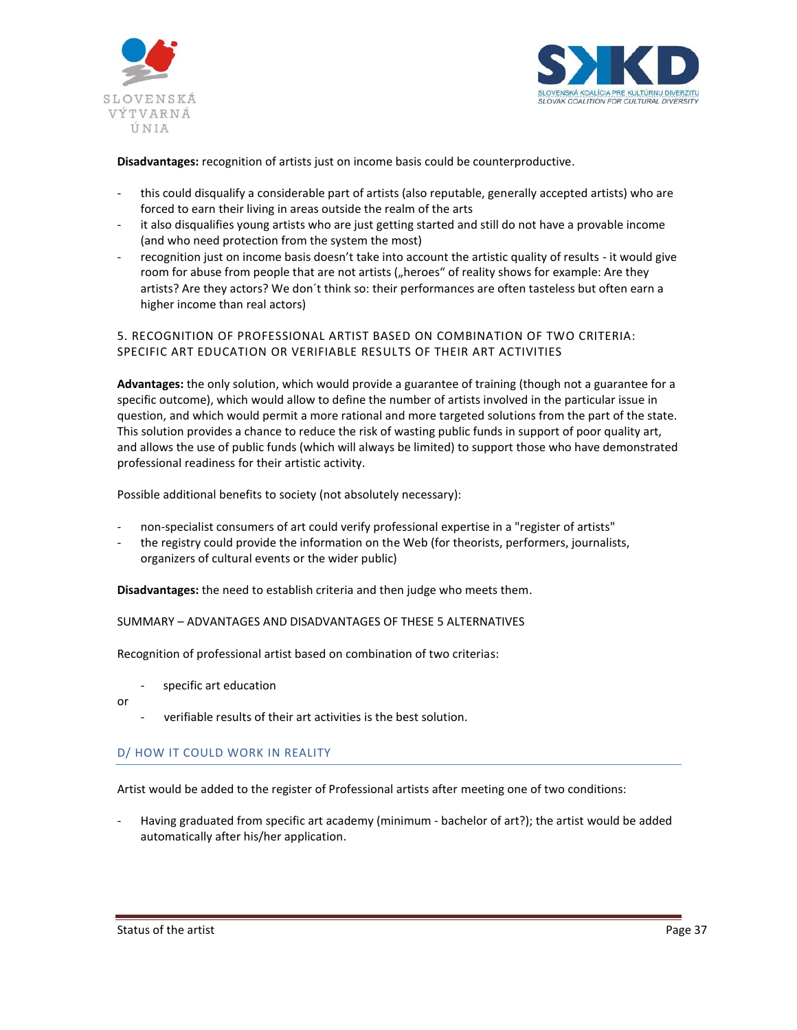



**Disadvantages:** recognition of artists just on income basis could be counterproductive.

- this could disqualify a considerable part of artists (also reputable, generally accepted artists) who are forced to earn their living in areas outside the realm of the arts
- it also disqualifies young artists who are just getting started and still do not have a provable income (and who need protection from the system the most)
- recognition just on income basis doesn't take into account the artistic quality of results it would give room for abuse from people that are not artists ("heroes" of reality shows for example: Are they artists? Are they actors? We don´t think so: their performances are often tasteless but often earn a higher income than real actors)

## 5. RECOGNITION OF PROFESSIONAL ARTIST BASED ON COMBINATION OF TWO CRITERIA: SPECIFIC ART EDUCATION OR VERIFIABLE RESULTS OF THEIR ART ACTIVITIES

**Advantages:** the only solution, which would provide a guarantee of training (though not a guarantee for a specific outcome), which would allow to define the number of artists involved in the particular issue in question, and which would permit a more rational and more targeted solutions from the part of the state. This solution provides a chance to reduce the risk of wasting public funds in support of poor quality art, and allows the use of public funds (which will always be limited) to support those who have demonstrated professional readiness for their artistic activity.

Possible additional benefits to society (not absolutely necessary):

- non-specialist consumers of art could verify professional expertise in a "register of artists"
- the registry could provide the information on the Web (for theorists, performers, journalists, organizers of cultural events or the wider public)

**Disadvantages:** the need to establish criteria and then judge who meets them.

#### SUMMARY – ADVANTAGES AND DISADVANTAGES OF THESE 5 ALTERNATIVES

Recognition of professional artist based on combination of two criterias:

specific art education

or

verifiable results of their art activities is the best solution.

## D/ HOW IT COULD WORK IN REALITY

Artist would be added to the register of Professional artists after meeting one of two conditions:

Having graduated from specific art academy (minimum - bachelor of art?); the artist would be added automatically after his/her application.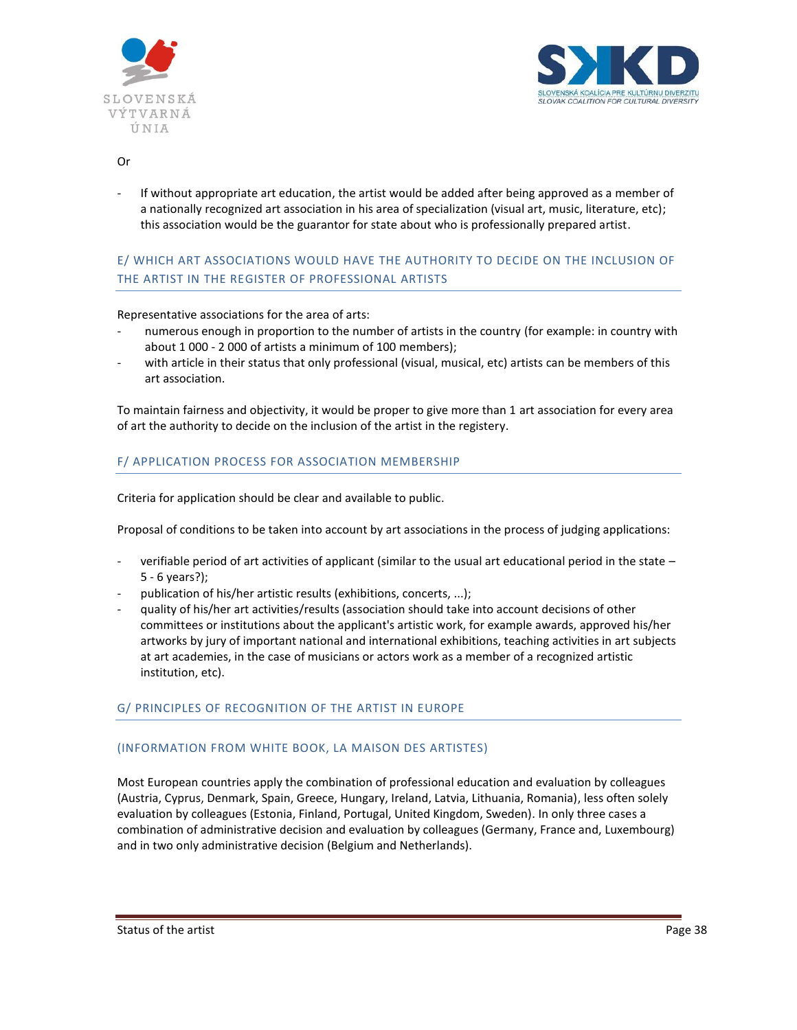



#### Or

If without appropriate art education, the artist would be added after being approved as a member of a nationally recognized art association in his area of specialization (visual art, music, literature, etc); this association would be the guarantor for state about who is professionally prepared artist.

# E/ WHICH ART ASSOCIATIONS WOULD HAVE THE AUTHORITY TO DECIDE ON THE INCLUSION OF THE ARTIST IN THE REGISTER OF PROFESSIONAL ARTISTS

Representative associations for the area of arts:

- numerous enough in proportion to the number of artists in the country (for example: in country with about 1 000 - 2 000 of artists a minimum of 100 members);
- with article in their status that only professional (visual, musical, etc) artists can be members of this art association.

To maintain fairness and objectivity, it would be proper to give more than 1 art association for every area of art the authority to decide on the inclusion of the artist in the registery.

## F/ APPLICATION PROCESS FOR ASSOCIATION MEMBERSHIP

Criteria for application should be clear and available to public.

Proposal of conditions to be taken into account by art associations in the process of judging applications:

- verifiable period of art activities of applicant (similar to the usual art educational period in the state 5 - 6 years?);
- publication of his/her artistic results (exhibitions, concerts, ...);
- quality of his/her art activities/results (association should take into account decisions of other committees or institutions about the applicant's artistic work, for example awards, approved his/her artworks by jury of important national and international exhibitions, teaching activities in art subjects at art academies, in the case of musicians or actors work as a member of a recognized artistic institution, etc).

## G/ PRINCIPLES OF RECOGNITION OF THE ARTIST IN EUROPE

#### (INFORMATION FROM WHITE BOOK, LA MAISON DES ARTISTES)

Most European countries apply the combination of professional education and evaluation by colleagues (Austria, Cyprus, Denmark, Spain, Greece, Hungary, Ireland, Latvia, Lithuania, Romania), less often solely evaluation by colleagues (Estonia, Finland, Portugal, United Kingdom, Sweden). In only three cases a combination of administrative decision and evaluation by colleagues (Germany, France and, Luxembourg) and in two only administrative decision (Belgium and Netherlands).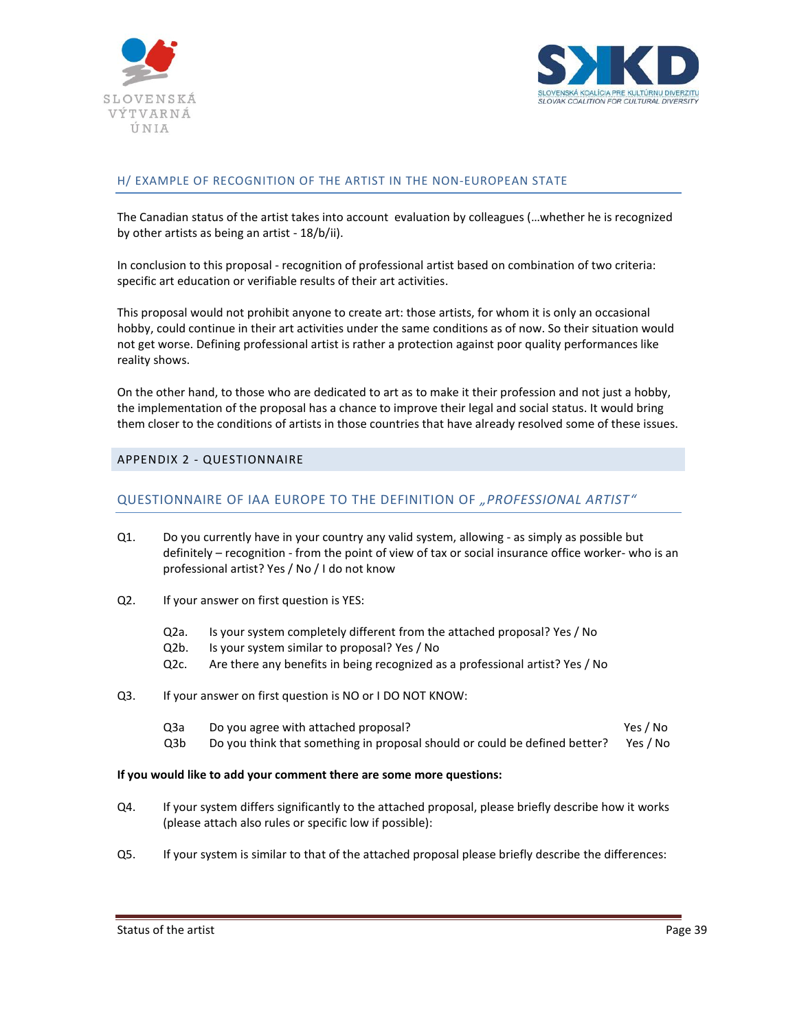



## H/ EXAMPLE OF RECOGNITION OF THE ARTIST IN THE NON-EUROPEAN STATE

The Canadian status of the artist takes into account evaluation by colleagues (…whether he is recognized by other artists as being an artist - 18/b/ii).

In conclusion to this proposal - recognition of professional artist based on combination of two criteria: specific art education or verifiable results of their art activities.

This proposal would not prohibit anyone to create art: those artists, for whom it is only an occasional hobby, could continue in their art activities under the same conditions as of now. So their situation would not get worse. Defining professional artist is rather a protection against poor quality performances like reality shows.

On the other hand, to those who are dedicated to art as to make it their profession and not just a hobby, the implementation of the proposal has a chance to improve their legal and social status. It would bring them closer to the conditions of artists in those countries that have already resolved some of these issues.

## APPENDIX 2 - QUESTIONNAIRE

## QUESTIONNAIRE OF IAA EUROPE TO THE DEFINITION OF *"PROFESSIONAL ARTIST"*

- Q1. Do you currently have in your country any valid system, allowing as simply as possible but definitely – recognition - from the point of view of tax or social insurance office worker- who is an professional artist? Yes / No / I do not know
- Q2. If your answer on first question is YES:
	- Q2a. Is your system completely different from the attached proposal? Yes / No
	- Q2b. Is your system similar to proposal? Yes / No
	- Q2c. Are there any benefits in being recognized as a professional artist? Yes / No
- Q3. If your answer on first question is NO or I DO NOT KNOW:
	- Q3a Do you agree with attached proposal? Yes / No Q3b Do you think that something in proposal should or could be defined better? Yes / No

#### **If you would like to add your comment there are some more questions:**

- Q4. If your system differs significantly to the attached proposal, please briefly describe how it works (please attach also rules or specific low if possible):
- Q5. If your system is similar to that of the attached proposal please briefly describe the differences: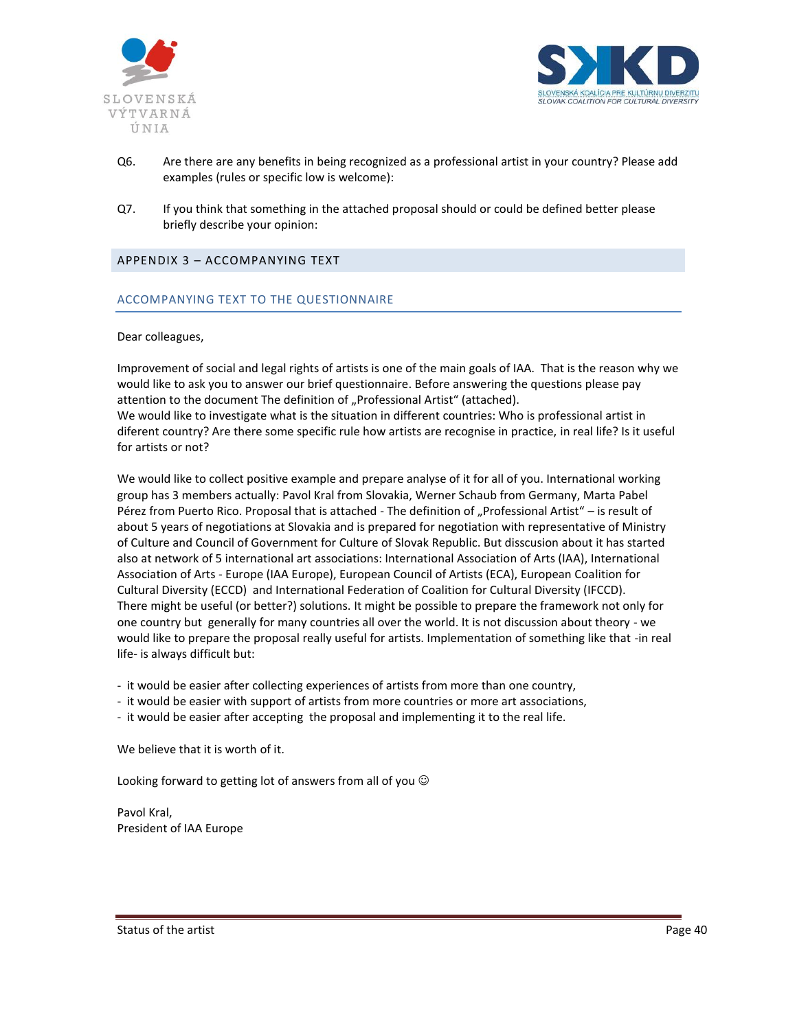



- Q6. Are there are any benefits in being recognized as a professional artist in your country? Please add examples (rules or specific low is welcome):
- Q7. If you think that something in the attached proposal should or could be defined better please briefly describe your opinion:

## APPENDIX 3 – ACCOMPANYING TEXT

## ACCOMPANYING TEXT TO THE QUESTIONNAIRE

#### Dear colleagues,

Improvement of social and legal rights of artists is one of the main goals of IAA. That is the reason why we would like to ask you to answer our brief questionnaire. Before answering the questions please pay attention to the document The definition of "Professional Artist" (attached). We would like to investigate what is the situation in different countries: Who is professional artist in diferent country? Are there some specific rule how artists are recognise in practice, in real life? Is it useful for artists or not?

We would like to collect positive example and prepare analyse of it for all of you. International working group has 3 members actually: Pavol Kral from Slovakia, Werner Schaub from Germany, Marta Pabel Pérez from Puerto Rico. Proposal that is attached - The definition of "Professional Artist" – is result of about 5 years of negotiations at Slovakia and is prepared for negotiation with representative of Ministry of Culture and Council of Government for Culture of Slovak Republic. But disscusion about it has started also at network of 5 international art associations: International Association of Arts (IAA), International Association of Arts - Europe (IAA Europe), European Council of Artists (ECA), European Coalition for Cultural Diversity (ECCD) and International Federation of Coalition for Cultural Diversity (IFCCD). There might be useful (or better?) solutions. It might be possible to prepare the framework not only for one country but generally for many countries all over the world. It is not discussion about theory - we would like to prepare the proposal really useful for artists. Implementation of something like that -in real life- is always difficult but:

- it would be easier after collecting experiences of artists from more than one country,
- it would be easier with support of artists from more countries or more art associations,
- it would be easier after accepting the proposal and implementing it to the real life.

We believe that it is worth of it.

Looking forward to getting lot of answers from all of you  $\odot$ 

Pavol Kral, President of IAA Europe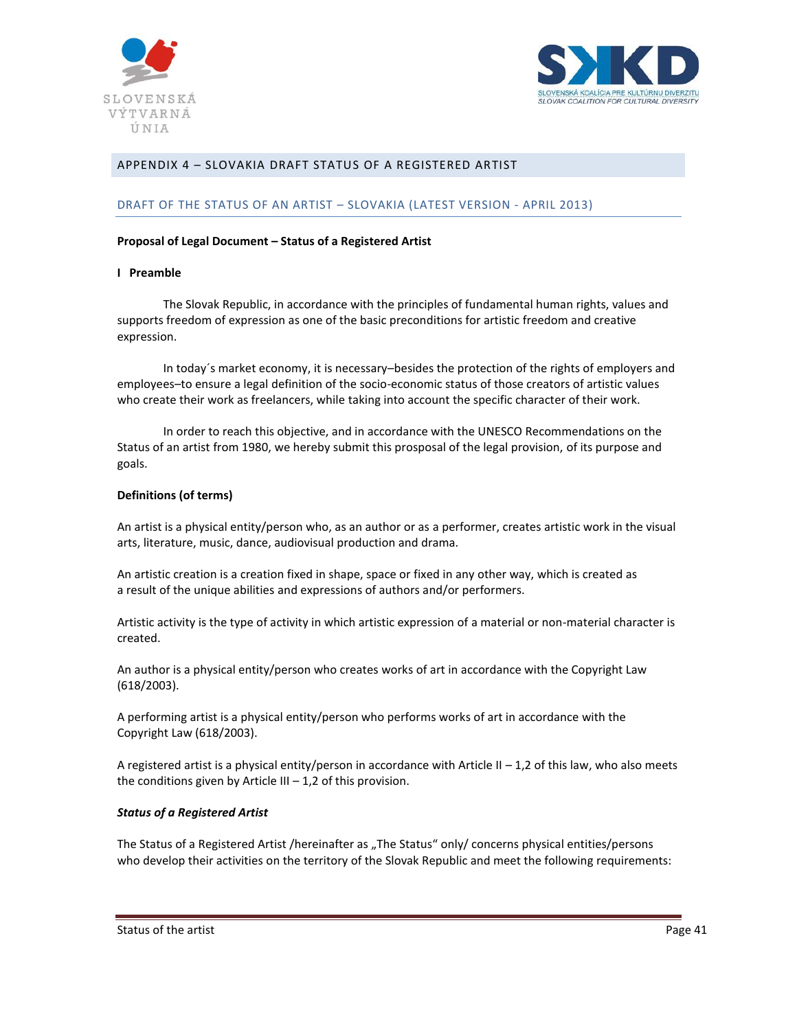



# APPENDIX 4 – SLOVAKIA DRAFT STATUS OF A REGISTERED ARTIST

#### DRAFT OF THE STATUS OF AN ARTIST – SLOVAKIA (LATEST VERSION - APRIL 2013)

#### **Proposal of Legal Document – Status of a Registered Artist**

#### **I Preamble**

The Slovak Republic, in accordance with the principles of fundamental human rights, values and supports freedom of expression as one of the basic preconditions for artistic freedom and creative expression.

In today´s market economy, it is necessary–besides the protection of the rights of employers and employees–to ensure a legal definition of the socio-economic status of those creators of artistic values who create their work as freelancers, while taking into account the specific character of their work.

In order to reach this objective, and in accordance with the UNESCO Recommendations on the Status of an artist from 1980, we hereby submit this prosposal of the legal provision, of its purpose and goals.

#### **Definitions (of terms)**

An artist is a physical entity/person who, as an author or as a performer, creates artistic work in the visual arts, literature, music, dance, audiovisual production and drama.

An artistic creation is a creation fixed in shape, space or fixed in any other way, which is created as a result of the unique abilities and expressions of authors and/or performers.

Artistic activity is the type of activity in which artistic expression of a material or non-material character is created.

An author is a physical entity/person who creates works of art in accordance with the Copyright Law (618/2003).

A performing artist is a physical entity/person who performs works of art in accordance with the Copyright Law (618/2003).

A registered artist is a physical entity/person in accordance with Article II  $-1$ ,2 of this law, who also meets the conditions given by Article III  $-1$ , 2 of this provision.

#### *Status of a Registered Artist*

The Status of a Registered Artist /hereinafter as "The Status" only/ concerns physical entities/persons who develop their activities on the territory of the Slovak Republic and meet the following requirements: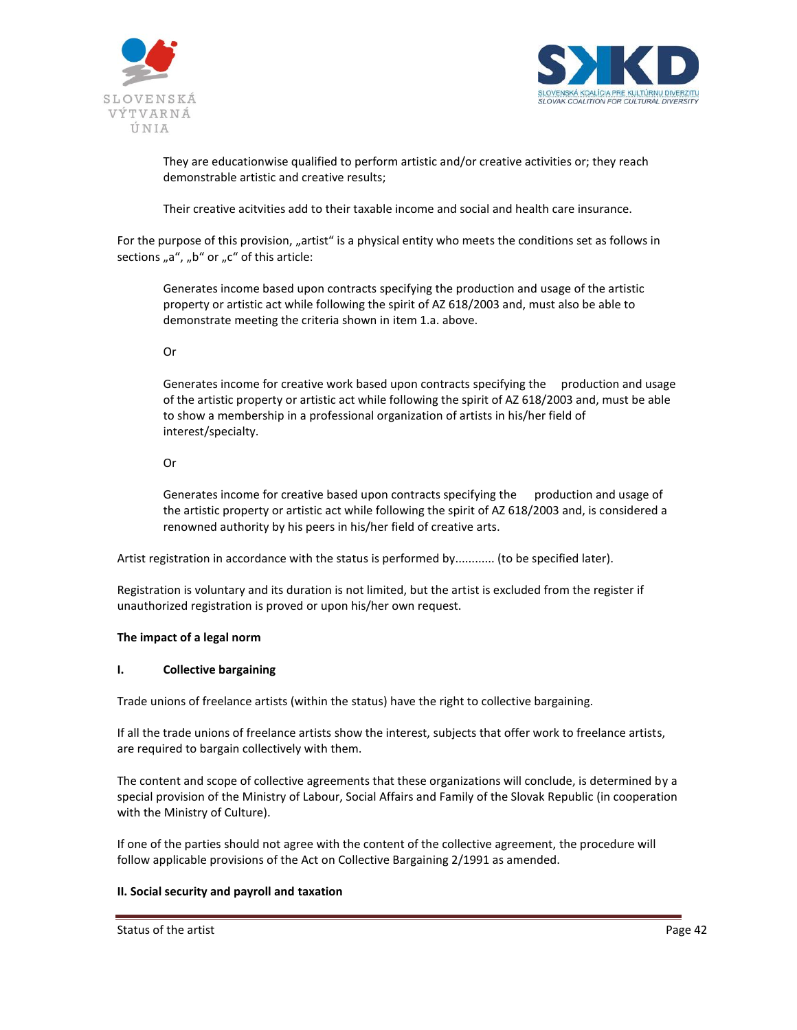



They are educationwise qualified to perform artistic and/or creative activities or; they reach demonstrable artistic and creative results;

Their creative acitvities add to their taxable income and social and health care insurance.

For the purpose of this provision, "artist" is a physical entity who meets the conditions set as follows in sections "a", "b" or "c" of this article:

Generates income based upon contracts specifying the production and usage of the artistic property or artistic act while following the spirit of AZ 618/2003 and, must also be able to demonstrate meeting the criteria shown in item 1.a. above.

Or

Generates income for creative work based upon contracts specifying the production and usage of the artistic property or artistic act while following the spirit of AZ 618/2003 and, must be able to show a membership in a professional organization of artists in his/her field of interest/specialty.

Or

Generates income for creative based upon contracts specifying the production and usage of the artistic property or artistic act while following the spirit of AZ 618/2003 and, is considered a renowned authority by his peers in his/her field of creative arts.

Artist registration in accordance with the status is performed by............ (to be specified later).

Registration is voluntary and its duration is not limited, but the artist is excluded from the register if unauthorized registration is proved or upon his/her own request.

# **The impact of a legal norm**

## **I. Collective bargaining**

Trade unions of freelance artists (within the status) have the right to collective bargaining.

If all the trade unions of freelance artists show the interest, subjects that offer work to freelance artists, are required to bargain collectively with them.

The content and scope of collective agreements that these organizations will conclude, is determined by a special provision of the Ministry of Labour, Social Affairs and Family of the Slovak Republic (in cooperation with the Ministry of Culture).

If one of the parties should not agree with the content of the collective agreement, the procedure will follow applicable provisions of the Act on Collective Bargaining 2/1991 as amended.

## **II. Social security and payroll and taxation**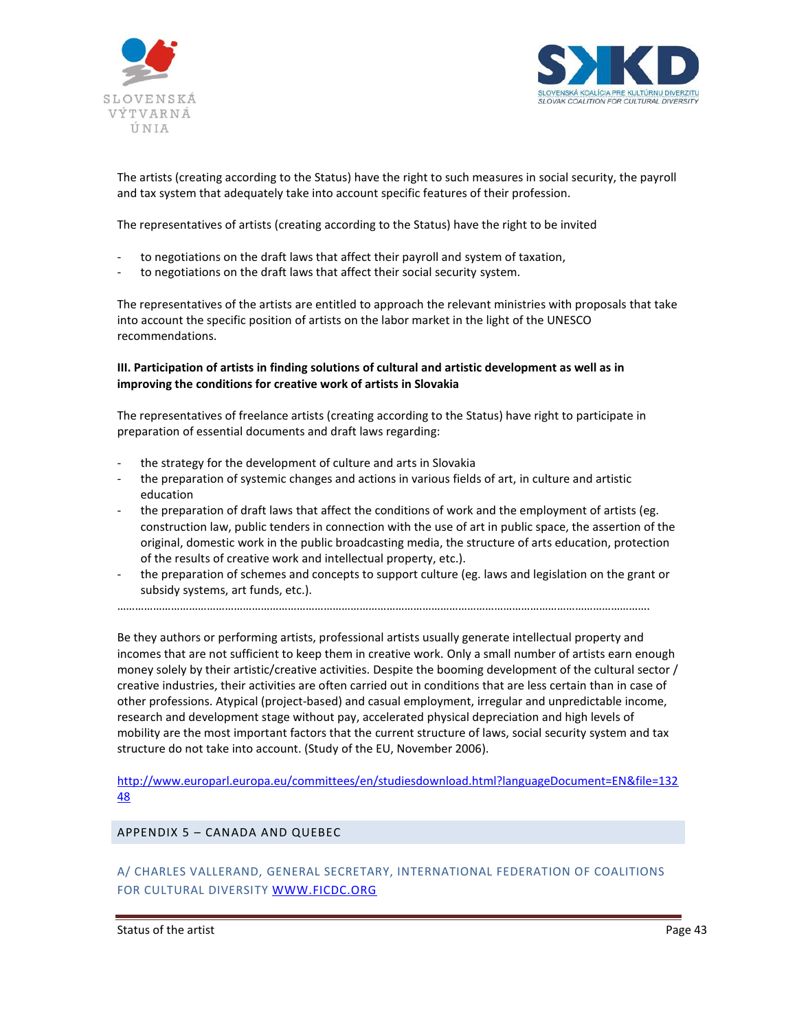



The artists (creating according to the Status) have the right to such measures in social security, the payroll and tax system that adequately take into account specific features of their profession.

The representatives of artists (creating according to the Status) have the right to be invited

- to negotiations on the draft laws that affect their payroll and system of taxation,
- to negotiations on the draft laws that affect their social security system.

The representatives of the artists are entitled to approach the relevant ministries with proposals that take into account the specific position of artists on the labor market in the light of the UNESCO recommendations.

## **III. Participation of artists in finding solutions of cultural and artistic development as well as in improving the conditions for creative work of artists in Slovakia**

The representatives of freelance artists (creating according to the Status) have right to participate in preparation of essential documents and draft laws regarding:

- the strategy for the development of culture and arts in Slovakia
- the preparation of systemic changes and actions in various fields of art, in culture and artistic education
- the preparation of draft laws that affect the conditions of work and the employment of artists (eg. construction law, public tenders in connection with the use of art in public space, the assertion of the original, domestic work in the public broadcasting media, the structure of arts education, protection of the results of creative work and intellectual property, etc.).
- the preparation of schemes and concepts to support culture (eg. laws and legislation on the grant or subsidy systems, art funds, etc.).

…………………………………………………………………………………………………………………………………………………………….

Be they authors or performing artists, professional artists usually generate intellectual property and incomes that are not sufficient to keep them in creative work. Only a small number of artists earn enough money solely by their artistic/creative activities. Despite the booming development of the cultural sector / creative industries, their activities are often carried out in conditions that are less certain than in case of other professions. Atypical (project-based) and casual employment, irregular and unpredictable income, research and development stage without pay, accelerated physical depreciation and high levels of mobility are the most important factors that the current structure of laws, social security system and tax structure do not take into account. (Study of the EU, November 2006).

[http://www.europarl.europa.eu/committees/en/studiesdownload.html?languageDocument=EN&file=132](http://www.europarl.europa.eu/committees/en/studiesdownload.html?languageDocument=EN&file=13248) [48](http://www.europarl.europa.eu/committees/en/studiesdownload.html?languageDocument=EN&file=13248)

APPENDIX 5 – CANADA AND QUEBEC

A/ CHARLES VALLERAND, GENERAL SECRETARY, INTERNATIONAL FEDERATION OF COALITIONS FOR CULTURAL DIVERSITY [WWW.FICDC.ORG](http://www.ficdc.org/)

Status of the artist **Page 43 Page 43**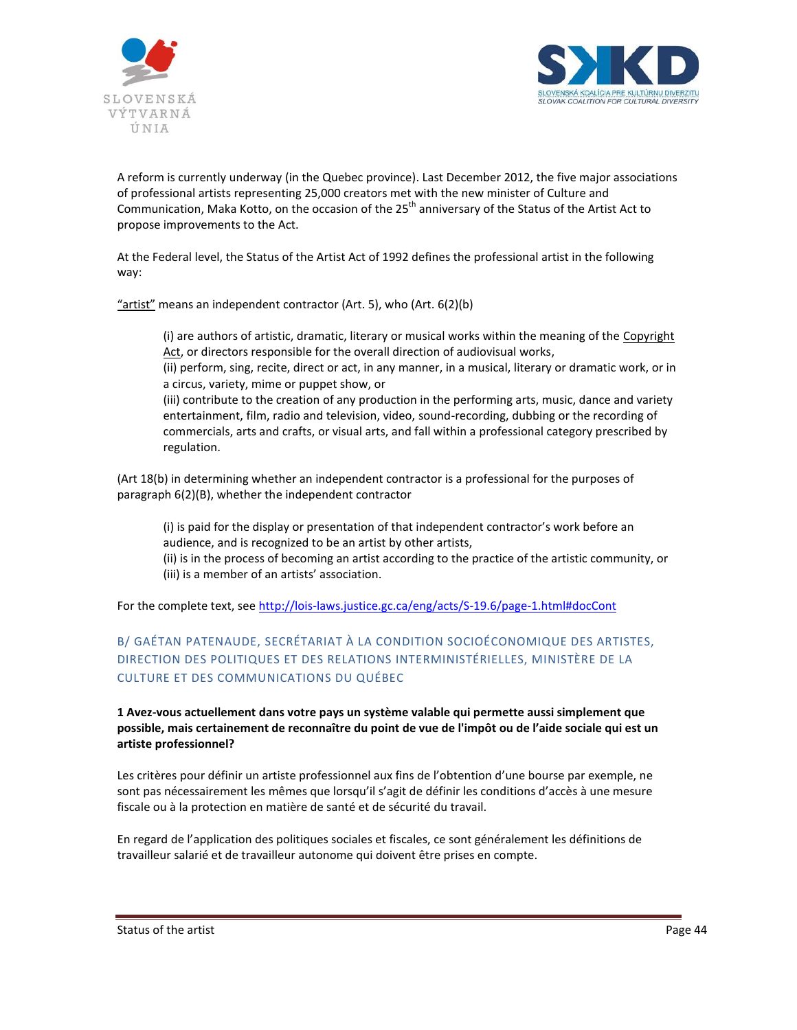



A reform is currently underway (in the Quebec province). Last December 2012, the five major associations of professional artists representing 25,000 creators met with the new minister of Culture and Communication, Maka Kotto, on the occasion of the 25<sup>th</sup> anniversary of the Status of the Artist Act to propose improvements to the Act.

At the Federal level, the Status of the Artist Act of 1992 defines the professional artist in the following way:

"artist" means an independent contractor (Art. 5), who (Art. 6(2)(b)

(i) are authors of artistic, dramatic, literary or musical works within the meaning of the Copyright [Act,](http://lois-laws.justice.gc.ca/eng/acts/C-42) or directors responsible for the overall direction of audiovisual works,

(ii) perform, sing, recite, direct or act, in any manner, in a musical, literary or dramatic work, or in a circus, variety, mime or puppet show, or

(iii) contribute to the creation of any production in the performing arts, music, dance and variety entertainment, film, radio and television, video, sound-recording, dubbing or the recording of commercials, arts and crafts, or visual arts, and fall within a professional category prescribed by regulation.

(Art 18(b) in determining whether an independent contractor is a professional for the purposes of paragraph 6(2)(B), whether the independent contractor

(i) is paid for the display or presentation of that independent contractor's work before an audience, and is recognized to be an artist by other artists,

(ii) is in the process of becoming an artist according to the practice of the artistic community, or (iii) is a member of an artists' association.

For the complete text, see<http://lois-laws.justice.gc.ca/eng/acts/S-19.6/page-1.html#docCont>

# B/ GAÉTAN PATENAUDE, SECRÉTARIAT À LA CONDITION SOCIOÉCONOMIQUE DES ARTISTES, DIRECTION DES POLITIQUES ET DES RELATIONS INTERMINISTÉRIELLES, MINISTÈRE DE LA CULTURE ET DES COMMUNICATIONS DU QUÉBEC

**1 Avez-vous actuellement dans votre pays un système valable qui permette aussi simplement que possible, mais certainement de reconnaître du point de vue de l'impôt ou de l'aide sociale qui est un artiste professionnel?**

Les critères pour définir un artiste professionnel aux fins de l'obtention d'une bourse par exemple, ne sont pas nécessairement les mêmes que lorsqu'il s'agit de définir les conditions d'accès à une mesure fiscale ou à la protection en matière de santé et de sécurité du travail.

En regard de l'application des politiques sociales et fiscales, ce sont généralement les définitions de travailleur salarié et de travailleur autonome qui doivent être prises en compte.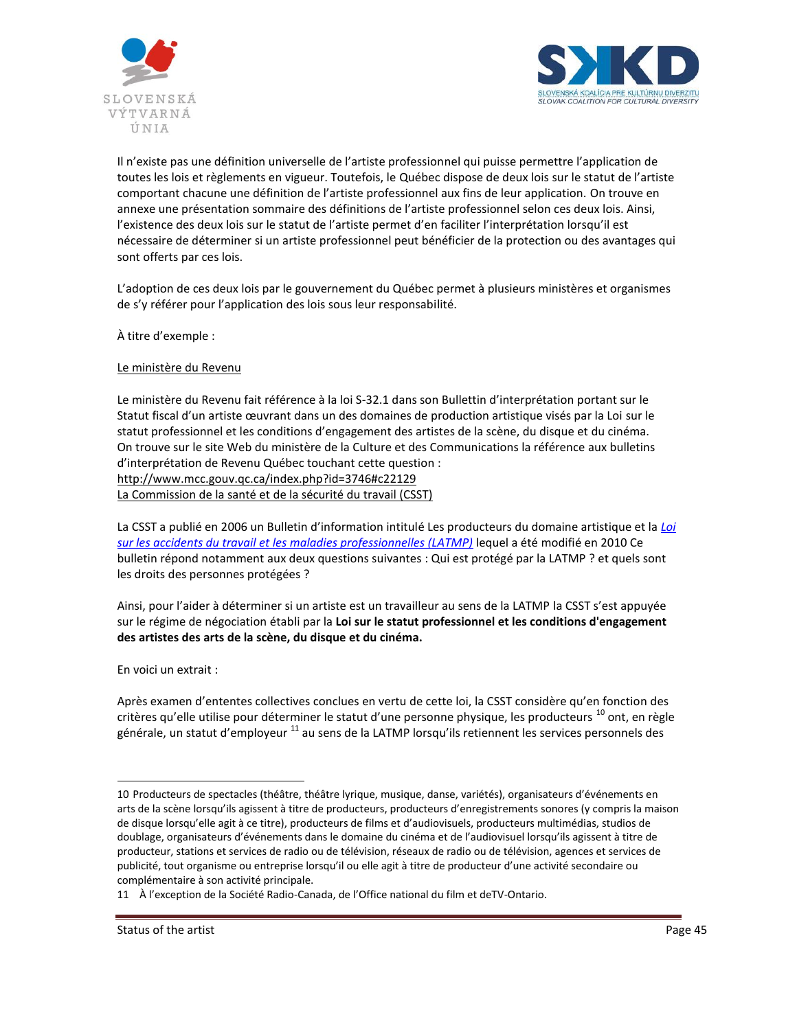



Il n'existe pas une définition universelle de l'artiste professionnel qui puisse permettre l'application de toutes les lois et règlements en vigueur. Toutefois, le Québec dispose de deux lois sur le statut de l'artiste comportant chacune une définition de l'artiste professionnel aux fins de leur application. On trouve en annexe une présentation sommaire des définitions de l'artiste professionnel selon ces deux lois. Ainsi, l'existence des deux lois sur le statut de l'artiste permet d'en faciliter l'interprétation lorsqu'il est nécessaire de déterminer si un artiste professionnel peut bénéficier de la protection ou des avantages qui sont offerts par ces lois.

L'adoption de ces deux lois par le gouvernement du Québec permet à plusieurs ministères et organismes de s'y référer pour l'application des lois sous leur responsabilité.

À titre d'exemple :

Le ministère du Revenu

Le ministère du Revenu fait référence à la loi S-32.1 dans son Bullettin d'interprétation portant sur le Statut fiscal d'un artiste œuvrant dans un des domaines de production artistique visés par la Loi sur le statut professionnel et les conditions d'engagement des artistes de la scène, du disque et du cinéma. On trouve sur le site Web du ministère de la Culture et des Communications la référence aux bulletins d'interprétation de Revenu Québec touchant cette question : <http://www.mcc.gouv.qc.ca/index.php?id=3746#c22129> La Commission de la santé et de la sécurité du travail (CSST)

La CSST a publié en 2006 un Bulletin d'information intitulé Les producteurs du domaine artistique et la *[Loi](http://www.csst.qc.ca/publications/600/Pages/dc_600_421.aspx)  [sur les accidents du travail et les maladies professionnelles \(LATMP\)](http://www.csst.qc.ca/publications/600/Pages/dc_600_421.aspx)* lequel a été modifié en 2010 Ce bulletin répond notamment aux deux questions suivantes : Qui est protégé par la LATMP ? et quels sont les droits des personnes protégées ?

Ainsi, pour l'aider à déterminer si un artiste est un travailleur au sens de la LATMP la CSST s'est appuyée sur le régime de négociation établi par la **Loi sur le statut professionnel et les conditions d'engagement des artistes des arts de la scène, du disque et du cinéma.** 

En voici un extrait :

Après examen d'ententes collectives conclues en vertu de cette loi, la CSST considère qu'en fonction des critères qu'elle utilise pour déterminer le statut d'une personne physique, les producteurs<sup>10</sup> ont, en règle générale, un statut d'employeur <sup>11</sup> au sens de la LATMP lorsqu'ils retiennent les services personnels des

 $\overline{a}$ 10 Producteurs de spectacles (théâtre, théâtre lyrique, musique, danse, variétés), organisateurs d'événements en arts de la scène lorsqu'ils agissent à titre de producteurs, producteurs d'enregistrements sonores (y compris la maison de disque lorsqu'elle agit à ce titre), producteurs de films et d'audiovisuels, producteurs multimédias, studios de doublage, organisateurs d'événements dans le domaine du cinéma et de l'audiovisuel lorsqu'ils agissent à titre de producteur, stations et services de radio ou de télévision, réseaux de radio ou de télévision, agences et services de publicité, tout organisme ou entreprise lorsqu'il ou elle agit à titre de producteur d'une activité secondaire ou complémentaire à son activité principale.

<sup>11</sup> À l'exception de la Société Radio-Canada, de l'Office national du film et deTV-Ontario.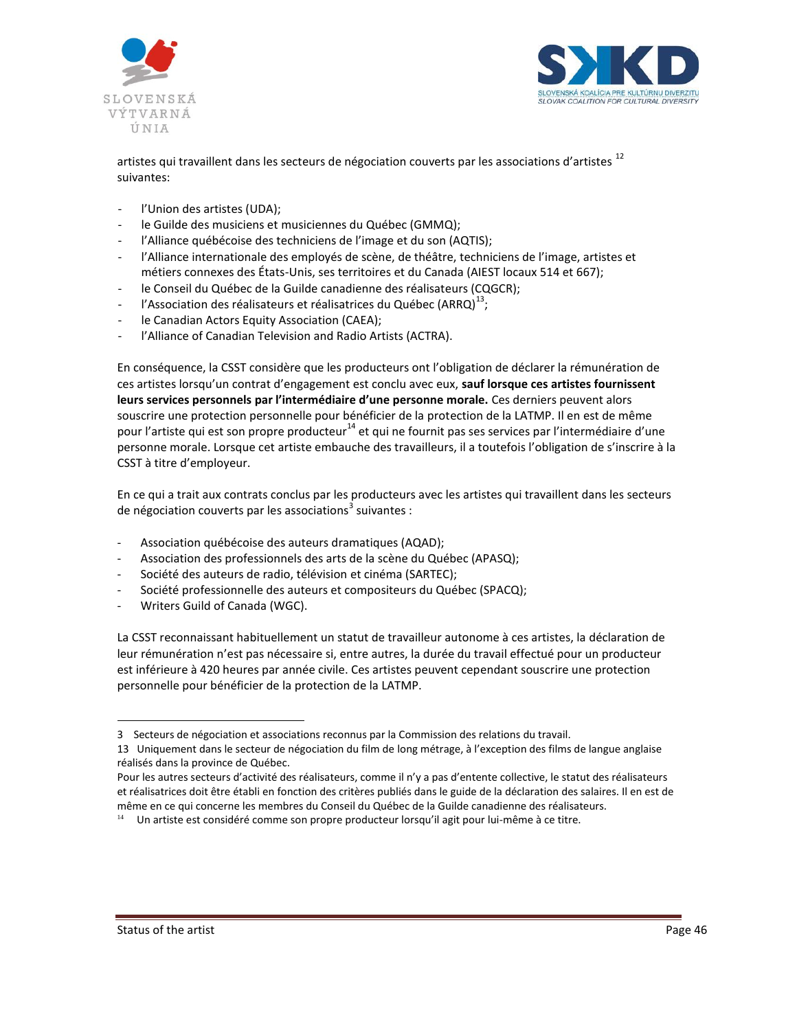



artistes qui travaillent dans les secteurs de négociation couverts par les associations d'artistes <sup>12</sup> suivantes:

- l'Union des artistes (UDA);
- le Guilde des musiciens et musiciennes du Québec (GMMQ);
- l'Alliance québécoise des techniciens de l'image et du son (AQTIS);
- l'Alliance internationale des employés de scène, de théâtre, techniciens de l'image, artistes et métiers connexes des États-Unis, ses territoires et du Canada (AIEST locaux 514 et 667);
- le Conseil du Québec de la Guilde canadienne des réalisateurs (CQGCR);
- l'Association des réalisateurs et réalisatrices du Québec (ARRQ) $^{13}$ ;
- le Canadian Actors Equity Association (CAEA);
- l'Alliance of Canadian Television and Radio Artists (ACTRA).

En conséquence, la CSST considère que les producteurs ont l'obligation de déclarer la rémunération de ces artistes lorsqu'un contrat d'engagement est conclu avec eux, **sauf lorsque ces artistes fournissent leurs services personnels par l'intermédiaire d'une personne morale.** Ces derniers peuvent alors souscrire une protection personnelle pour bénéficier de la protection de la LATMP. Il en est de même pour l'artiste qui est son propre producteur<sup>14</sup> et qui ne fournit pas ses services par l'intermédiaire d'une personne morale. Lorsque cet artiste embauche des travailleurs, il a toutefois l'obligation de s'inscrire à la CSST à titre d'employeur.

En ce qui a trait aux contrats conclus par les producteurs avec les artistes qui travaillent dans les secteurs de négociation couverts par les associations<sup>3</sup> suivantes :

- Association québécoise des auteurs dramatiques (AQAD);
- Association des professionnels des arts de la scène du Québec (APASQ);
- Société des auteurs de radio, télévision et cinéma (SARTEC);
- Société professionnelle des auteurs et compositeurs du Québec (SPACQ);
- Writers Guild of Canada (WGC).

La CSST reconnaissant habituellement un statut de travailleur autonome à ces artistes, la déclaration de leur rémunération n'est pas nécessaire si, entre autres, la durée du travail effectué pour un producteur est inférieure à 420 heures par année civile. Ces artistes peuvent cependant souscrire une protection personnelle pour bénéficier de la protection de la LATMP.

 $\overline{a}$ 

<sup>3</sup> Secteurs de négociation et associations reconnus par la Commission des relations du travail.

<sup>13</sup> Uniquement dans le secteur de négociation du film de long métrage, à l'exception des films de langue anglaise réalisés dans la province de Québec.

Pour les autres secteurs d'activité des réalisateurs, comme il n'y a pas d'entente collective, le statut des réalisateurs et réalisatrices doit être établi en fonction des critères publiés dans le guide de la déclaration des salaires. Il en est de même en ce qui concerne les membres du Conseil du Québec de la Guilde canadienne des réalisateurs.

<sup>&</sup>lt;sup>14</sup> Un artiste est considéré comme son propre producteur lorsqu'il agit pour lui-même à ce titre.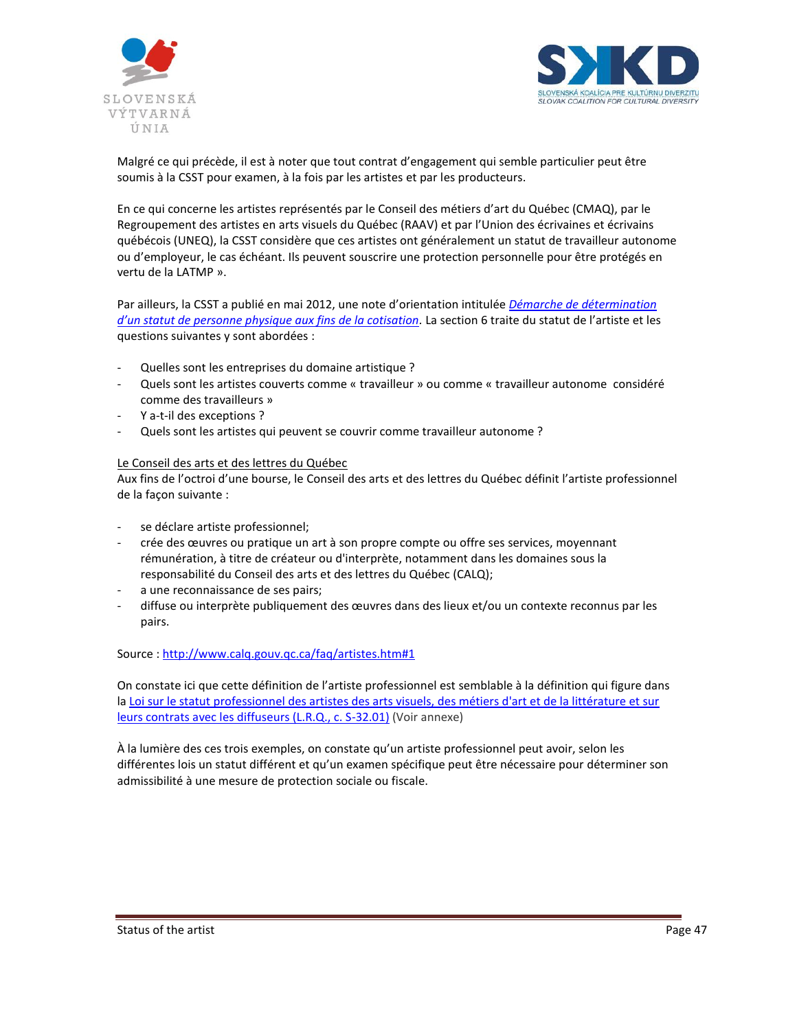



Malgré ce qui précède, il est à noter que tout contrat d'engagement qui semble particulier peut être soumis à la CSST pour examen, à la fois par les artistes et par les producteurs.

En ce qui concerne les artistes représentés par le Conseil des métiers d'art du Québec (CMAQ), par le Regroupement des artistes en arts visuels du Québec (RAAV) et par l'Union des écrivaines et écrivains québécois (UNEQ), la CSST considère que ces artistes ont généralement un statut de travailleur autonome ou d'employeur, le cas échéant. Ils peuvent souscrire une protection personnelle pour être protégés en vertu de la LATMP ».

Par ailleurs, la CSST a publié en mai 2012, une note d'orientation intitulée *[Démarche de détermination](http://www.csst.qc.ca/lois_reglements_normes_politiques/orientations-directives/notes_orientation/Pages/296.aspx)  [d'un statut de personne physique aux fins de la cotisation](http://www.csst.qc.ca/lois_reglements_normes_politiques/orientations-directives/notes_orientation/Pages/296.aspx).* La section 6 traite du statut de l'artiste et les questions suivantes y sont abordées :

- Quelles sont les entreprises du domaine artistique ?
- Quels sont les artistes couverts comme « travailleur » ou comme « travailleur autonome considéré comme des travailleurs »
- Y a-t-il des exceptions ?
- Quels sont les artistes qui peuvent se couvrir comme travailleur autonome ?

#### Le Conseil des arts et des lettres du Québec

Aux fins de l'octroi d'une bourse, le Conseil des arts et des lettres du Québec définit l'artiste professionnel de la façon suivante :

- se déclare artiste professionnel;
- crée des œuvres ou pratique un art à son propre compte ou offre ses services, moyennant rémunération, à titre de créateur ou d'interprète, notamment dans les domaines sous la responsabilité du Conseil des arts et des lettres du Québec (CALQ);
- a une reconnaissance de ses pairs;
- diffuse ou interprète publiquement des œuvres dans des lieux et/ou un contexte reconnus par les pairs.

#### Source :<http://www.calq.gouv.qc.ca/faq/artistes.htm#1>

On constate ici que cette définition de l'artiste professionnel est semblable à la définition qui figure dans la Loi sur le statut professionnel des artistes des arts visuels, des métiers d'art et de la littérature et sur [leurs contrats avec les diffuseurs \(L.R.Q., c. S-32.01\)](http://www2.publicationsduquebec.gouv.qc.ca/dynamicSearch/telecharge.php?type=2&file=/S_32_01/S32_01.HTM) (Voir annexe)

À la lumière des ces trois exemples, on constate qu'un artiste professionnel peut avoir, selon les différentes lois un statut différent et qu'un examen spécifique peut être nécessaire pour déterminer son admissibilité à une mesure de protection sociale ou fiscale.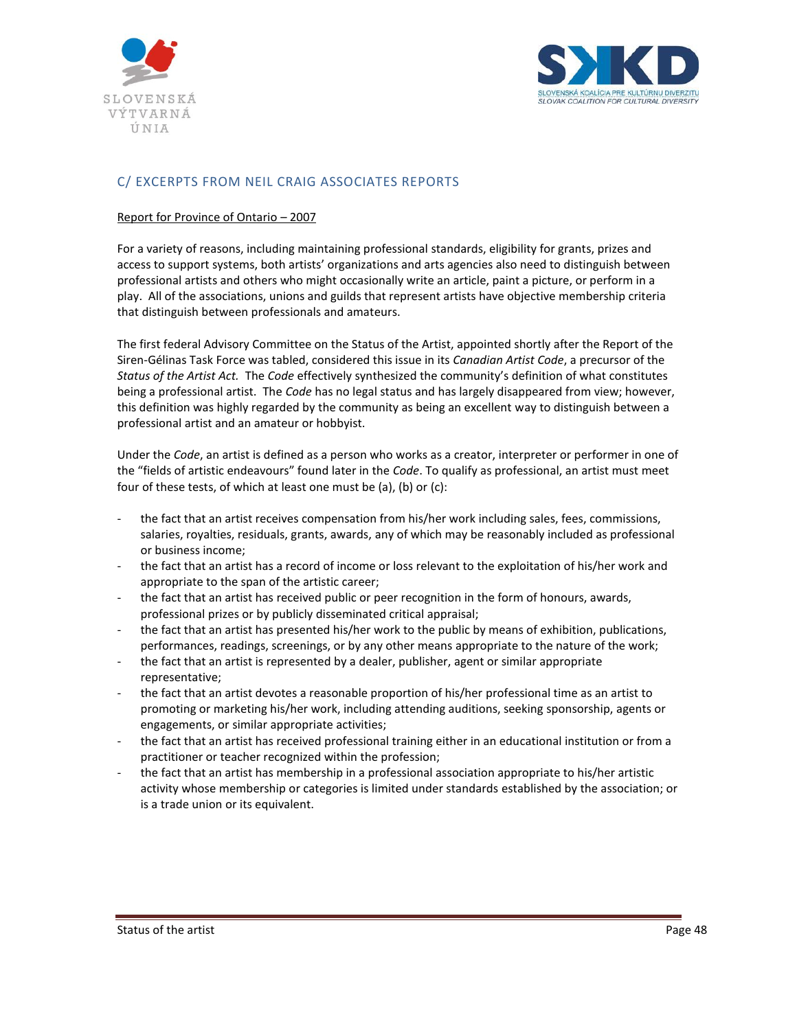



# C/ EXCERPTS FROM NEIL CRAIG ASSOCIATES REPORTS

## Report for Province of Ontario – 2007

For a variety of reasons, including maintaining professional standards, eligibility for grants, prizes and access to support systems, both artists' organizations and arts agencies also need to distinguish between professional artists and others who might occasionally write an article, paint a picture, or perform in a play. All of the associations, unions and guilds that represent artists have objective membership criteria that distinguish between professionals and amateurs.

The first federal Advisory Committee on the Status of the Artist, appointed shortly after the Report of the Siren-Gélinas Task Force was tabled, considered this issue in its *Canadian Artist Code*, a precursor of the *Status of the Artist Act.* The *Code* effectively synthesized the community's definition of what constitutes being a professional artist. The *Code* has no legal status and has largely disappeared from view; however, this definition was highly regarded by the community as being an excellent way to distinguish between a professional artist and an amateur or hobbyist.

Under the *Code*, an artist is defined as a person who works as a creator, interpreter or performer in one of the "fields of artistic endeavours" found later in the *Code*. To qualify as professional, an artist must meet four of these tests, of which at least one must be (a), (b) or (c):

- the fact that an artist receives compensation from his/her work including sales, fees, commissions, salaries, royalties, residuals, grants, awards, any of which may be reasonably included as professional or business income;
- the fact that an artist has a record of income or loss relevant to the exploitation of his/her work and appropriate to the span of the artistic career;
- the fact that an artist has received public or peer recognition in the form of honours, awards, professional prizes or by publicly disseminated critical appraisal;
- the fact that an artist has presented his/her work to the public by means of exhibition, publications, performances, readings, screenings, or by any other means appropriate to the nature of the work;
- the fact that an artist is represented by a dealer, publisher, agent or similar appropriate representative;
- the fact that an artist devotes a reasonable proportion of his/her professional time as an artist to promoting or marketing his/her work, including attending auditions, seeking sponsorship, agents or engagements, or similar appropriate activities;
- the fact that an artist has received professional training either in an educational institution or from a practitioner or teacher recognized within the profession;
- the fact that an artist has membership in a professional association appropriate to his/her artistic activity whose membership or categories is limited under standards established by the association; or is a trade union or its equivalent.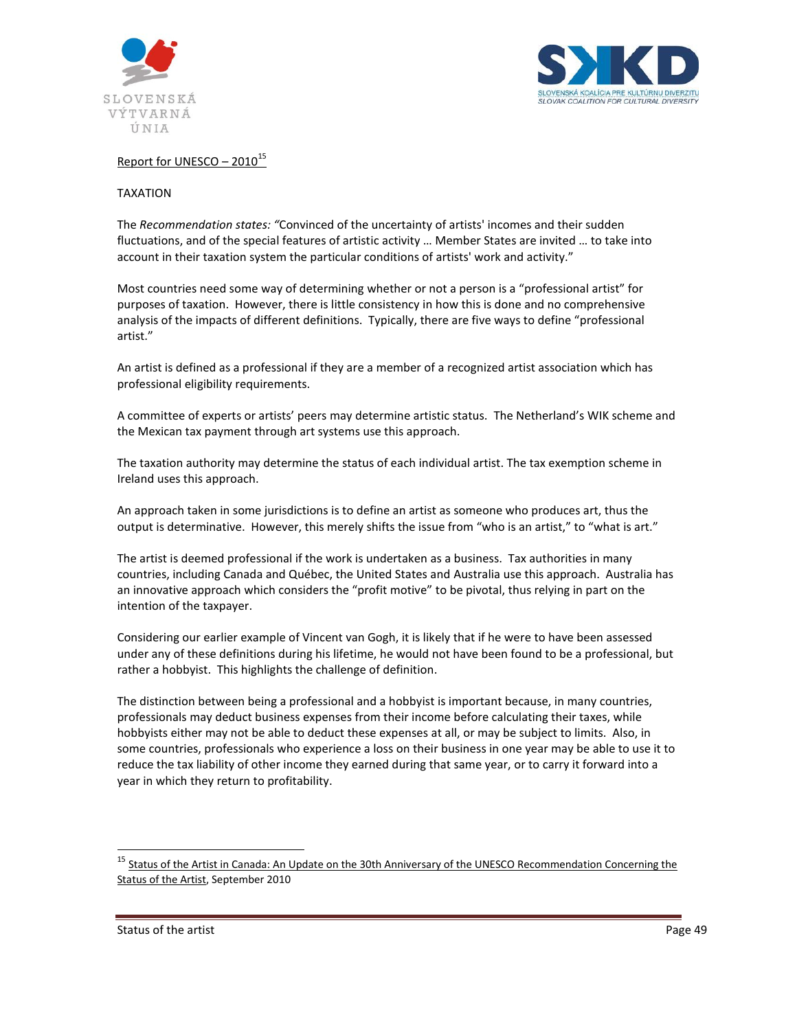



# Report for UNESCO  $-2010^{15}$

#### TAXATION

The *Recommendation states: "*Convinced of the uncertainty of artists' incomes and their sudden fluctuations, and of the special features of artistic activity … Member States are invited … to take into account in their taxation system the particular conditions of artists' work and activity."

Most countries need some way of determining whether or not a person is a "professional artist" for purposes of taxation. However, there is little consistency in how this is done and no comprehensive analysis of the impacts of different definitions. Typically, there are five ways to define "professional artist."

An artist is defined as a professional if they are a member of a recognized artist association which has professional eligibility requirements.

A committee of experts or artists' peers may determine artistic status. The Netherland's WIK scheme and the Mexican tax payment through art systems use this approach.

The taxation authority may determine the status of each individual artist. The tax exemption scheme in Ireland uses this approach.

An approach taken in some jurisdictions is to define an artist as someone who produces art, thus the output is determinative. However, this merely shifts the issue from "who is an artist," to "what is art."

The artist is deemed professional if the work is undertaken as a business. Tax authorities in many countries, including Canada and Québec, the United States and Australia use this approach. Australia has an innovative approach which considers the "profit motive" to be pivotal, thus relying in part on the intention of the taxpayer.

Considering our earlier example of Vincent van Gogh, it is likely that if he were to have been assessed under any of these definitions during his lifetime, he would not have been found to be a professional, but rather a hobbyist. This highlights the challenge of definition.

The distinction between being a professional and a hobbyist is important because, in many countries, professionals may deduct business expenses from their income before calculating their taxes, while hobbyists either may not be able to deduct these expenses at all, or may be subject to limits. Also, in some countries, professionals who experience a loss on their business in one year may be able to use it to reduce the tax liability of other income they earned during that same year, or to carry it forward into a year in which they return to profitability.

Status of the artist **Page 49** 

 $\overline{a}$ 

Status of the Artist in Canada: An Update on the 30th Anniversary of the UNESCO [Recommendation](http://ccarts.ca/wp-content/uploads/2010/10/StatusoftheArtistReport1126101-Copy.pdf) Concerning the [Status](http://ccarts.ca/wp-content/uploads/2010/10/StatusoftheArtistReport1126101-Copy.pdf) of the Artist, September 2010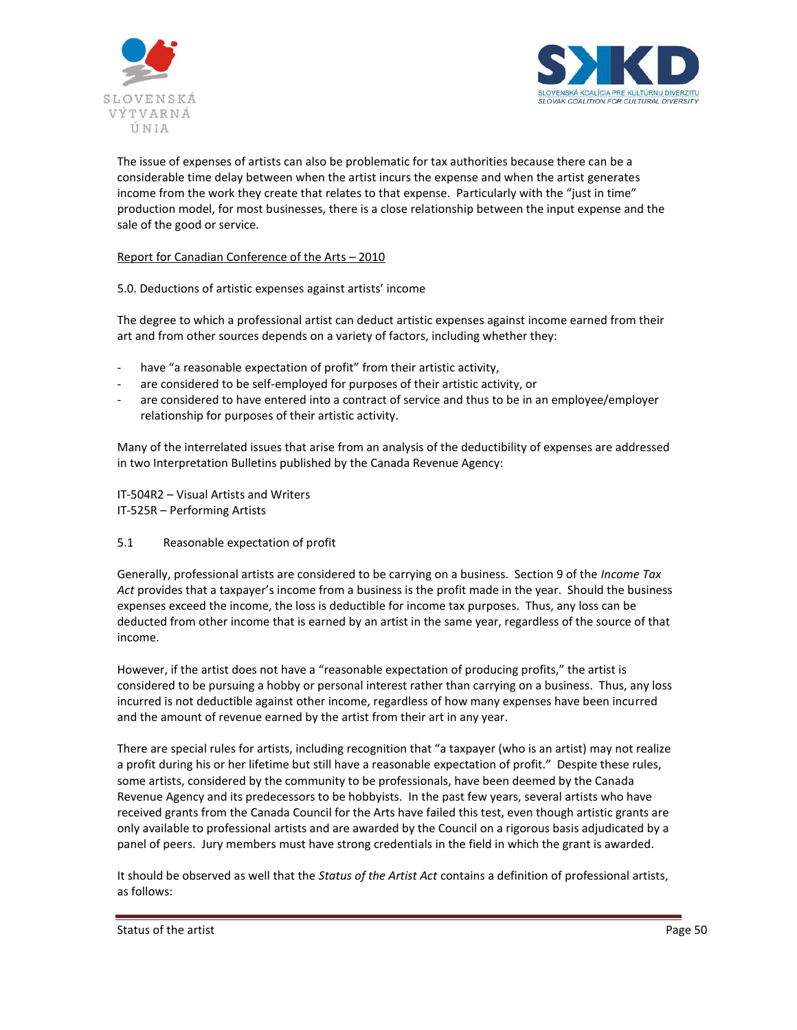



The issue of expenses of artists can also be problematic for tax authorities because there can be a considerable time delay between when the artist incurs the expense and when the artist generates income from the work they create that relates to that expense. Particularly with the "just in time" production model, for most businesses, there is a close relationship between the input expense and the sale of the good or service.

## Report for Canadian Conference of the Arts – 2010

5.0. Deductions of artistic expenses against artists' income

The degree to which a professional artist can deduct artistic expenses against income earned from their art and from other sources depends on a variety of factors, including whether they:

- have "a reasonable expectation of profit" from their artistic activity,
- are considered to be self-employed for purposes of their artistic activity, or
- are considered to have entered into a contract of service and thus to be in an employee/employer relationship for purposes of their artistic activity.

Many of the interrelated issues that arise from an analysis of the deductibility of expenses are addressed in two Interpretation Bulletins published by the Canada Revenue Agency:

IT-504R2 – Visual Artists and Writers IT-525R – Performing Artists

5.1 Reasonable expectation of profit

Generally, professional artists are considered to be carrying on a business. Section 9 of the *Income Tax Act* provides that a taxpayer's income from a business is the profit made in the year. Should the business expenses exceed the income, the loss is deductible for income tax purposes. Thus, any loss can be deducted from other income that is earned by an artist in the same year, regardless of the source of that income.

However, if the artist does not have a "reasonable expectation of producing profits," the artist is considered to be pursuing a hobby or personal interest rather than carrying on a business. Thus, any loss incurred is not deductible against other income, regardless of how many expenses have been incurred and the amount of revenue earned by the artist from their art in any year.

There are special rules for artists, including recognition that "a taxpayer (who is an artist) may not realize a profit during his or her lifetime but still have a reasonable expectation of profit." Despite these rules, some artists, considered by the community to be professionals, have been deemed by the Canada Revenue Agency and its predecessors to be hobbyists. In the past few years, several artists who have received grants from the Canada Council for the Arts have failed this test, even though artistic grants are only available to professional artists and are awarded by the Council on a rigorous basis adjudicated by a panel of peers. Jury members must have strong credentials in the field in which the grant is awarded.

It should be observed as well that the *Status of the Artist Act* contains a definition of professional artists, as follows:

Status of the artist Page 50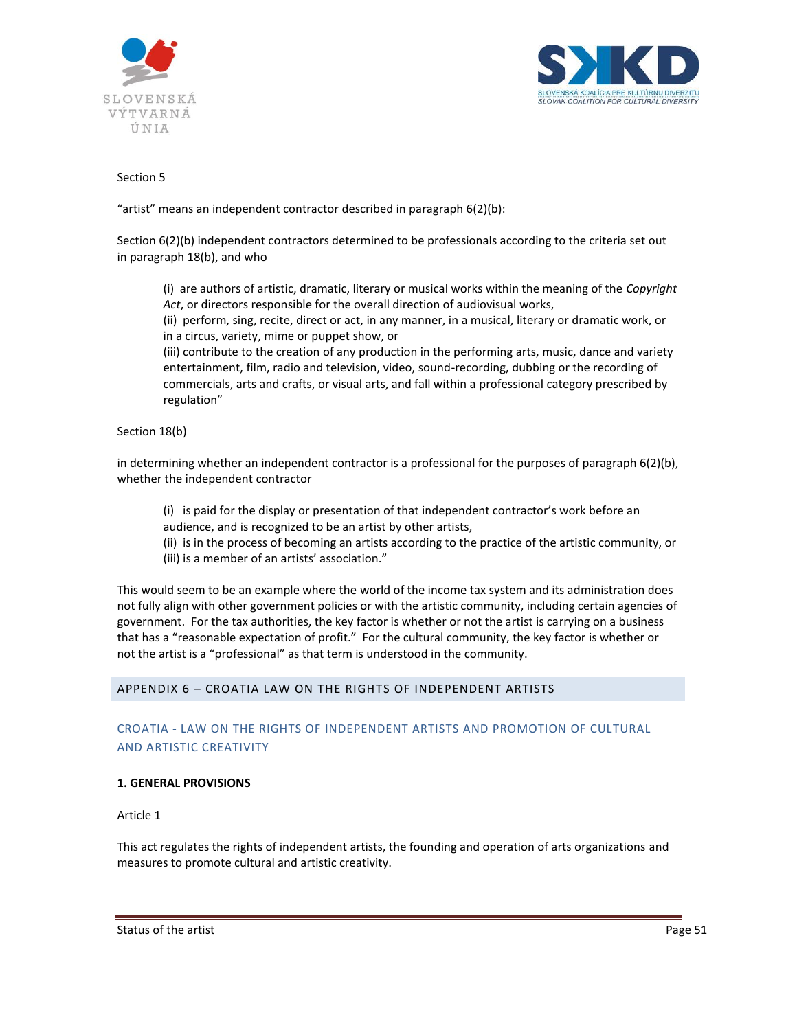



## Section 5

"artist" means an independent contractor described in paragraph 6(2)(b):

Section 6(2)(b) independent contractors determined to be professionals according to the criteria set out in paragraph 18(b), and who

(i) are authors of artistic, dramatic, literary or musical works within the meaning of the *Copyright Act*, or directors responsible for the overall direction of audiovisual works,

(ii) perform, sing, recite, direct or act, in any manner, in a musical, literary or dramatic work, or in a circus, variety, mime or puppet show, or

(iii) contribute to the creation of any production in the performing arts, music, dance and variety entertainment, film, radio and television, video, sound-recording, dubbing or the recording of commercials, arts and crafts, or visual arts, and fall within a professional category prescribed by regulation"

## Section 18(b)

in determining whether an independent contractor is a professional for the purposes of paragraph 6(2)(b), whether the independent contractor

(i) is paid for the display or presentation of that independent contractor's work before an audience, and is recognized to be an artist by other artists,

(ii) is in the process of becoming an artists according to the practice of the artistic community, or (iii) is a member of an artists' association."

This would seem to be an example where the world of the income tax system and its administration does not fully align with other government policies or with the artistic community, including certain agencies of government. For the tax authorities, the key factor is whether or not the artist is carrying on a business that has a "reasonable expectation of profit." For the cultural community, the key factor is whether or not the artist is a "professional" as that term is understood in the community.

## APPENDIX 6 – CROATIA LAW ON THE RIGHTS OF INDEPENDENT ARTISTS

# CROATIA - LAW ON THE RIGHTS OF INDEPENDENT ARTISTS AND PROMOTION OF CULTURAL AND ARTISTIC CREATIVITY

## **1. GENERAL PROVISIONS**

Article 1

This act regulates the rights of independent artists, the founding and operation of arts organizations and measures to promote cultural and artistic creativity.

Status of the artist **Page 51 Page 51**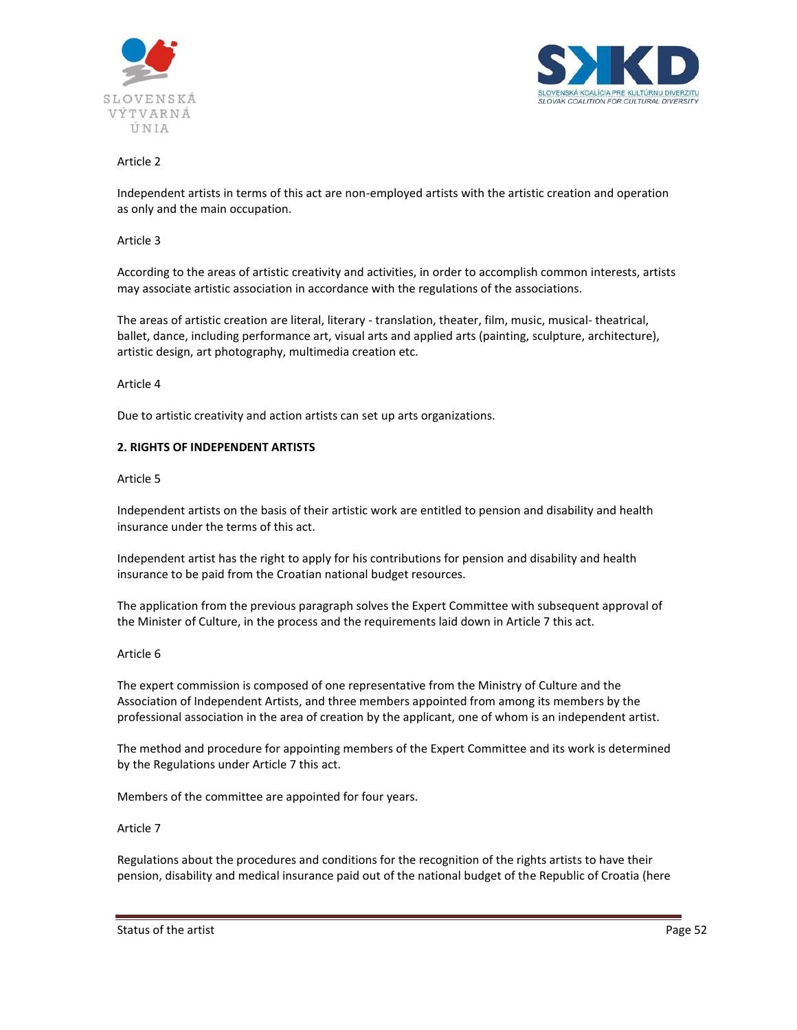



Independent artists in terms of this act are non-employed artists with the artistic creation and operation as only and the main occupation.

#### Article 3

According to the areas of artistic creativity and activities, in order to accomplish common interests, artists may associate artistic association in accordance with the regulations of the associations.

The areas of artistic creation are literal, literary - translation, theater, film, music, musical- theatrical, ballet, dance, including performance art, visual arts and applied arts (painting, sculpture, architecture), artistic design, art photography, multimedia creation etc.

#### Article 4

Due to artistic creativity and action artists can set up arts organizations.

#### **2. RIGHTS OF INDEPENDENT ARTISTS**

#### Article 5

Independent artists on the basis of their artistic work are entitled to pension and disability and health insurance under the terms of this act.

Independent artist has the right to apply for his contributions for pension and disability and health insurance to be paid from the Croatian national budget resources.

The application from the previous paragraph solves the Expert Committee with subsequent approval of the Minister of Culture, in the process and the requirements laid down in Article 7 this act.

#### Article 6

The expert commission is composed of one representative from the Ministry of Culture and the Association of Independent Artists, and three members appointed from among its members by the professional association in the area of creation by the applicant, one of whom is an independent artist.

The method and procedure for appointing members of the Expert Committee and its work is determined by the Regulations under Article 7 this act.

Members of the committee are appointed for four years.

#### Article 7

Regulations about the procedures and conditions for the recognition of the rights artists to have their pension, disability and medical insurance paid out of the national budget of the Republic of Croatia (here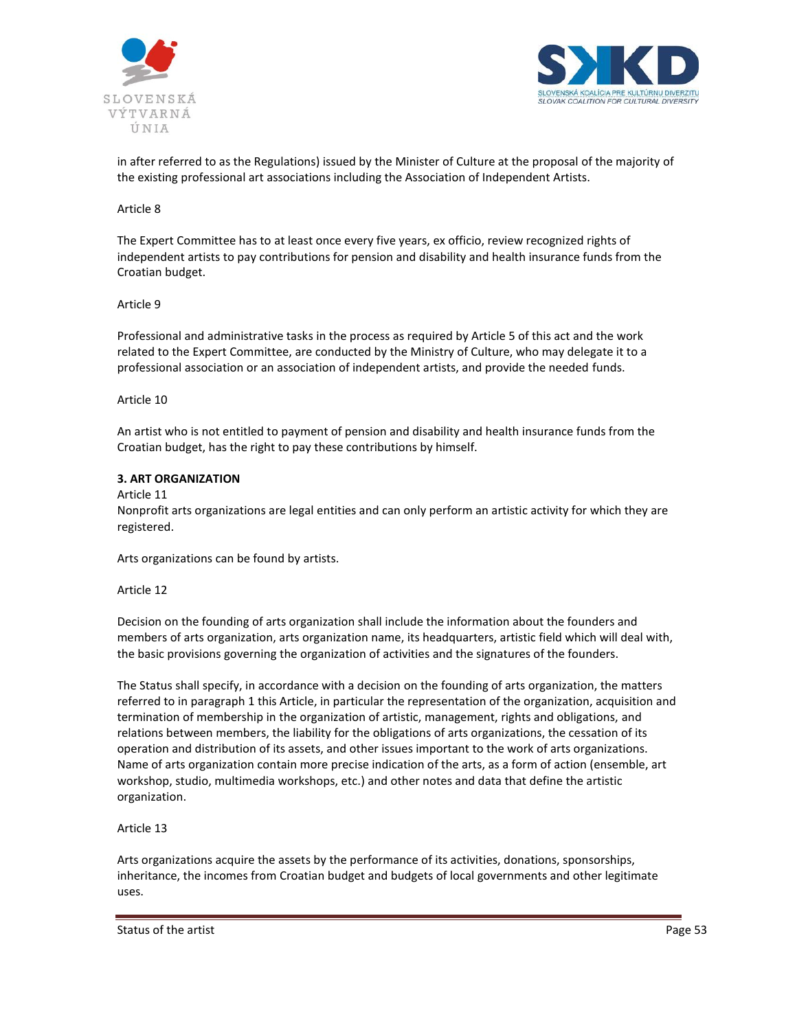



in after referred to as the Regulations) issued by the Minister of Culture at the proposal of the majority of the existing professional art associations including the Association of Independent Artists.

#### Article 8

The Expert Committee has to at least once every five years, ex officio, review recognized rights of independent artists to pay contributions for pension and disability and health insurance funds from the Croatian budget.

#### Article 9

Professional and administrative tasks in the process as required by Article 5 of this act and the work related to the Expert Committee, are conducted by the Ministry of Culture, who may delegate it to a professional association or an association of independent artists, and provide the needed funds.

#### Article 10

An artist who is not entitled to payment of pension and disability and health insurance funds from the Croatian budget, has the right to pay these contributions by himself.

## **3. ART ORGANIZATION**

## Article 11

Nonprofit arts organizations are legal entities and can only perform an artistic activity for which they are registered.

Arts organizations can be found by artists.

#### Article 12

Decision on the founding of arts organization shall include the information about the founders and members of arts organization, arts organization name, its headquarters, artistic field which will deal with, the basic provisions governing the organization of activities and the signatures of the founders.

The Status shall specify, in accordance with a decision on the founding of arts organization, the matters referred to in paragraph 1 this Article, in particular the representation of the organization, acquisition and termination of membership in the organization of artistic, management, rights and obligations, and relations between members, the liability for the obligations of arts organizations, the cessation of its operation and distribution of its assets, and other issues important to the work of arts organizations. Name of arts organization contain more precise indication of the arts, as a form of action (ensemble, art workshop, studio, multimedia workshops, etc.) and other notes and data that define the artistic organization.

## Article 13

Arts organizations acquire the assets by the performance of its activities, donations, sponsorships, inheritance, the incomes from Croatian budget and budgets of local governments and other legitimate uses.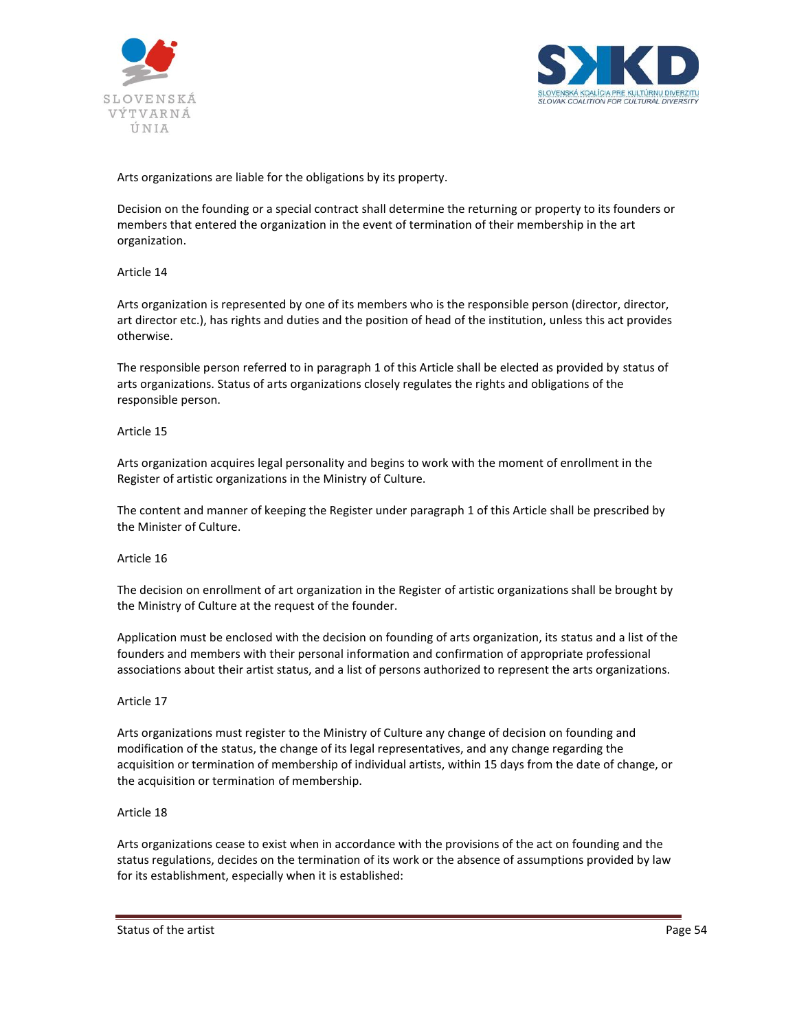



Arts organizations are liable for the obligations by its property.

Decision on the founding or a special contract shall determine the returning or property to its founders or members that entered the organization in the event of termination of their membership in the art organization.

## Article 14

Arts organization is represented by one of its members who is the responsible person (director, director, art director etc.), has rights and duties and the position of head of the institution, unless this act provides otherwise.

The responsible person referred to in paragraph 1 of this Article shall be elected as provided by status of arts organizations. Status of arts organizations closely regulates the rights and obligations of the responsible person.

#### Article 15

Arts organization acquires legal personality and begins to work with the moment of enrollment in the Register of artistic organizations in the Ministry of Culture.

The content and manner of keeping the Register under paragraph 1 of this Article shall be prescribed by the Minister of Culture.

#### Article 16

The decision on enrollment of art organization in the Register of artistic organizations shall be brought by the Ministry of Culture at the request of the founder.

Application must be enclosed with the decision on founding of arts organization, its status and a list of the founders and members with their personal information and confirmation of appropriate professional associations about their artist status, and a list of persons authorized to represent the arts organizations.

## Article 17

Arts organizations must register to the Ministry of Culture any change of decision on founding and modification of the status, the change of its legal representatives, and any change regarding the acquisition or termination of membership of individual artists, within 15 days from the date of change, or the acquisition or termination of membership.

#### Article 18

Arts organizations cease to exist when in accordance with the provisions of the act on founding and the status regulations, decides on the termination of its work or the absence of assumptions provided by law for its establishment, especially when it is established: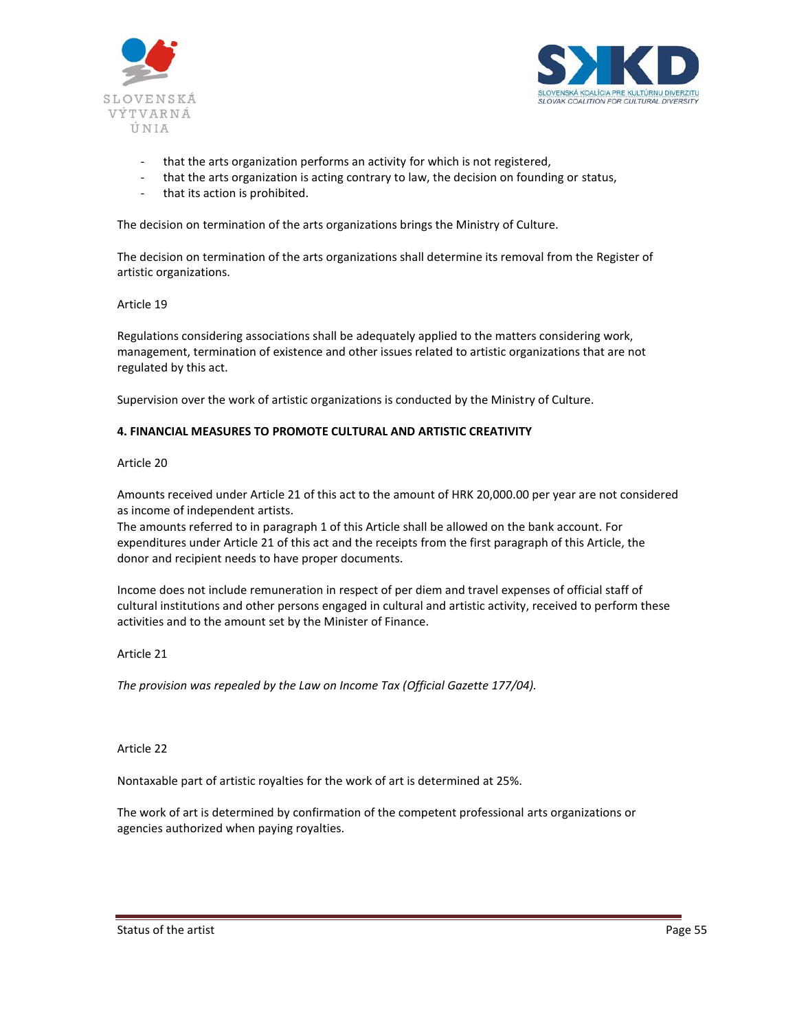



- that the arts organization performs an activity for which is not registered,
- that the arts organization is acting contrary to law, the decision on founding or status,
- that its action is prohibited.

The decision on termination of the arts organizations brings the Ministry of Culture.

The decision on termination of the arts organizations shall determine its removal from the Register of artistic organizations.

#### Article 19

Regulations considering associations shall be adequately applied to the matters considering work, management, termination of existence and other issues related to artistic organizations that are not regulated by this act.

Supervision over the work of artistic organizations is conducted by the Ministry of Culture.

#### **4. FINANCIAL MEASURES TO PROMOTE CULTURAL AND ARTISTIC CREATIVITY**

#### Article 20

Amounts received under Article 21 of this act to the amount of HRK 20,000.00 per year are not considered as income of independent artists.

The amounts referred to in paragraph 1 of this Article shall be allowed on the bank account. For expenditures under Article 21 of this act and the receipts from the first paragraph of this Article, the donor and recipient needs to have proper documents.

Income does not include remuneration in respect of per diem and travel expenses of official staff of cultural institutions and other persons engaged in cultural and artistic activity, received to perform these activities and to the amount set by the Minister of Finance.

## Article 21

*The provision was repealed by the Law on Income Tax (Official Gazette 177/04).*

#### Article 22

Nontaxable part of artistic royalties for the work of art is determined at 25%.

The work of art is determined by confirmation of the competent professional arts organizations or agencies authorized when paying royalties.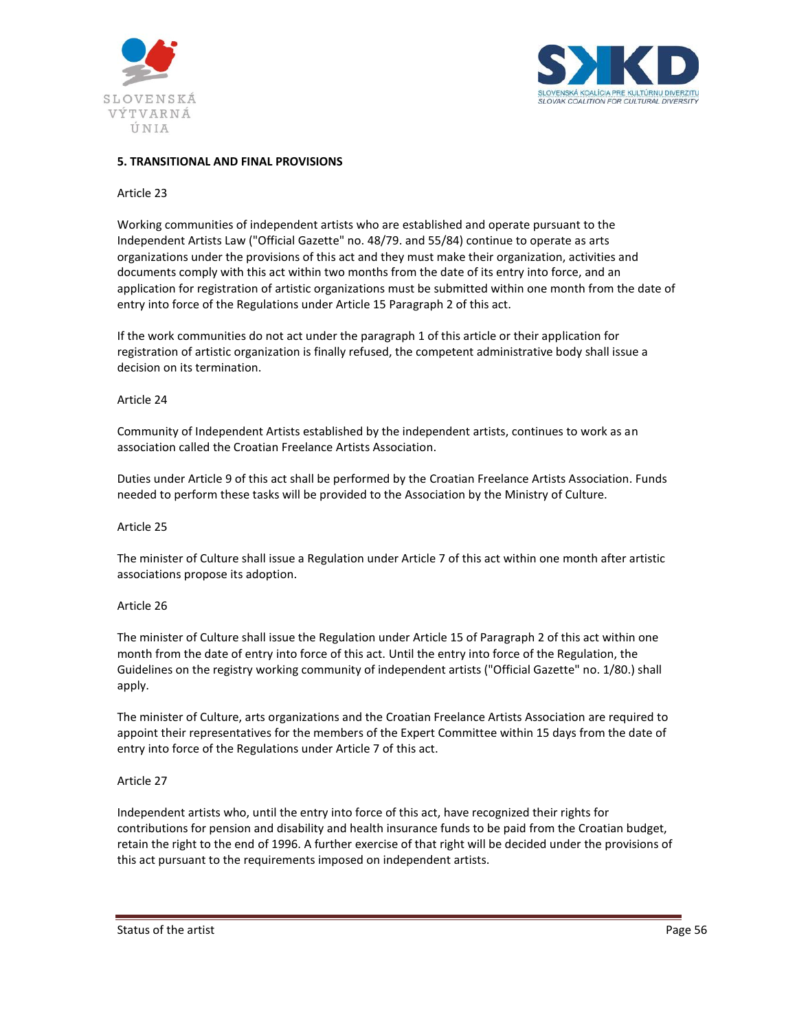



## **5. TRANSITIONAL AND FINAL PROVISIONS**

#### Article 23

Working communities of independent artists who are established and operate pursuant to the Independent Artists Law ("Official Gazette" no. 48/79. and 55/84) continue to operate as arts organizations under the provisions of this act and they must make their organization, activities and documents comply with this act within two months from the date of its entry into force, and an application for registration of artistic organizations must be submitted within one month from the date of entry into force of the Regulations under Article 15 Paragraph 2 of this act.

If the work communities do not act under the paragraph 1 of this article or their application for registration of artistic organization is finally refused, the competent administrative body shall issue a decision on its termination.

#### Article 24

Community of Independent Artists established by the independent artists, continues to work as an association called the Croatian Freelance Artists Association.

Duties under Article 9 of this act shall be performed by the Croatian Freelance Artists Association. Funds needed to perform these tasks will be provided to the Association by the Ministry of Culture.

#### Article 25

The minister of Culture shall issue a Regulation under Article 7 of this act within one month after artistic associations propose its adoption.

#### Article 26

The minister of Culture shall issue the Regulation under Article 15 of Paragraph 2 of this act within one month from the date of entry into force of this act. Until the entry into force of the Regulation, the Guidelines on the registry working community of independent artists ("Official Gazette" no. 1/80.) shall apply.

The minister of Culture, arts organizations and the Croatian Freelance Artists Association are required to appoint their representatives for the members of the Expert Committee within 15 days from the date of entry into force of the Regulations under Article 7 of this act.

#### Article 27

Independent artists who, until the entry into force of this act, have recognized their rights for contributions for pension and disability and health insurance funds to be paid from the Croatian budget, retain the right to the end of 1996. A further exercise of that right will be decided under the provisions of this act pursuant to the requirements imposed on independent artists.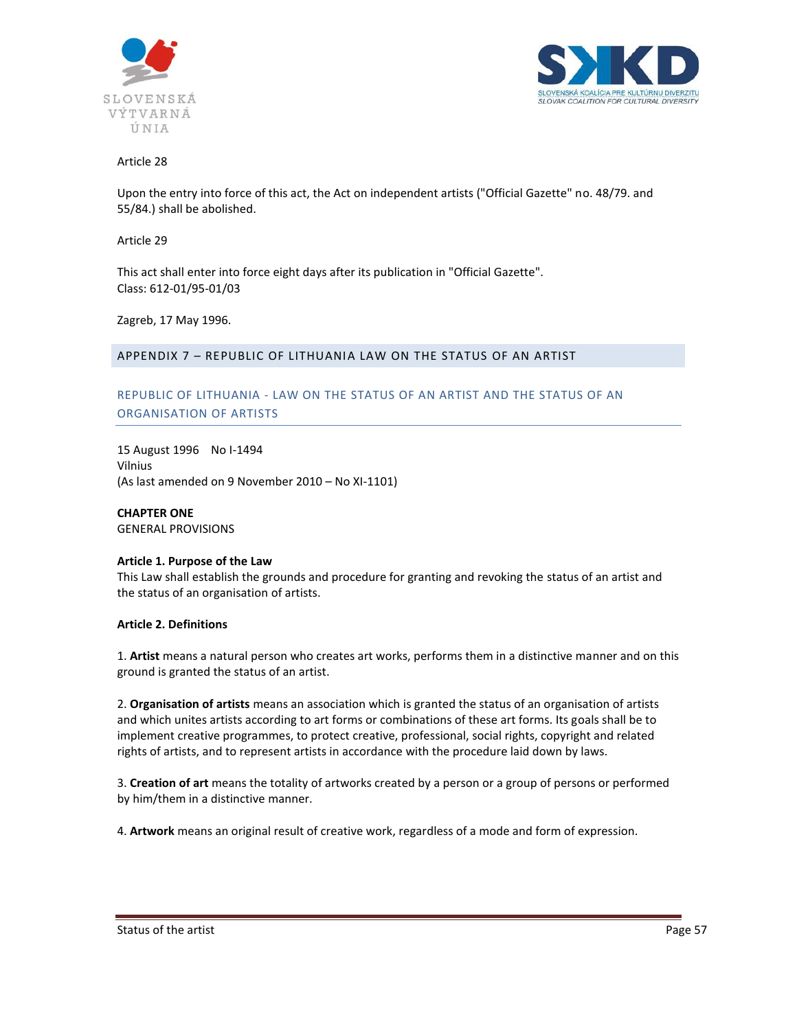



Upon the entry into force of this act, the Act on independent artists ("Official Gazette" no. 48/79. and 55/84.) shall be abolished.

Article 29

This act shall enter into force eight days after its publication in "Official Gazette". Class: 612-01/95-01/03

Zagreb, 17 May 1996.

## APPENDIX 7 – REPUBLIC OF LITHUANIA LAW ON THE STATUS OF AN ARTIST

# REPUBLIC OF LITHUANIA - LAW ON THE STATUS OF AN ARTIST AND THE STATUS OF AN ORGANISATION OF ARTISTS

15 August 1996 No I-1494 Vilnius (As last amended on 9 November 2010 – No XI-1101)

**CHAPTER ONE** GENERAL PROVISIONS

#### **Article 1. Purpose of the Law**

This Law shall establish the grounds and procedure for granting and revoking the status of an artist and the status of an organisation of artists.

#### **Article 2. Definitions**

1. **Artist** means a natural person who creates art works, performs them in a distinctive manner and on this ground is granted the status of an artist.

2. **Organisation of artists** means an association which is granted the status of an organisation of artists and which unites artists according to art forms or combinations of these art forms. Its goals shall be to implement creative programmes, to protect creative, professional, social rights, copyright and related rights of artists, and to represent artists in accordance with the procedure laid down by laws.

3. **Creation of art** means the totality of artworks created by a person or a group of persons or performed by him/them in a distinctive manner.

4. **Artwork** means an original result of creative work, regardless of a mode and form of expression.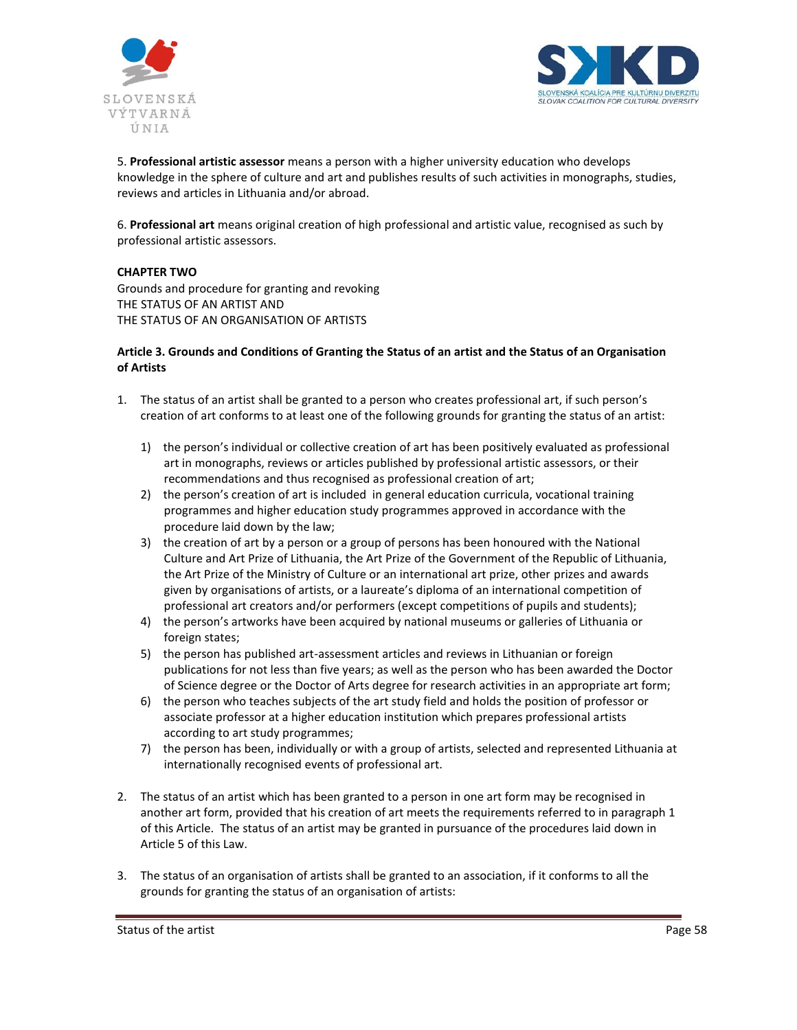



5. **Professional artistic assessor** means a person with a higher university education who develops knowledge in the sphere of culture and art and publishes results of such activities in monographs, studies, reviews and articles in Lithuania and/or abroad.

6. **Professional art** means original creation of high professional and artistic value, recognised as such by professional artistic assessors.

## **CHAPTER TWO**

Grounds and procedure for granting and revoking THE STATUS OF AN ARTIST AND THE STATUS OF AN ORGANISATION OF ARTISTS

## **Article 3. Grounds and Conditions of Granting the Status of an artist and the Status of an Organisation of Artists**

- 1. The status of an artist shall be granted to a person who creates professional art, if such person's creation of art conforms to at least one of the following grounds for granting the status of an artist:
	- 1) the person's individual or collective creation of art has been positively evaluated as professional art in monographs, reviews or articles published by professional artistic assessors, or their recommendations and thus recognised as professional creation of art;
	- 2) the person's creation of art is included in general education curricula, vocational training programmes and higher education study programmes approved in accordance with the procedure laid down by the law;
	- 3) the creation of art by a person or a group of persons has been honoured with the National Culture and Art Prize of Lithuania, the Art Prize of the Government of the Republic of Lithuania, the Art Prize of the Ministry of Culture or an international art prize, other prizes and awards given by organisations of artists, or a laureate's diploma of an international competition of professional art creators and/or performers (except competitions of pupils and students);
	- 4) the person's artworks have been acquired by national museums or galleries of Lithuania or foreign states;
	- 5) the person has published art-assessment articles and reviews in Lithuanian or foreign publications for not less than five years; as well as the person who has been awarded the Doctor of Science degree or the Doctor of Arts degree for research activities in an appropriate art form;
	- 6) the person who teaches subjects of the art study field and holds the position of professor or associate professor at a higher education institution which prepares professional artists according to art study programmes;
	- 7) the person has been, individually or with a group of artists, selected and represented Lithuania at internationally recognised events of professional art.
- 2. The status of an artist which has been granted to a person in one art form may be recognised in another art form, provided that his creation of art meets the requirements referred to in paragraph 1 of this Article. The status of an artist may be granted in pursuance of the procedures laid down in Article 5 of this Law.
- 3. The status of an organisation of artists shall be granted to an association, if it conforms to all the grounds for granting the status of an organisation of artists:

Status of the artist **Page 58**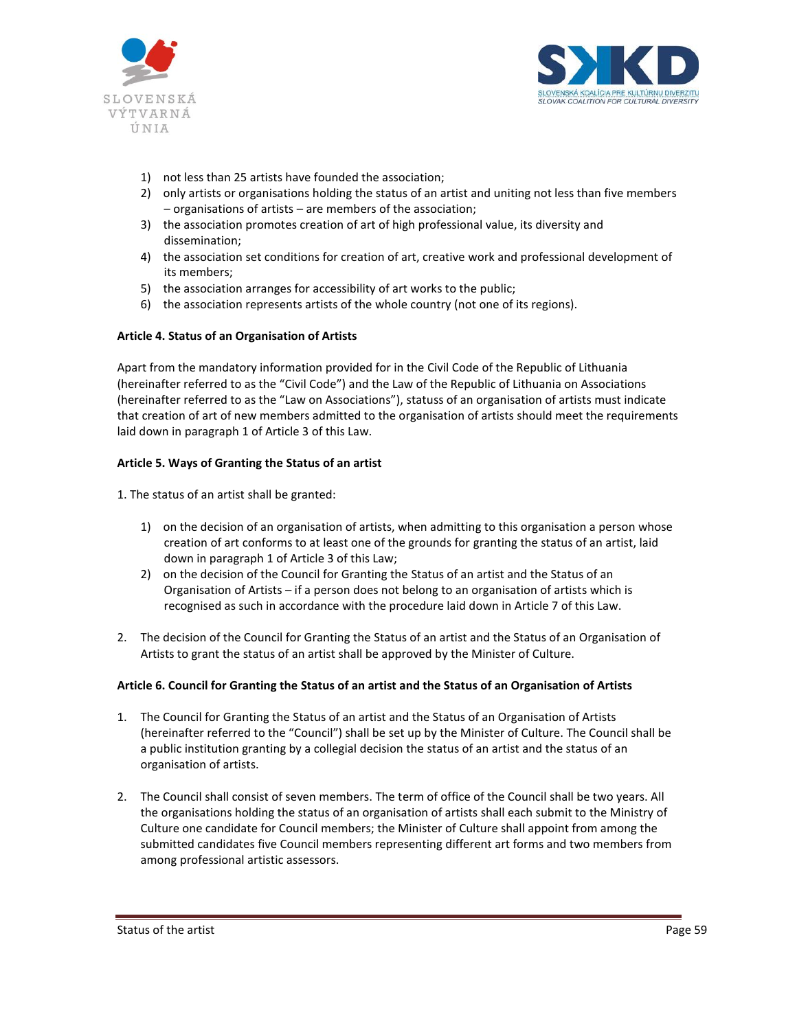



- 1) not less than 25 artists have founded the association;
- 2) only artists or organisations holding the status of an artist and uniting not less than five members – organisations of artists – are members of the association;
- 3) the association promotes creation of art of high professional value, its diversity and dissemination;
- 4) the association set conditions for creation of art, creative work and professional development of its members;
- 5) the association arranges for accessibility of art works to the public;
- 6) the association represents artists of the whole country (not one of its regions).

## **Article 4. Status of an Organisation of Artists**

Apart from the mandatory information provided for in the Civil Code of the Republic of Lithuania (hereinafter referred to as the "Civil Code") and the Law of the Republic of Lithuania on Associations (hereinafter referred to as the "Law on Associations"), statuss of an organisation of artists must indicate that creation of art of new members admitted to the organisation of artists should meet the requirements laid down in paragraph 1 of Article 3 of this Law.

## **Article 5. Ways of Granting the Status of an artist**

1. The status of an artist shall be granted:

- 1) on the decision of an organisation of artists, when admitting to this organisation a person whose creation of art conforms to at least one of the grounds for granting the status of an artist, laid down in paragraph 1 of Article 3 of this Law;
- 2) on the decision of the Council for Granting the Status of an artist and the Status of an Organisation of Artists – if a person does not belong to an organisation of artists which is recognised as such in accordance with the procedure laid down in Article 7 of this Law.
- 2. The decision of the Council for Granting the Status of an artist and the Status of an Organisation of Artists to grant the status of an artist shall be approved by the Minister of Culture.

## **Article 6. Council for Granting the Status of an artist and the Status of an Organisation of Artists**

- 1. The Council for Granting the Status of an artist and the Status of an Organisation of Artists (hereinafter referred to the "Council") shall be set up by the Minister of Culture. The Council shall be a public institution granting by a collegial decision the status of an artist and the status of an organisation of artists.
- 2. The Council shall consist of seven members. The term of office of the Council shall be two years. All the organisations holding the status of an organisation of artists shall each submit to the Ministry of Culture one candidate for Council members; the Minister of Culture shall appoint from among the submitted candidates five Council members representing different art forms and two members from among professional artistic assessors.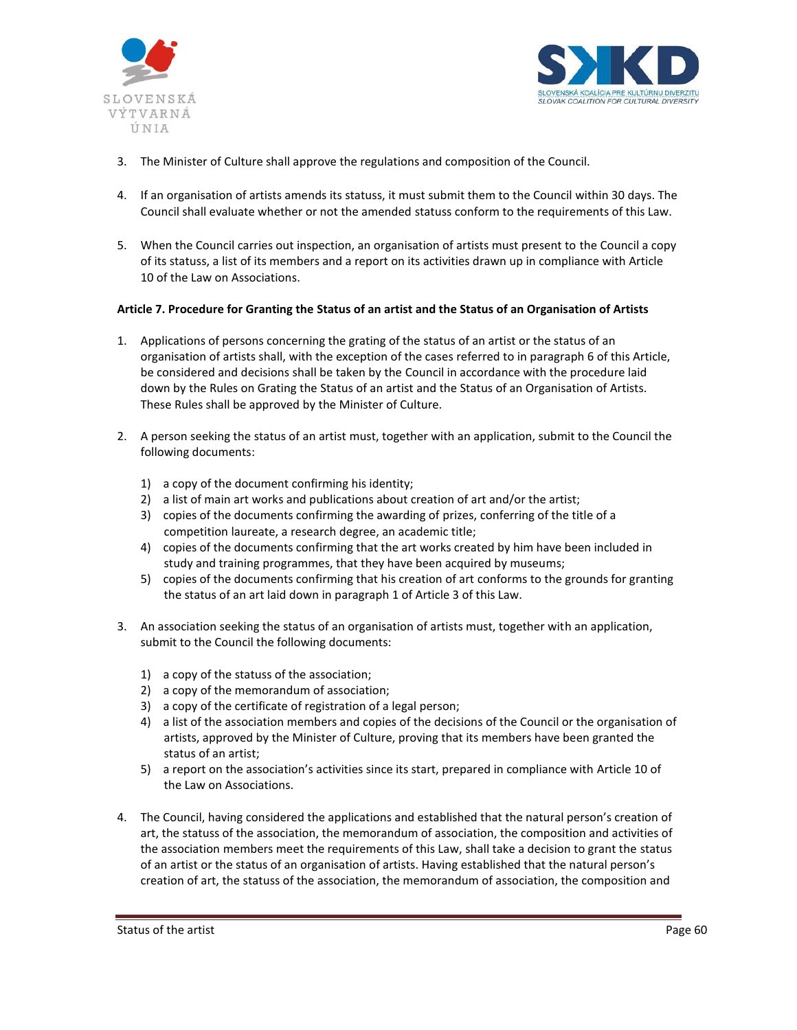



- 3. The Minister of Culture shall approve the regulations and composition of the Council.
- 4. If an organisation of artists amends its statuss, it must submit them to the Council within 30 days. The Council shall evaluate whether or not the amended statuss conform to the requirements of this Law.
- 5. When the Council carries out inspection, an organisation of artists must present to the Council a copy of its statuss, a list of its members and a report on its activities drawn up in compliance with Article 10 of the Law on Associations.

#### **Article 7. Procedure for Granting the Status of an artist and the Status of an Organisation of Artists**

- 1. Applications of persons concerning the grating of the status of an artist or the status of an organisation of artists shall, with the exception of the cases referred to in paragraph 6 of this Article, be considered and decisions shall be taken by the Council in accordance with the procedure laid down by the Rules on Grating the Status of an artist and the Status of an Organisation of Artists. These Rules shall be approved by the Minister of Culture.
- 2. A person seeking the status of an artist must, together with an application, submit to the Council the following documents:
	- 1) a copy of the document confirming his identity;
	- 2) a list of main art works and publications about creation of art and/or the artist;
	- 3) copies of the documents confirming the awarding of prizes, conferring of the title of a competition laureate, a research degree, an academic title;
	- 4) copies of the documents confirming that the art works created by him have been included in study and training programmes, that they have been acquired by museums;
	- 5) copies of the documents confirming that his creation of art conforms to the grounds for granting the status of an art laid down in paragraph 1 of Article 3 of this Law.
- 3. An association seeking the status of an organisation of artists must, together with an application, submit to the Council the following documents:
	- 1) a copy of the statuss of the association;
	- 2) a copy of the memorandum of association;
	- 3) a copy of the certificate of registration of a legal person;
	- 4) a list of the association members and copies of the decisions of the Council or the organisation of artists, approved by the Minister of Culture, proving that its members have been granted the status of an artist;
	- 5) a report on the association's activities since its start, prepared in compliance with Article 10 of the Law on Associations.
- 4. The Council, having considered the applications and established that the natural person's creation of art, the statuss of the association, the memorandum of association, the composition and activities of the association members meet the requirements of this Law, shall take a decision to grant the status of an artist or the status of an organisation of artists. Having established that the natural person's creation of art, the statuss of the association, the memorandum of association, the composition and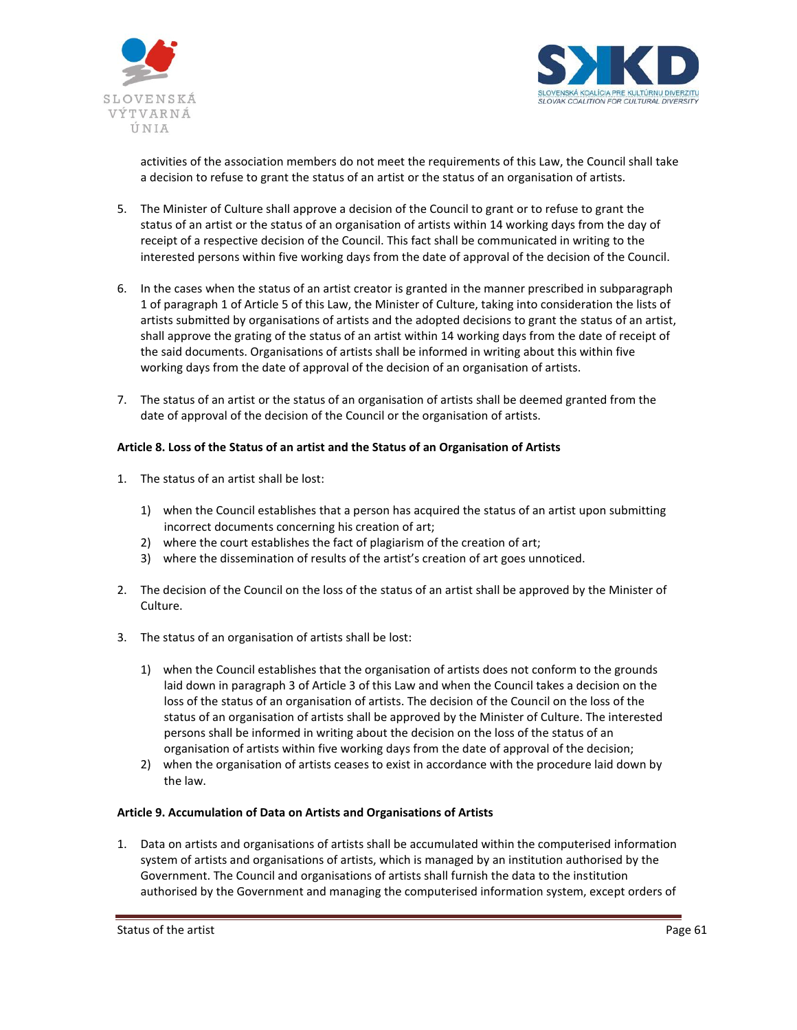



activities of the association members do not meet the requirements of this Law, the Council shall take a decision to refuse to grant the status of an artist or the status of an organisation of artists.

- 5. The Minister of Culture shall approve a decision of the Council to grant or to refuse to grant the status of an artist or the status of an organisation of artists within 14 working days from the day of receipt of a respective decision of the Council. This fact shall be communicated in writing to the interested persons within five working days from the date of approval of the decision of the Council.
- 6. In the cases when the status of an artist creator is granted in the manner prescribed in subparagraph 1 of paragraph 1 of Article 5 of this Law, the Minister of Culture, taking into consideration the lists of artists submitted by organisations of artists and the adopted decisions to grant the status of an artist, shall approve the grating of the status of an artist within 14 working days from the date of receipt of the said documents. Organisations of artists shall be informed in writing about this within five working days from the date of approval of the decision of an organisation of artists.
- 7. The status of an artist or the status of an organisation of artists shall be deemed granted from the date of approval of the decision of the Council or the organisation of artists.

## **Article 8. Loss of the Status of an artist and the Status of an Organisation of Artists**

- 1. The status of an artist shall be lost:
	- 1) when the Council establishes that a person has acquired the status of an artist upon submitting incorrect documents concerning his creation of art;
	- 2) where the court establishes the fact of plagiarism of the creation of art;
	- 3) where the dissemination of results of the artist's creation of art goes unnoticed.
- 2. The decision of the Council on the loss of the status of an artist shall be approved by the Minister of Culture.
- 3. The status of an organisation of artists shall be lost:
	- 1) when the Council establishes that the organisation of artists does not conform to the grounds laid down in paragraph 3 of Article 3 of this Law and when the Council takes a decision on the loss of the status of an organisation of artists. The decision of the Council on the loss of the status of an organisation of artists shall be approved by the Minister of Culture. The interested persons shall be informed in writing about the decision on the loss of the status of an organisation of artists within five working days from the date of approval of the decision;
	- 2) when the organisation of artists ceases to exist in accordance with the procedure laid down by the law.

## **Article 9. Accumulation of Data on Artists and Organisations of Artists**

1. Data on artists and organisations of artists shall be accumulated within the computerised information system of artists and organisations of artists, which is managed by an institution authorised by the Government. The Council and organisations of artists shall furnish the data to the institution authorised by the Government and managing the computerised information system, except orders of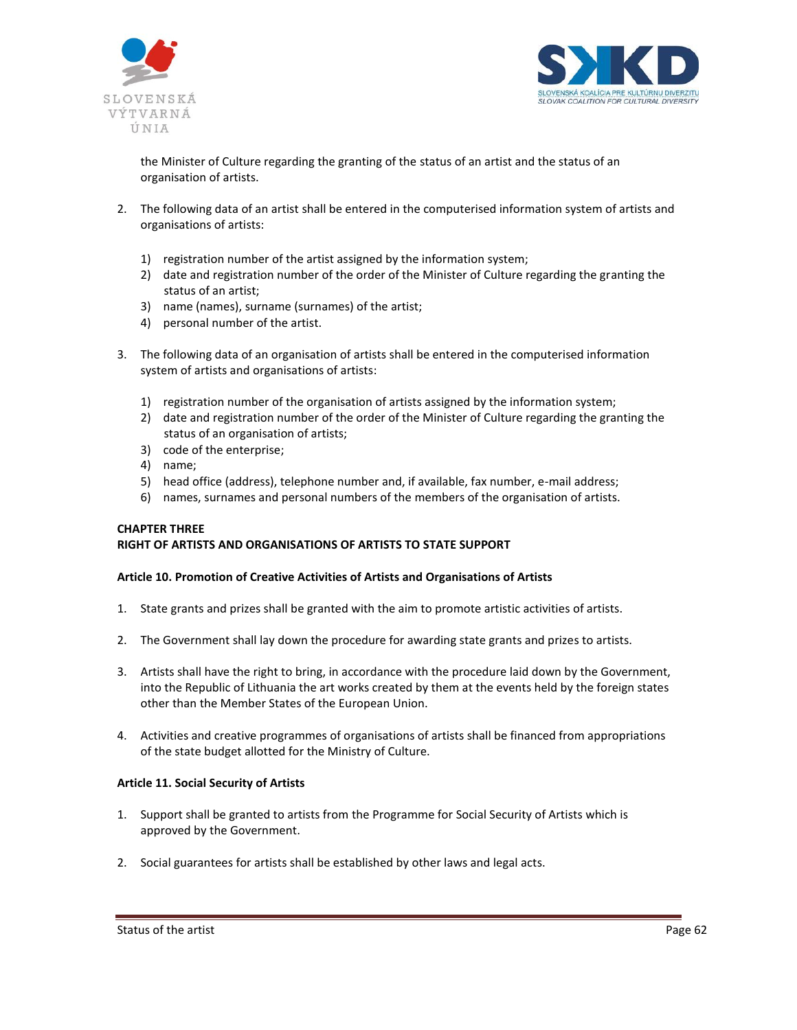



the Minister of Culture regarding the granting of the status of an artist and the status of an organisation of artists.

- 2. The following data of an artist shall be entered in the computerised information system of artists and organisations of artists:
	- 1) registration number of the artist assigned by the information system;
	- 2) date and registration number of the order of the Minister of Culture regarding the granting the status of an artist;
	- 3) name (names), surname (surnames) of the artist;
	- 4) personal number of the artist.
- 3. The following data of an organisation of artists shall be entered in the computerised information system of artists and organisations of artists:
	- 1) registration number of the organisation of artists assigned by the information system;
	- 2) date and registration number of the order of the Minister of Culture regarding the granting the status of an organisation of artists;
	- 3) code of the enterprise;
	- 4) name;
	- 5) head office (address), telephone number and, if available, fax number, e-mail address;
	- 6) names, surnames and personal numbers of the members of the organisation of artists.

#### **CHAPTER THREE RIGHT OF ARTISTS AND ORGANISATIONS OF ARTISTS TO STATE SUPPORT**

# **Article 10. Promotion of Creative Activities of Artists and Organisations of Artists**

- 1. State grants and prizes shall be granted with the aim to promote artistic activities of artists.
- 2. The Government shall lay down the procedure for awarding state grants and prizes to artists.
- 3. Artists shall have the right to bring, in accordance with the procedure laid down by the Government, into the Republic of Lithuania the art works created by them at the events held by the foreign states other than the Member States of the European Union.
- 4. Activities and creative programmes of organisations of artists shall be financed from appropriations of the state budget allotted for the Ministry of Culture.

#### **Article 11. Social Security of Artists**

- 1. Support shall be granted to artists from the Programme for Social Security of Artists which is approved by the Government.
- 2. Social guarantees for artists shall be established by other laws and legal acts.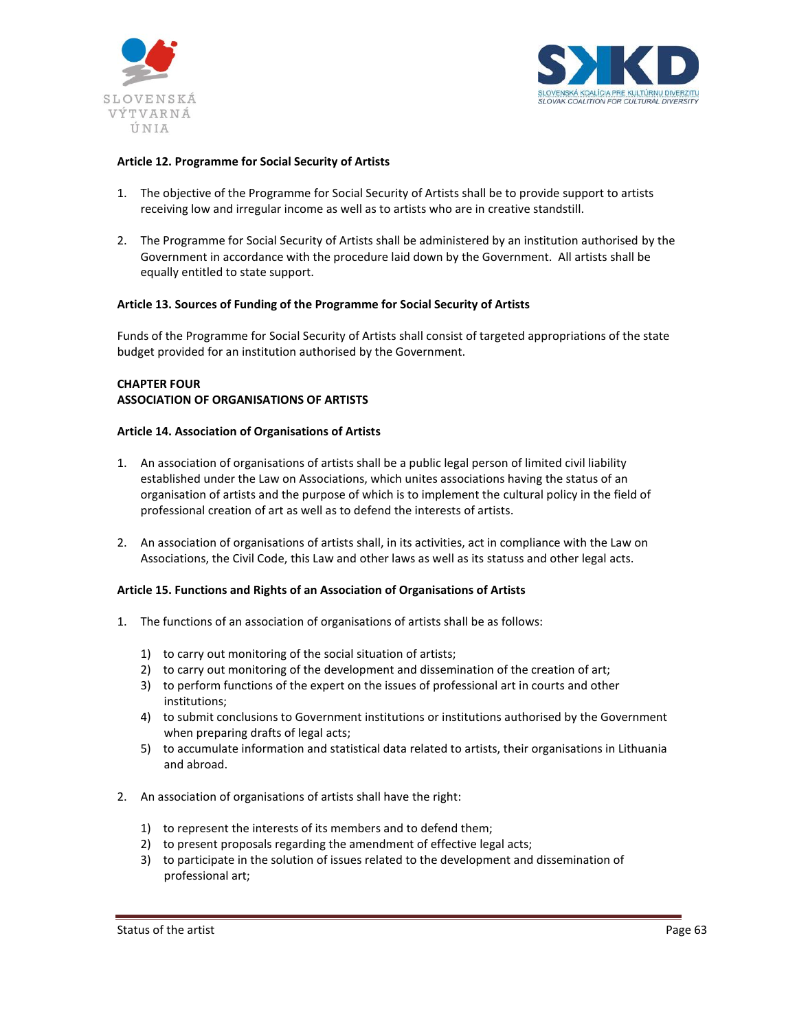



## **Article 12. Programme for Social Security of Artists**

- 1. The objective of the Programme for Social Security of Artists shall be to provide support to artists receiving low and irregular income as well as to artists who are in creative standstill.
- 2. The Programme for Social Security of Artists shall be administered by an institution authorised by the Government in accordance with the procedure laid down by the Government. All artists shall be equally entitled to state support.

#### **Article 13. Sources of Funding of the Programme for Social Security of Artists**

Funds of the Programme for Social Security of Artists shall consist of targeted appropriations of the state budget provided for an institution authorised by the Government.

## **CHAPTER FOUR ASSOCIATION OF ORGANISATIONS OF ARTISTS**

#### **Article 14. Association of Organisations of Artists**

- 1. An association of organisations of artists shall be a public legal person of limited civil liability established under the Law on Associations, which unites associations having the status of an organisation of artists and the purpose of which is to implement the cultural policy in the field of professional creation of art as well as to defend the interests of artists.
- 2. An association of organisations of artists shall, in its activities, act in compliance with the Law on Associations, the Civil Code, this Law and other laws as well as its statuss and other legal acts.

## **Article 15. Functions and Rights of an Association of Organisations of Artists**

- 1. The functions of an association of organisations of artists shall be as follows:
	- 1) to carry out monitoring of the social situation of artists;
	- 2) to carry out monitoring of the development and dissemination of the creation of art;
	- 3) to perform functions of the expert on the issues of professional art in courts and other institutions;
	- 4) to submit conclusions to Government institutions or institutions authorised by the Government when preparing drafts of legal acts;
	- 5) to accumulate information and statistical data related to artists, their organisations in Lithuania and abroad.
- 2. An association of organisations of artists shall have the right:
	- 1) to represent the interests of its members and to defend them;
	- 2) to present proposals regarding the amendment of effective legal acts;
	- 3) to participate in the solution of issues related to the development and dissemination of professional art;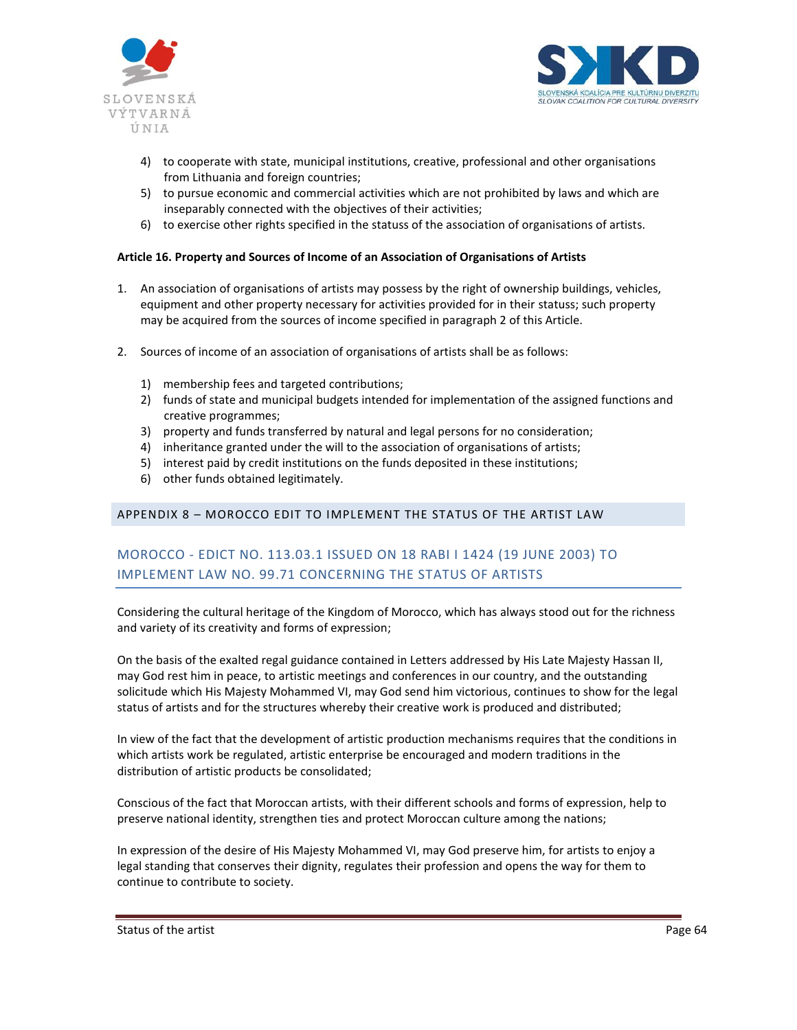



- 4) to cooperate with state, municipal institutions, creative, professional and other organisations from Lithuania and foreign countries;
- 5) to pursue economic and commercial activities which are not prohibited by laws and which are inseparably connected with the objectives of their activities;
- 6) to exercise other rights specified in the statuss of the association of organisations of artists.

## **Article 16. Property and Sources of Income of an Association of Organisations of Artists**

- 1. An association of organisations of artists may possess by the right of ownership buildings, vehicles, equipment and other property necessary for activities provided for in their statuss; such property may be acquired from the sources of income specified in paragraph 2 of this Article.
- 2. Sources of income of an association of organisations of artists shall be as follows:
	- 1) membership fees and targeted contributions;
	- 2) funds of state and municipal budgets intended for implementation of the assigned functions and creative programmes;
	- 3) property and funds transferred by natural and legal persons for no consideration;
	- 4) inheritance granted under the will to the association of organisations of artists;
	- 5) interest paid by credit institutions on the funds deposited in these institutions;
	- 6) other funds obtained legitimately.

# APPENDIX 8 – MOROCCO EDIT TO IMPLEMENT THE STATUS OF THE ARTIST LAW

# MOROCCO - EDICT NO. 113.03.1 ISSUED ON 18 RABI I 1424 (19 JUNE 2003) TO IMPLEMENT LAW NO. 99.71 CONCERNING THE STATUS OF ARTISTS

Considering the cultural heritage of the Kingdom of Morocco, which has always stood out for the richness and variety of its creativity and forms of expression;

On the basis of the exalted regal guidance contained in Letters addressed by His Late Majesty Hassan II, may God rest him in peace, to artistic meetings and conferences in our country, and the outstanding solicitude which His Majesty Mohammed VI, may God send him victorious, continues to show for the legal status of artists and for the structures whereby their creative work is produced and distributed;

In view of the fact that the development of artistic production mechanisms requires that the conditions in which artists work be regulated, artistic enterprise be encouraged and modern traditions in the distribution of artistic products be consolidated;

Conscious of the fact that Moroccan artists, with their different schools and forms of expression, help to preserve national identity, strengthen ties and protect Moroccan culture among the nations;

In expression of the desire of His Majesty Mohammed VI, may God preserve him, for artists to enjoy a legal standing that conserves their dignity, regulates their profession and opens the way for them to continue to contribute to society.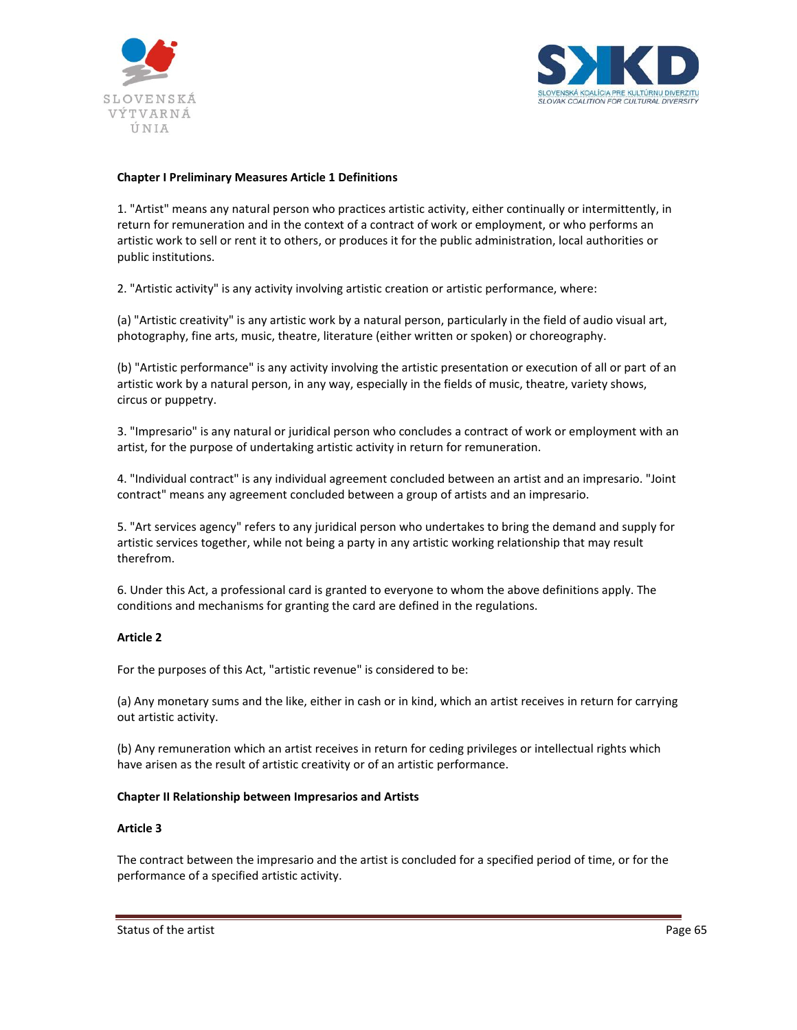



## **Chapter I Preliminary Measures Article 1 Definitions**

1. "Artist" means any natural person who practices artistic activity, either continually or intermittently, in return for remuneration and in the context of a contract of work or employment, or who performs an artistic work to sell or rent it to others, or produces it for the public administration, local authorities or public institutions.

2. "Artistic activity" is any activity involving artistic creation or artistic performance, where:

(a) "Artistic creativity" is any artistic work by a natural person, particularly in the field of audio visual art, photography, fine arts, music, theatre, literature (either written or spoken) or choreography.

(b) "Artistic performance" is any activity involving the artistic presentation or execution of all or part of an artistic work by a natural person, in any way, especially in the fields of music, theatre, variety shows, circus or puppetry.

3. "Impresario" is any natural or juridical person who concludes a contract of work or employment with an artist, for the purpose of undertaking artistic activity in return for remuneration.

4. "Individual contract" is any individual agreement concluded between an artist and an impresario. "Joint contract" means any agreement concluded between a group of artists and an impresario.

5. "Art services agency" refers to any juridical person who undertakes to bring the demand and supply for artistic services together, while not being a party in any artistic working relationship that may result therefrom.

6. Under this Act, a professional card is granted to everyone to whom the above definitions apply. The conditions and mechanisms for granting the card are defined in the regulations.

#### **Article 2**

For the purposes of this Act, "artistic revenue" is considered to be:

(a) Any monetary sums and the like, either in cash or in kind, which an artist receives in return for carrying out artistic activity.

(b) Any remuneration which an artist receives in return for ceding privileges or intellectual rights which have arisen as the result of artistic creativity or of an artistic performance.

#### **Chapter II Relationship between Impresarios and Artists**

#### **Article 3**

The contract between the impresario and the artist is concluded for a specified period of time, or for the performance of a specified artistic activity.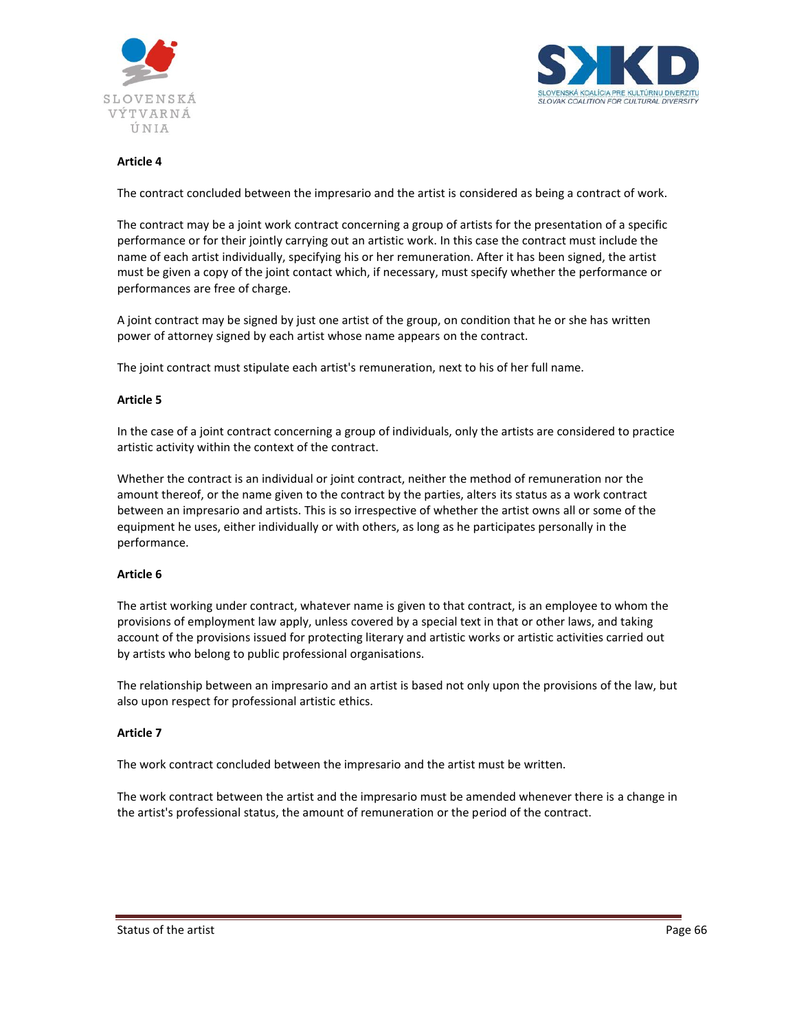



The contract concluded between the impresario and the artist is considered as being a contract of work.

The contract may be a joint work contract concerning a group of artists for the presentation of a specific performance or for their jointly carrying out an artistic work. In this case the contract must include the name of each artist individually, specifying his or her remuneration. After it has been signed, the artist must be given a copy of the joint contact which, if necessary, must specify whether the performance or performances are free of charge.

A joint contract may be signed by just one artist of the group, on condition that he or she has written power of attorney signed by each artist whose name appears on the contract.

The joint contract must stipulate each artist's remuneration, next to his of her full name.

#### **Article 5**

In the case of a joint contract concerning a group of individuals, only the artists are considered to practice artistic activity within the context of the contract.

Whether the contract is an individual or joint contract, neither the method of remuneration nor the amount thereof, or the name given to the contract by the parties, alters its status as a work contract between an impresario and artists. This is so irrespective of whether the artist owns all or some of the equipment he uses, either individually or with others, as long as he participates personally in the performance.

## **Article 6**

The artist working under contract, whatever name is given to that contract, is an employee to whom the provisions of employment law apply, unless covered by a special text in that or other laws, and taking account of the provisions issued for protecting literary and artistic works or artistic activities carried out by artists who belong to public professional organisations.

The relationship between an impresario and an artist is based not only upon the provisions of the law, but also upon respect for professional artistic ethics.

## **Article 7**

The work contract concluded between the impresario and the artist must be written.

The work contract between the artist and the impresario must be amended whenever there is a change in the artist's professional status, the amount of remuneration or the period of the contract.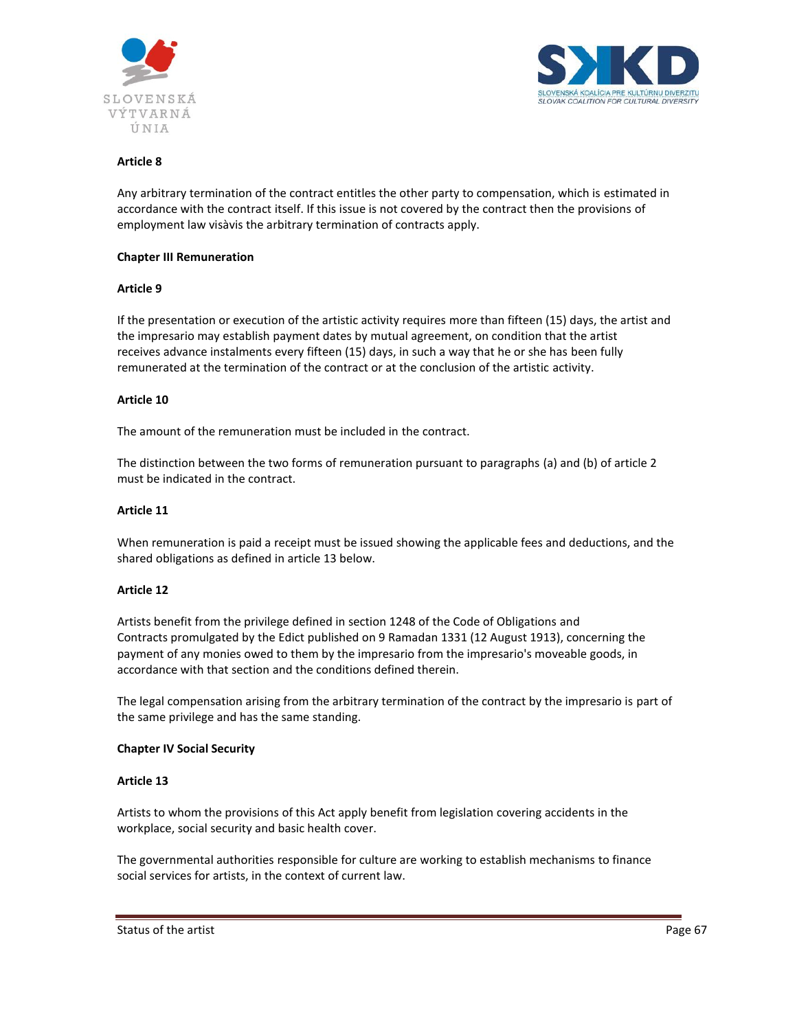



Any arbitrary termination of the contract entitles the other party to compensation, which is estimated in accordance with the contract itself. If this issue is not covered by the contract then the provisions of employment law visàvis the arbitrary termination of contracts apply.

#### **Chapter III Remuneration**

#### **Article 9**

If the presentation or execution of the artistic activity requires more than fifteen (15) days, the artist and the impresario may establish payment dates by mutual agreement, on condition that the artist receives advance instalments every fifteen (15) days, in such a way that he or she has been fully remunerated at the termination of the contract or at the conclusion of the artistic activity.

#### **Article 10**

The amount of the remuneration must be included in the contract.

The distinction between the two forms of remuneration pursuant to paragraphs (a) and (b) of article 2 must be indicated in the contract.

#### **Article 11**

When remuneration is paid a receipt must be issued showing the applicable fees and deductions, and the shared obligations as defined in article 13 below.

#### **Article 12**

Artists benefit from the privilege defined in section 1248 of the Code of Obligations and Contracts promulgated by the Edict published on 9 Ramadan 1331 (12 August 1913), concerning the payment of any monies owed to them by the impresario from the impresario's moveable goods, in accordance with that section and the conditions defined therein.

The legal compensation arising from the arbitrary termination of the contract by the impresario is part of the same privilege and has the same standing.

#### **Chapter IV Social Security**

#### **Article 13**

Artists to whom the provisions of this Act apply benefit from legislation covering accidents in the workplace, social security and basic health cover.

The governmental authorities responsible for culture are working to establish mechanisms to finance social services for artists, in the context of current law.

Status of the artist Page 67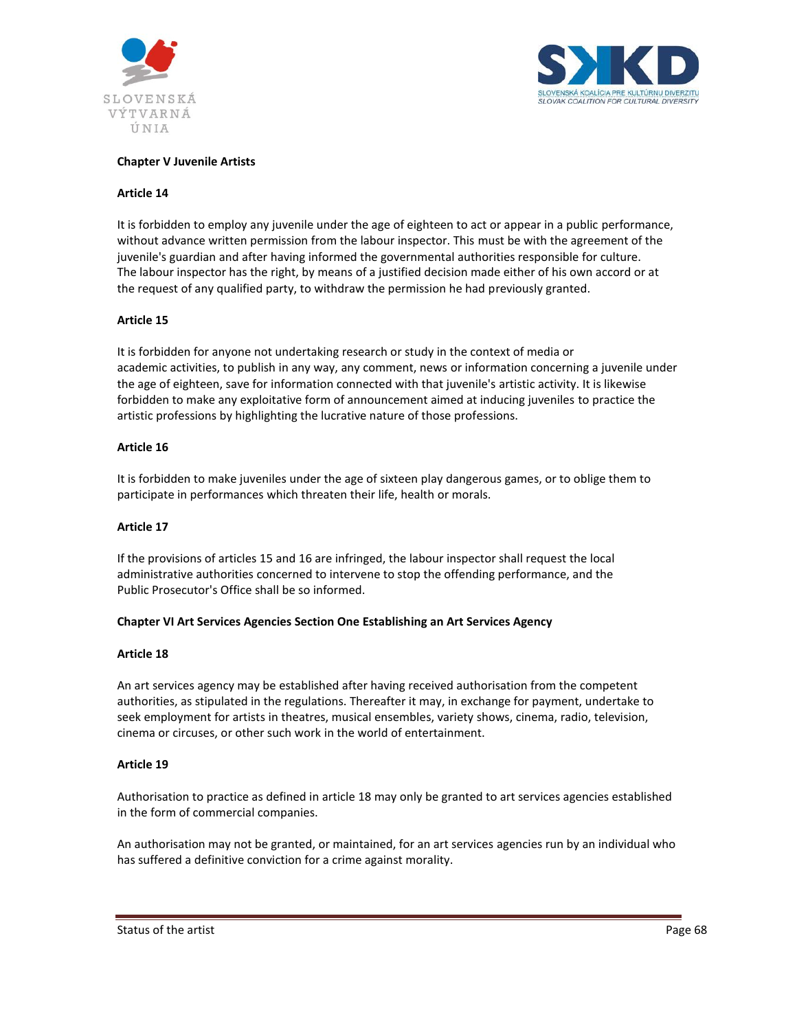



## **Chapter V Juvenile Artists**

#### **Article 14**

It is forbidden to employ any juvenile under the age of eighteen to act or appear in a public performance, without advance written permission from the labour inspector. This must be with the agreement of the juvenile's guardian and after having informed the governmental authorities responsible for culture. The labour inspector has the right, by means of a justified decision made either of his own accord or at the request of any qualified party, to withdraw the permission he had previously granted.

## **Article 15**

It is forbidden for anyone not undertaking research or study in the context of media or academic activities, to publish in any way, any comment, news or information concerning a juvenile under the age of eighteen, save for information connected with that juvenile's artistic activity. It is likewise forbidden to make any exploitative form of announcement aimed at inducing juveniles to practice the artistic professions by highlighting the lucrative nature of those professions.

#### **Article 16**

It is forbidden to make juveniles under the age of sixteen play dangerous games, or to oblige them to participate in performances which threaten their life, health or morals.

#### **Article 17**

If the provisions of articles 15 and 16 are infringed, the labour inspector shall request the local administrative authorities concerned to intervene to stop the offending performance, and the Public Prosecutor's Office shall be so informed.

#### **Chapter VI Art Services Agencies Section One Establishing an Art Services Agency**

#### **Article 18**

An art services agency may be established after having received authorisation from the competent authorities, as stipulated in the regulations. Thereafter it may, in exchange for payment, undertake to seek employment for artists in theatres, musical ensembles, variety shows, cinema, radio, television, cinema or circuses, or other such work in the world of entertainment.

#### **Article 19**

Authorisation to practice as defined in article 18 may only be granted to art services agencies established in the form of commercial companies.

An authorisation may not be granted, or maintained, for an art services agencies run by an individual who has suffered a definitive conviction for a crime against morality.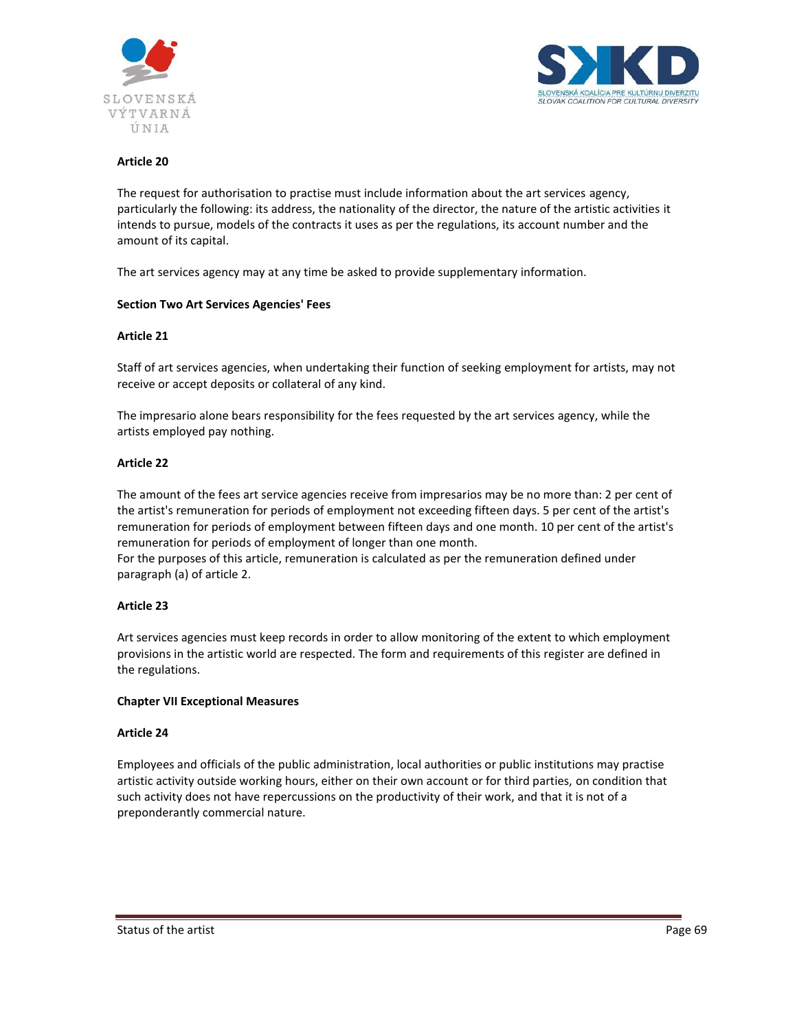



The request for authorisation to practise must include information about the art services agency, particularly the following: its address, the nationality of the director, the nature of the artistic activities it intends to pursue, models of the contracts it uses as per the regulations, its account number and the amount of its capital.

The art services agency may at any time be asked to provide supplementary information.

## **Section Two Art Services Agencies' Fees**

#### **Article 21**

Staff of art services agencies, when undertaking their function of seeking employment for artists, may not receive or accept deposits or collateral of any kind.

The impresario alone bears responsibility for the fees requested by the art services agency, while the artists employed pay nothing.

#### **Article 22**

The amount of the fees art service agencies receive from impresarios may be no more than: 2 per cent of the artist's remuneration for periods of employment not exceeding fifteen days. 5 per cent of the artist's remuneration for periods of employment between fifteen days and one month. 10 per cent of the artist's remuneration for periods of employment of longer than one month.

For the purposes of this article, remuneration is calculated as per the remuneration defined under paragraph (a) of article 2.

#### **Article 23**

Art services agencies must keep records in order to allow monitoring of the extent to which employment provisions in the artistic world are respected. The form and requirements of this register are defined in the regulations.

#### **Chapter VII Exceptional Measures**

#### **Article 24**

Employees and officials of the public administration, local authorities or public institutions may practise artistic activity outside working hours, either on their own account or for third parties, on condition that such activity does not have repercussions on the productivity of their work, and that it is not of a preponderantly commercial nature.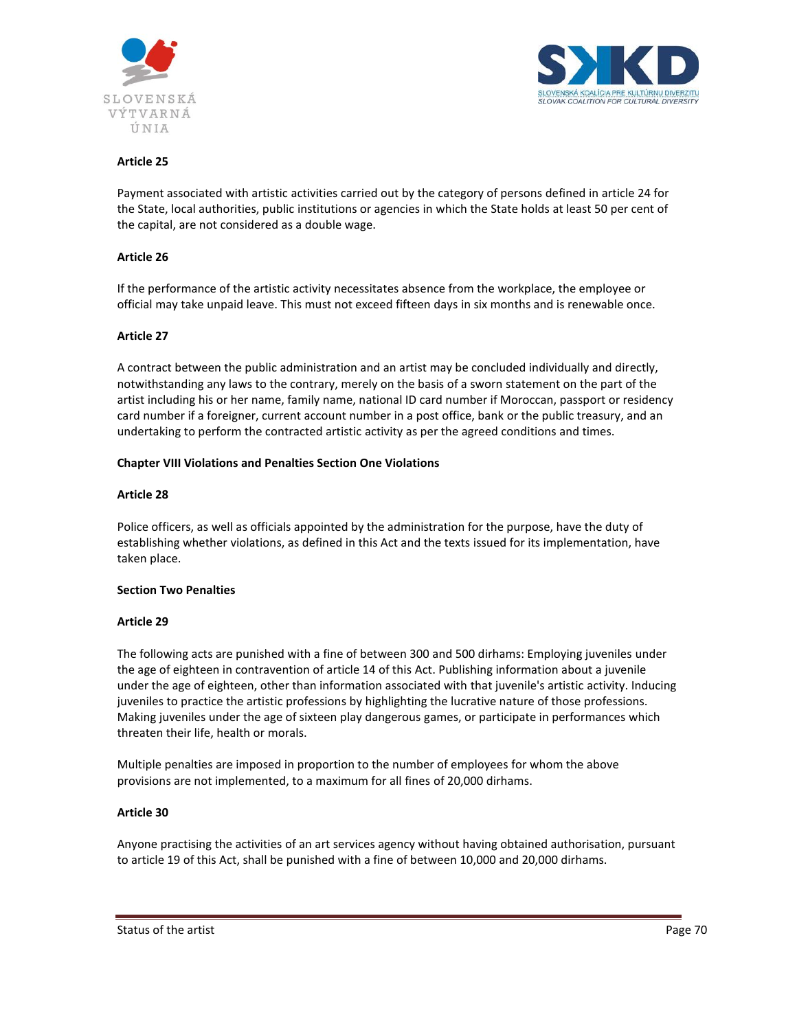



Payment associated with artistic activities carried out by the category of persons defined in article 24 for the State, local authorities, public institutions or agencies in which the State holds at least 50 per cent of the capital, are not considered as a double wage.

#### **Article 26**

If the performance of the artistic activity necessitates absence from the workplace, the employee or official may take unpaid leave. This must not exceed fifteen days in six months and is renewable once.

#### **Article 27**

A contract between the public administration and an artist may be concluded individually and directly, notwithstanding any laws to the contrary, merely on the basis of a sworn statement on the part of the artist including his or her name, family name, national ID card number if Moroccan, passport or residency card number if a foreigner, current account number in a post office, bank or the public treasury, and an undertaking to perform the contracted artistic activity as per the agreed conditions and times.

#### **Chapter VIII Violations and Penalties Section One Violations**

#### **Article 28**

Police officers, as well as officials appointed by the administration for the purpose, have the duty of establishing whether violations, as defined in this Act and the texts issued for its implementation, have taken place.

#### **Section Two Penalties**

#### **Article 29**

The following acts are punished with a fine of between 300 and 500 dirhams: Employing juveniles under the age of eighteen in contravention of article 14 of this Act. Publishing information about a juvenile under the age of eighteen, other than information associated with that juvenile's artistic activity. Inducing juveniles to practice the artistic professions by highlighting the lucrative nature of those professions. Making juveniles under the age of sixteen play dangerous games, or participate in performances which threaten their life, health or morals.

Multiple penalties are imposed in proportion to the number of employees for whom the above provisions are not implemented, to a maximum for all fines of 20,000 dirhams.

## **Article 30**

Anyone practising the activities of an art services agency without having obtained authorisation, pursuant to article 19 of this Act, shall be punished with a fine of between 10,000 and 20,000 dirhams.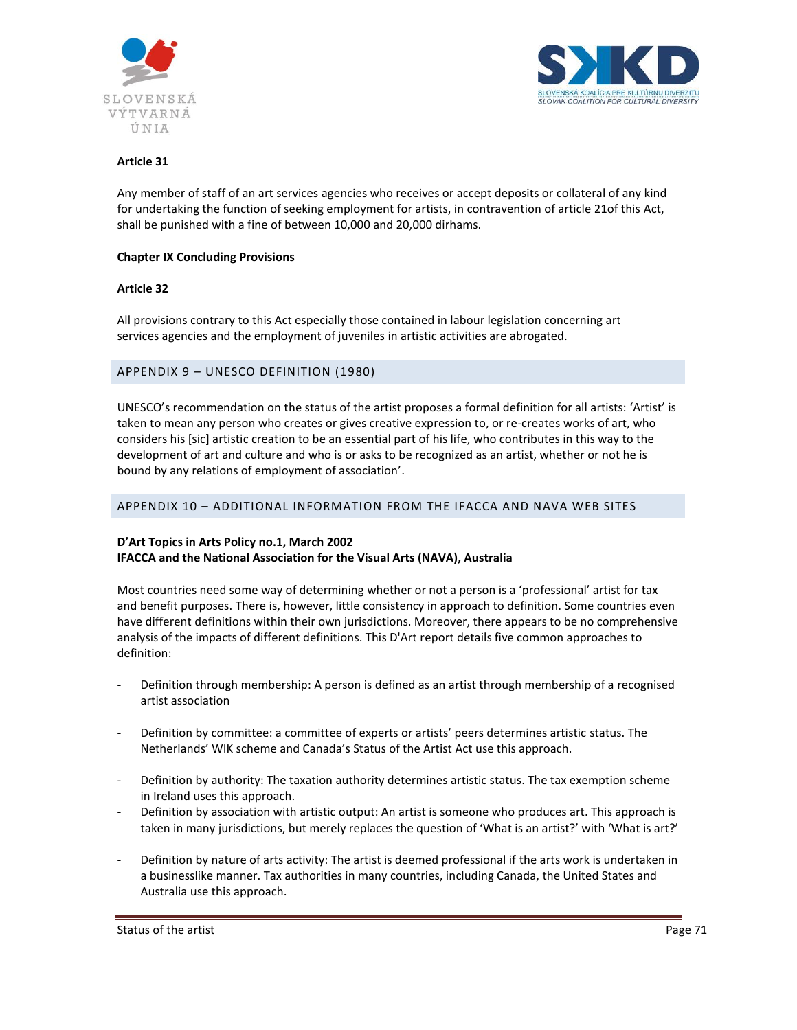



Any member of staff of an art services agencies who receives or accept deposits or collateral of any kind for undertaking the function of seeking employment for artists, in contravention of article 21of this Act, shall be punished with a fine of between 10,000 and 20,000 dirhams.

#### **Chapter IX Concluding Provisions**

#### **Article 32**

All provisions contrary to this Act especially those contained in labour legislation concerning art services agencies and the employment of juveniles in artistic activities are abrogated.

#### APPENDIX 9 – UNESCO DEFINITION (1980)

UNESCO's recommendation on the status of the artist proposes a formal definition for all artists: 'Artist' is taken to mean any person who creates or gives creative expression to, or re-creates works of art, who considers his [sic] artistic creation to be an essential part of his life, who contributes in this way to the development of art and culture and who is or asks to be recognized as an artist, whether or not he is bound by any relations of employment of association'.

#### APPENDIX 10 – ADDITIONAL INFORMATION FROM THE IFACCA AND NAVA WEB SITES

## **D'Art Topics in Arts Policy no.1, March 2002 IFACCA and the National Association for the Visual Arts (NAVA), Australia**

Most countries need some way of determining whether or not a person is a 'professional' artist for tax and benefit purposes. There is, however, little consistency in approach to definition. Some countries even have different definitions within their own jurisdictions. Moreover, there appears to be no comprehensive analysis of the impacts of different definitions. This D'Art report details five common approaches to definition:

- Definition through membership: A person is defined as an artist through membership of a recognised artist association
- Definition by committee: a committee of experts or artists' peers determines artistic status. The Netherlands' WIK scheme and Canada's Status of the Artist Act use this approach.
- Definition by authority: The taxation authority determines artistic status. The tax exemption scheme in Ireland uses this approach.
- Definition by association with artistic output: An artist is someone who produces art. This approach is taken in many jurisdictions, but merely replaces the question of 'What is an artist?' with 'What is art?'
- Definition by nature of arts activity: The artist is deemed professional if the arts work is undertaken in a businesslike manner. Tax authorities in many countries, including Canada, the United States and Australia use this approach.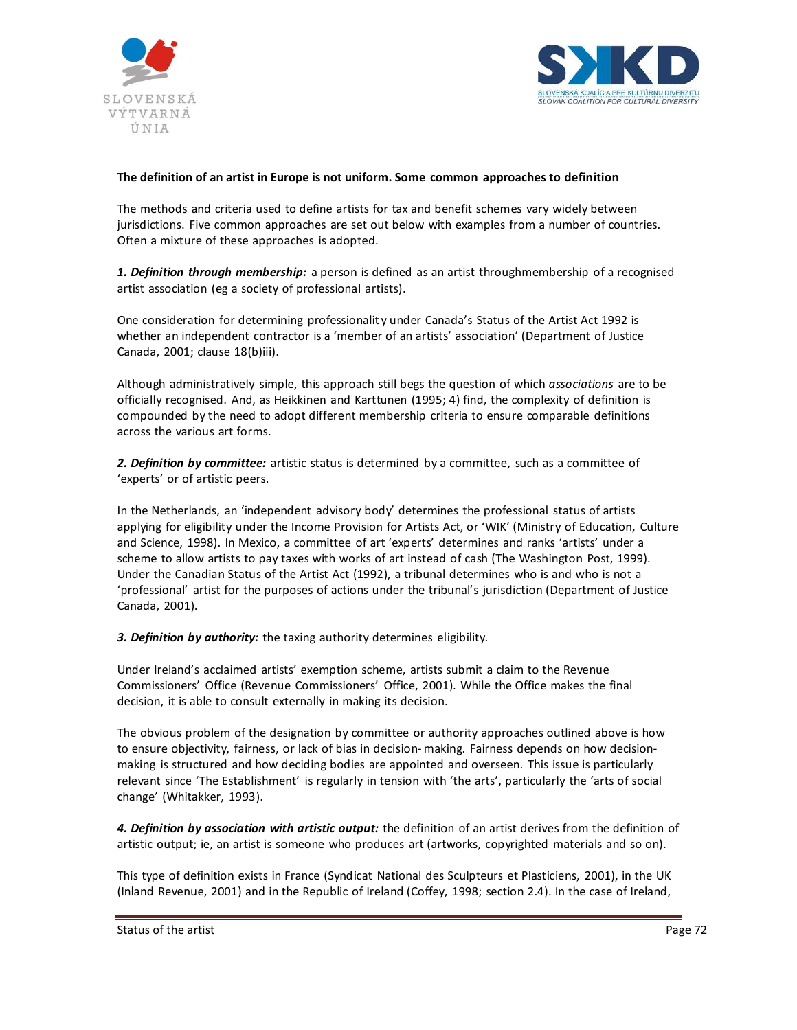



## **The definition of an artist in Europe is not uniform. Some common approaches to definition**

The methods and criteria used to define artists for tax and benefit schemes vary widely between jurisdictions. Five common approaches are set out below with examples from a number of countries. Often a mixture of these approaches is adopted.

*1. Definition through membership:* a person is defined as an artist throughmembership of a recognised artist association (eg a society of professional artists).

One consideration for determining professionalit y under Canada's Status of the Artist Act 1992 is whether an independent contractor is a 'member of an artists' association' (Department of Justice Canada, 2001; clause 18(b)iii).

Although administratively simple, this approach still begs the question of which *associations* are to be officially recognised. And, as Heikkinen and Karttunen (1995; 4) find, the complexity of definition is compounded by the need to adopt different membership criteria to ensure comparable definitions across the various art forms.

*2. Definition by committee:* artistic status is determined by a committee, such as a committee of 'experts' or of artistic peers.

In the Netherlands, an 'independent advisory body' determines the professional status of artists applying for eligibility under the Income Provision for Artists Act, or 'WIK' (Ministry of Education, Culture and Science, 1998). In Mexico, a committee of art 'experts' determines and ranks 'artists' under a scheme to allow artists to pay taxes with works of art instead of cash (The Washington Post, 1999). Under the Canadian Status of the Artist Act (1992), a tribunal determines who is and who is not a 'professional' artist for the purposes of actions under the tribunal's jurisdiction (Department of Justice Canada, 2001).

*3. Definition by authority:* the taxing authority determines eligibility.

Under Ireland's acclaimed artists' exemption scheme, artists submit a claim to the Revenue Commissioners' Office (Revenue Commissioners' Office, 2001). While the Office makes the final decision, it is able to consult externally in making its decision.

The obvious problem of the designation by committee or authority approaches outlined above is how to ensure objectivity, fairness, or lack of bias in decision- making. Fairness depends on how decisionmaking is structured and how deciding bodies are appointed and overseen. This issue is particularly relevant since 'The Establishment' is regularly in tension with 'the arts', particularly the 'arts of social change' (Whitakker, 1993).

*4. Definition by association with artistic output:* the definition of an artist derives from the definition of artistic output; ie, an artist is someone who produces art (artworks, copyrighted materials and so on).

This type of definition exists in France (Syndicat National des Sculpteurs et Plasticiens, 2001), in the UK (Inland Revenue, 2001) and in the Republic of Ireland (Coffey, 1998; section 2.4). In the case of Ireland,

Status of the artist **Page 72** and the artist **Page 72** and the status of the artist **Page 72** and the status of the artist **Page 72** and the status of the artist **Page 72** and the status of the artist **Page 72** and the st